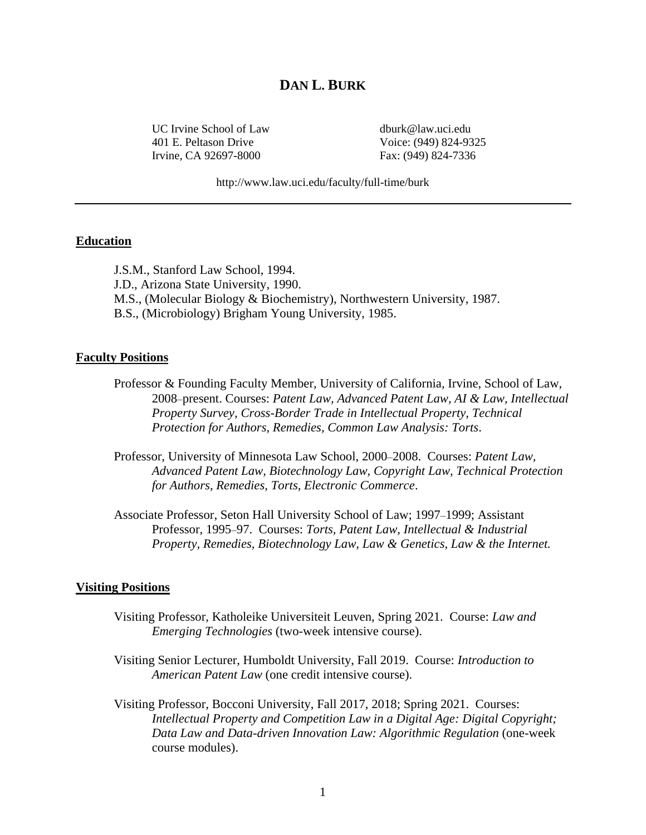# **DAN L. BURK**

UC Irvine School of Law dburk@law.uci.edu 401 E. Peltason Drive Voice: (949) 824-9325 Irvine, CA 92697-8000 Fax: (949) 824-7336

http://www.law.uci.edu/faculty/full-time/burk

### **Education**

J.S.M., Stanford Law School, 1994. J.D., Arizona State University, 1990. M.S., (Molecular Biology & Biochemistry), Northwestern University, 1987. B.S., (Microbiology) Brigham Young University, 1985.

#### **Faculty Positions**

- Professor & Founding Faculty Member, University of California, Irvine, School of Law, 2008–present. Courses: *Patent Law, Advanced Patent Law, AI & Law, Intellectual Property Survey, Cross-Border Trade in Intellectual Property, Technical Protection for Authors, Remedies, Common Law Analysis: Torts*.
- Professor, University of Minnesota Law School, 2000–2008. Courses: *Patent Law, Advanced Patent Law, Biotechnology Law, Copyright Law, Technical Protection for Authors, Remedies, Torts, Electronic Commerce*.
- Associate Professor, Seton Hall University School of Law; 1997–1999; Assistant Professor, 1995–97. Courses: *Torts, Patent Law, Intellectual & Industrial Property, Remedies, Biotechnology Law, Law & Genetics, Law & the Internet.*

#### **Visiting Positions**

- Visiting Professor, Katholeike Universiteit Leuven, Spring 2021. Course: *Law and Emerging Technologies* (two-week intensive course).
- Visiting Senior Lecturer, Humboldt University, Fall 2019. Course: *Introduction to American Patent Law* (one credit intensive course).
- Visiting Professor, Bocconi University, Fall 2017, 2018; Spring 2021. Courses: *Intellectual Property and Competition Law in a Digital Age: Digital Copyright; Data Law and Data-driven Innovation Law: Algorithmic Regulation* (one-week course modules).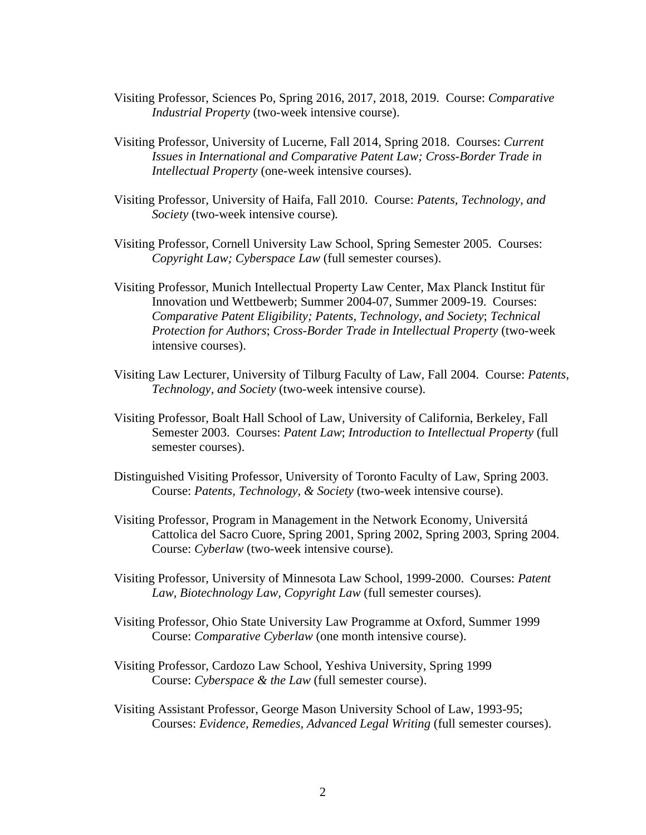- Visiting Professor, Sciences Po, Spring 2016, 2017, 2018, 2019. Course: *Comparative Industrial Property* (two-week intensive course).
- Visiting Professor, University of Lucerne, Fall 2014, Spring 2018. Courses: *Current Issues in International and Comparative Patent Law; Cross-Border Trade in Intellectual Property* (one-week intensive courses).
- Visiting Professor, University of Haifa, Fall 2010. Course: *Patents, Technology, and Society* (two-week intensive course)*.*
- Visiting Professor, Cornell University Law School, Spring Semester 2005. Courses: *Copyright Law; Cyberspace Law* (full semester courses).
- Visiting Professor, Munich Intellectual Property Law Center, Max Planck Institut für Innovation und Wettbewerb; Summer 2004-07, Summer 2009-19. Courses: *Comparative Patent Eligibility; Patents, Technology, and Society*; *Technical Protection for Authors*; *Cross-Border Trade in Intellectual Property* (two-week intensive courses).
- Visiting Law Lecturer, University of Tilburg Faculty of Law, Fall 2004. Course: *Patents, Technology, and Society* (two-week intensive course).
- Visiting Professor, Boalt Hall School of Law, University of California, Berkeley, Fall Semester 2003. Courses: *Patent Law*; *Introduction to Intellectual Property* (full semester courses).
- Distinguished Visiting Professor, University of Toronto Faculty of Law, Spring 2003. Course: *Patents, Technology, & Society* (two-week intensive course).
- Visiting Professor, Program in Management in the Network Economy, Universitá Cattolica del Sacro Cuore, Spring 2001, Spring 2002, Spring 2003, Spring 2004. Course: *Cyberlaw* (two-week intensive course).
- Visiting Professor, University of Minnesota Law School, 1999-2000. Courses: *Patent Law, Biotechnology Law, Copyright Law* (full semester courses)*.*
- Visiting Professor, Ohio State University Law Programme at Oxford, Summer 1999 Course: *Comparative Cyberlaw* (one month intensive course).
- Visiting Professor, Cardozo Law School, Yeshiva University, Spring 1999 Course: *Cyberspace & the Law* (full semester course).
- Visiting Assistant Professor, George Mason University School of Law, 1993-95; Courses: *Evidence, Remedies, Advanced Legal Writing* (full semester courses).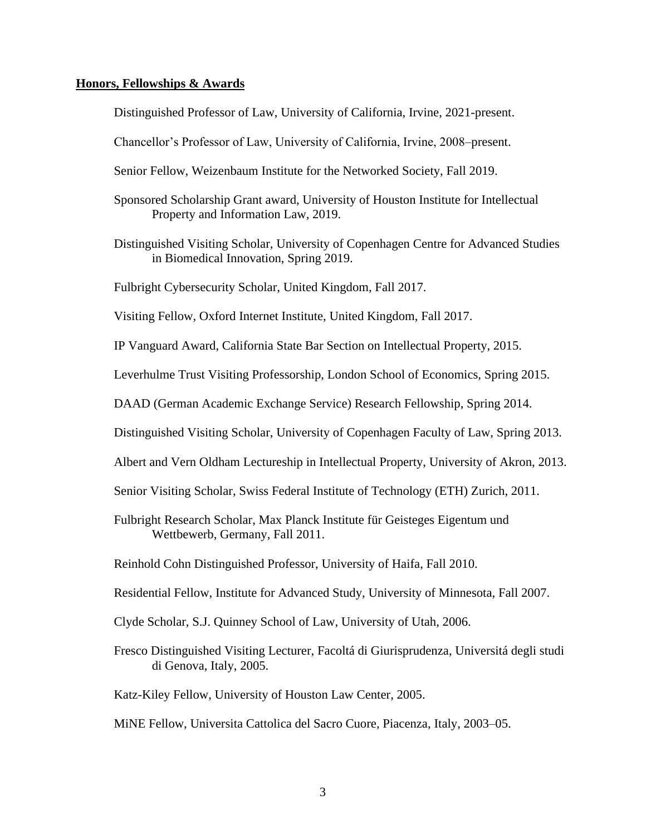# **Honors, Fellowships & Awards**

Distinguished Professor of Law, University of California, Irvine, 2021-present.

Chancellor's Professor of Law, University of California, Irvine, 2008–present.

- Senior Fellow, Weizenbaum Institute for the Networked Society, Fall 2019.
- Sponsored Scholarship Grant award, University of Houston Institute for Intellectual Property and Information Law, 2019.
- Distinguished Visiting Scholar, University of Copenhagen Centre for Advanced Studies in Biomedical Innovation, Spring 2019.

Fulbright Cybersecurity Scholar, United Kingdom, Fall 2017.

Visiting Fellow, Oxford Internet Institute, United Kingdom, Fall 2017.

IP Vanguard Award, California State Bar Section on Intellectual Property, 2015.

Leverhulme Trust Visiting Professorship, London School of Economics, Spring 2015.

DAAD (German Academic Exchange Service) Research Fellowship, Spring 2014.

Distinguished Visiting Scholar, University of Copenhagen Faculty of Law, Spring 2013.

- Albert and Vern Oldham Lectureship in Intellectual Property, University of Akron, 2013.
- Senior Visiting Scholar, Swiss Federal Institute of Technology (ETH) Zurich, 2011.
- Fulbright Research Scholar, Max Planck Institute für Geisteges Eigentum und Wettbewerb, Germany, Fall 2011.

Reinhold Cohn Distinguished Professor, University of Haifa, Fall 2010.

- Residential Fellow, Institute for Advanced Study, University of Minnesota, Fall 2007.
- Clyde Scholar, S.J. Quinney School of Law, University of Utah, 2006.
- Fresco Distinguished Visiting Lecturer, Facoltá di Giurisprudenza, Universitá degli studi di Genova, Italy, 2005.

Katz-Kiley Fellow, University of Houston Law Center, 2005.

MiNE Fellow, Universita Cattolica del Sacro Cuore, Piacenza, Italy, 2003–05.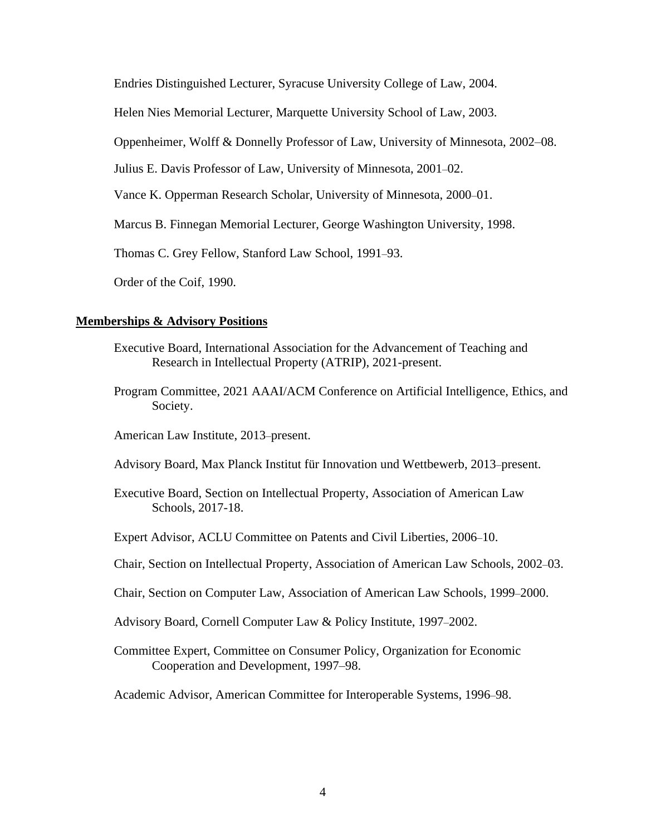Endries Distinguished Lecturer, Syracuse University College of Law, 2004.

Helen Nies Memorial Lecturer, Marquette University School of Law, 2003.

Oppenheimer, Wolff & Donnelly Professor of Law, University of Minnesota, 2002–08.

Julius E. Davis Professor of Law, University of Minnesota, 2001–02.

Vance K. Opperman Research Scholar, University of Minnesota, 2000–01.

Marcus B. Finnegan Memorial Lecturer, George Washington University, 1998.

Thomas C. Grey Fellow, Stanford Law School, 1991–93.

Order of the Coif, 1990.

# **Memberships & Advisory Positions**

- Executive Board, International Association for the Advancement of Teaching and Research in Intellectual Property (ATRIP), 2021-present.
- Program Committee, 2021 AAAI/ACM Conference on Artificial Intelligence, Ethics, and Society.

American Law Institute, 2013–present.

- Advisory Board, Max Planck Institut für Innovation und Wettbewerb, 2013–present.
- Executive Board, Section on Intellectual Property, Association of American Law Schools, 2017-18.
- Expert Advisor, ACLU Committee on Patents and Civil Liberties, 2006–10.
- Chair, Section on Intellectual Property, Association of American Law Schools, 2002–03.
- Chair, Section on Computer Law, Association of American Law Schools, 1999–2000.
- Advisory Board, Cornell Computer Law & Policy Institute, 1997–2002.
- Committee Expert, Committee on Consumer Policy, Organization for Economic Cooperation and Development, 1997–98.

Academic Advisor, American Committee for Interoperable Systems, 1996–98.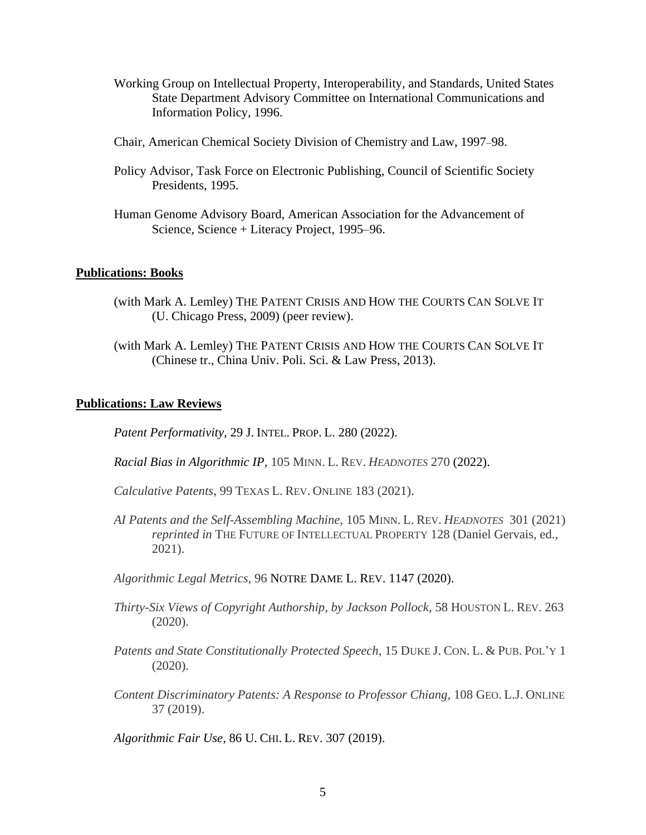- Working Group on Intellectual Property, Interoperability, and Standards, United States State Department Advisory Committee on International Communications and Information Policy, 1996.
- Chair, American Chemical Society Division of Chemistry and Law, 1997–98.
- Policy Advisor, Task Force on Electronic Publishing, Council of Scientific Society Presidents, 1995.
- Human Genome Advisory Board, American Association for the Advancement of Science, Science + Literacy Project, 1995–96.

# **Publications: Books**

- (with Mark A. Lemley) THE PATENT CRISIS AND HOW THE COURTS CAN SOLVE IT (U. Chicago Press, 2009) (peer review).
- (with Mark A. Lemley) THE PATENT CRISIS AND HOW THE COURTS CAN SOLVE IT (Chinese tr., China Univ. Poli. Sci. & Law Press, 2013).

### **Publications: Law Reviews**

*Patent Performativity,* 29 J. INTEL. PROP. L. 280 (2022).

- *Racial Bias in Algorithmic IP,* 105 MINN. L. REV. *HEADNOTES* 270 (2022).
- *Calculative Patents*, 99 TEXAS L. REV. ONLINE 183 (2021).
- *AI Patents and the Self-Assembling Machine,* 105 MINN. L. REV. *HEADNOTES* 301 (2021) *reprinted in* THE FUTURE OF INTELLECTUAL PROPERTY 128 (Daniel Gervais, ed., 2021).
- *Algorithmic Legal Metrics,* 96 NOTRE DAME L. REV. 1147 (2020).
- *Thirty-Six Views of Copyright Authorship, by Jackson Pollock*, 58 HOUSTON L. REV. 263 (2020).
- *Patents and State Constitutionally Protected Speech,* 15 DUKE J. CON. L. & PUB. POL'Y 1 (2020).
- *Content Discriminatory Patents: A Response to Professor Chiang*, 108 GEO. L.J. ONLINE 37 (2019).

*Algorithmic Fair Use*, 86 U. CHI. L. REV. 307 (2019).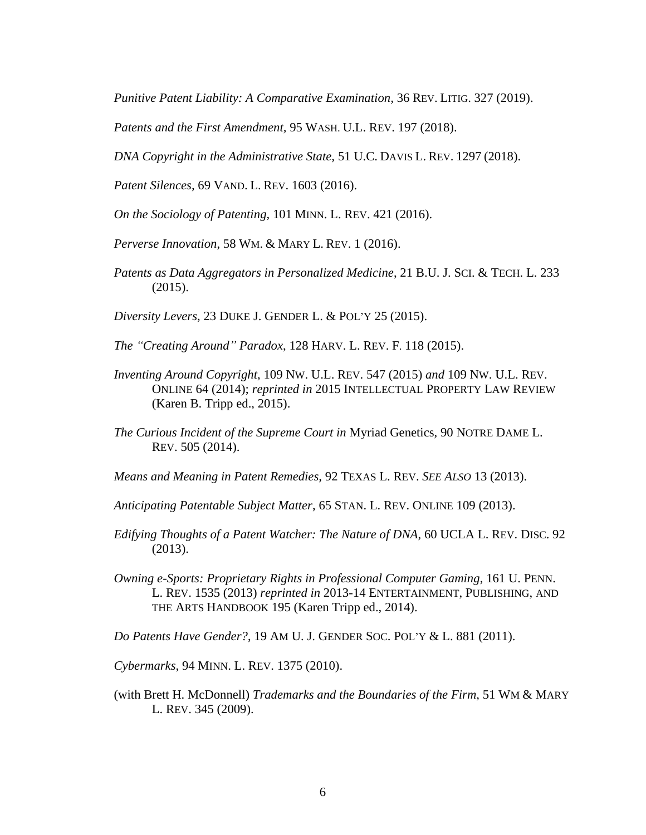*Punitive Patent Liability: A Comparative Examination,* 36 REV. LITIG. 327 (2019).

*Patents and the First Amendment,* 95 WASH. U.L. REV. 197 (2018).

*DNA Copyright in the Administrative State,* 51 U.C. DAVIS L. REV. 1297 (2018).

*Patent Silences,* 69 VAND. L. REV. 1603 (2016).

*On the Sociology of Patenting,* 101 MINN. L. REV. 421 (2016).

*Perverse Innovation*, 58 WM. & MARY L. REV. 1 (2016).

*Patents as Data Aggregators in Personalized Medicine*, 21 B.U. J. SCI. & TECH. L. 233 (2015).

*Diversity Levers*, 23 DUKE J. GENDER L. & POL'Y 25 (2015).

- *The "Creating Around" Paradox*, 128 HARV. L. REV. F. 118 (2015).
- *Inventing Around Copyright*, 109 NW. U.L. REV. 547 (2015) *and* 109 NW. U.L. REV. ONLINE 64 (2014); *reprinted in* 2015 INTELLECTUAL PROPERTY LAW REVIEW (Karen B. Tripp ed., 2015).
- *The Curious Incident of the Supreme Court in* Myriad Genetics*,* 90 NOTRE DAME L. REV. 505 (2014).

*Means and Meaning in Patent Remedies,* 92 TEXAS L. REV. *SEE ALSO* 13 (2013).

*Anticipating Patentable Subject Matter*, 65 STAN. L. REV. ONLINE 109 (2013).

- *Edifying Thoughts of a Patent Watcher: The Nature of DNA*, 60 UCLA L. REV. DISC. 92 (2013).
- *Owning e-Sports: Proprietary Rights in Professional Computer Gaming*, 161 U. PENN. L. REV. 1535 (2013) *reprinted in* 2013-14 ENTERTAINMENT, PUBLISHING, AND THE ARTS HANDBOOK 195 (Karen Tripp ed., 2014).

*Do Patents Have Gender?*, 19 AM U. J. GENDER SOC. POL'Y & L. 881 (2011).

*Cybermarks*, 94 MINN. L. REV. 1375 (2010).

(with Brett H. McDonnell) *Trademarks and the Boundaries of the Firm*, 51 WM & MARY L. REV. 345 (2009).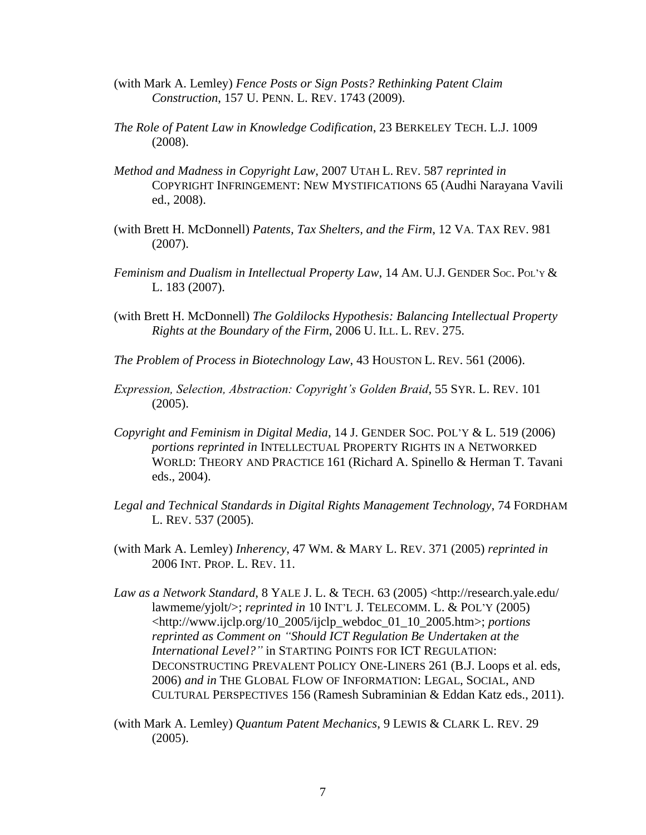- (with Mark A. Lemley) *Fence Posts or Sign Posts? Rethinking Patent Claim Construction*, 157 U. PENN. L. REV. 1743 (2009).
- *The Role of Patent Law in Knowledge Codification*, 23 BERKELEY TECH. L.J. 1009 (2008).
- *Method and Madness in Copyright Law*, 2007 UTAH L. REV. 587 *reprinted in* COPYRIGHT INFRINGEMENT: NEW MYSTIFICATIONS 65 (Audhi Narayana Vavili ed., 2008).
- (with Brett H. McDonnell) *Patents, Tax Shelters, and the Firm*, 12 VA. TAX REV. 981 (2007).
- *Feminism and Dualism in Intellectual Property Law*, 14 AM. U.J. GENDER SOC. POL'<sup>Y</sup> & L. 183 (2007).
- (with Brett H. McDonnell) *The Goldilocks Hypothesis: Balancing Intellectual Property Rights at the Boundary of the Firm*, 2006 U. ILL. L. REV. 275.
- *The Problem of Process in Biotechnology Law*, 43 HOUSTON L. REV. 561 (2006).
- *Expression, Selection, Abstraction: Copyright's Golden Braid*, 55 SYR. L. REV. 101 (2005).
- *Copyright and Feminism in Digital Media*, 14 J. GENDER SOC. POL'Y & L. 519 (2006) *portions reprinted in* INTELLECTUAL PROPERTY RIGHTS IN A NETWORKED WORLD: THEORY AND PRACTICE 161 (Richard A. Spinello & Herman T. Tavani eds., 2004).
- *Legal and Technical Standards in Digital Rights Management Technology*, 74 FORDHAM L. REV. 537 (2005).
- (with Mark A. Lemley) *Inherency*, 47 WM. & MARY L. REV. 371 (2005) *reprinted in*  2006 INT. PROP. L. REV. 11.
- *Law as a Network Standard*, 8 YALE J. L. & TECH. 63 (2005) <http://research.yale.edu/ lawmeme/yjolt/>; *reprinted in* 10 INT'L J. TELECOMM. L. & POL'Y (2005) <http://www.ijclp.org/10\_2005/ijclp\_webdoc\_01\_10\_2005.htm>; *portions reprinted as Comment on "Should ICT Regulation Be Undertaken at the International Level?"* in STARTING POINTS FOR ICT REGULATION: DECONSTRUCTING PREVALENT POLICY ONE-LINERS 261 (B.J. Loops et al. eds, 2006) *and in* THE GLOBAL FLOW OF INFORMATION: LEGAL, SOCIAL, AND CULTURAL PERSPECTIVES 156 (Ramesh Subraminian & Eddan Katz eds., 2011).
- (with Mark A. Lemley) *Quantum Patent Mechanics*, 9 LEWIS & CLARK L. REV. 29 (2005).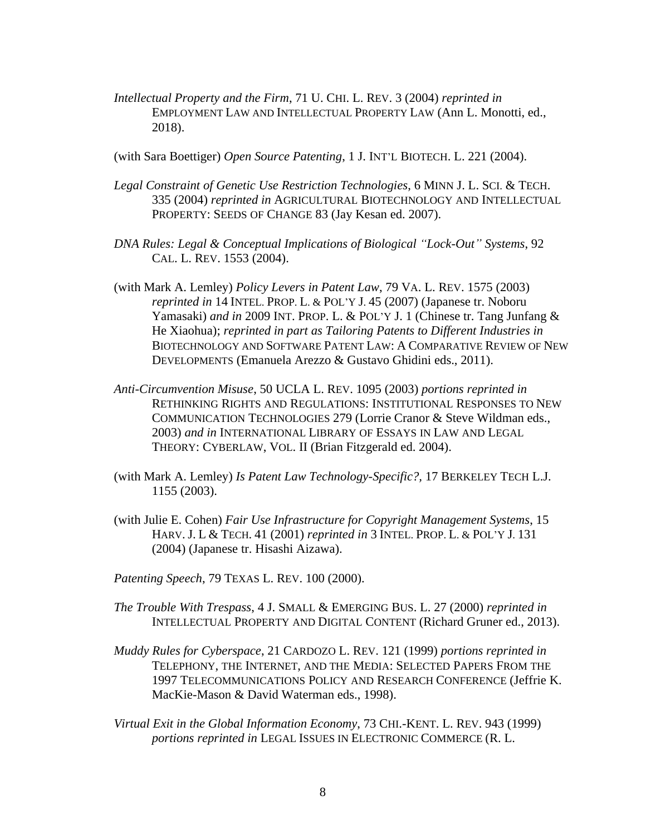- *Intellectual Property and the Firm*, 71 U. CHI. L. REV. 3 (2004) *reprinted in* EMPLOYMENT LAW AND INTELLECTUAL PROPERTY LAW (Ann L. Monotti, ed., 2018).
- (with Sara Boettiger) *Open Source Patenting*, 1 J. INT'L BIOTECH. L. 221 (2004).
- *Legal Constraint of Genetic Use Restriction Technologies*, 6 MINN J. L. SCI. & TECH. 335 (2004) *reprinted in* AGRICULTURAL BIOTECHNOLOGY AND INTELLECTUAL PROPERTY: SEEDS OF CHANGE 83 (Jay Kesan ed. 2007).
- *DNA Rules: Legal & Conceptual Implications of Biological "Lock-Out" Systems*, 92 CAL. L. REV. 1553 (2004).
- (with Mark A. Lemley) *Policy Levers in Patent Law*, 79 VA. L. REV. 1575 (2003) *reprinted in* 14 INTEL. PROP. L. & POL'Y J. 45 (2007) (Japanese tr. Noboru Yamasaki) *and in* 2009 INT. PROP. L. & POL'Y J. 1 (Chinese tr. Tang Junfang & He Xiaohua); *reprinted in part as Tailoring Patents to Different Industries in* BIOTECHNOLOGY AND SOFTWARE PATENT LAW: A COMPARATIVE REVIEW OF NEW DEVELOPMENTS (Emanuela Arezzo & Gustavo Ghidini eds., 2011).
- *Anti-Circumvention Misuse*, 50 UCLA L. REV. 1095 (2003) *portions reprinted in* RETHINKING RIGHTS AND REGULATIONS: INSTITUTIONAL RESPONSES TO NEW COMMUNICATION TECHNOLOGIES 279 (Lorrie Cranor & Steve Wildman eds., 2003) *and in* INTERNATIONAL LIBRARY OF ESSAYS IN LAW AND LEGAL THEORY: CYBERLAW, VOL. II (Brian Fitzgerald ed. 2004).
- (with Mark A. Lemley) *Is Patent Law Technology-Specific?,* 17 BERKELEY TECH L.J. 1155 (2003).
- (with Julie E. Cohen) *Fair Use Infrastructure for Copyright Management Systems*, 15 HARV. J. L & TECH. 41 (2001) *reprinted in* 3 INTEL. PROP. L. & POL'Y J. 131 (2004) (Japanese tr. Hisashi Aizawa).
- *Patenting Speech*, 79 TEXAS L. REV. 100 (2000).
- *The Trouble With Trespass*, 4 J. SMALL & EMERGING BUS. L. 27 (2000) *reprinted in*  INTELLECTUAL PROPERTY AND DIGITAL CONTENT (Richard Gruner ed., 2013).
- *Muddy Rules for Cyberspace*, 21 CARDOZO L. REV. 121 (1999) *portions reprinted in* TELEPHONY, THE INTERNET, AND THE MEDIA: SELECTED PAPERS FROM THE 1997 TELECOMMUNICATIONS POLICY AND RESEARCH CONFERENCE (Jeffrie K. MacKie-Mason & David Waterman eds., 1998).
- *Virtual Exit in the Global Information Economy*, 73 CHI.-KENT. L. REV. 943 (1999) *portions reprinted in* LEGAL ISSUES IN ELECTRONIC COMMERCE (R. L.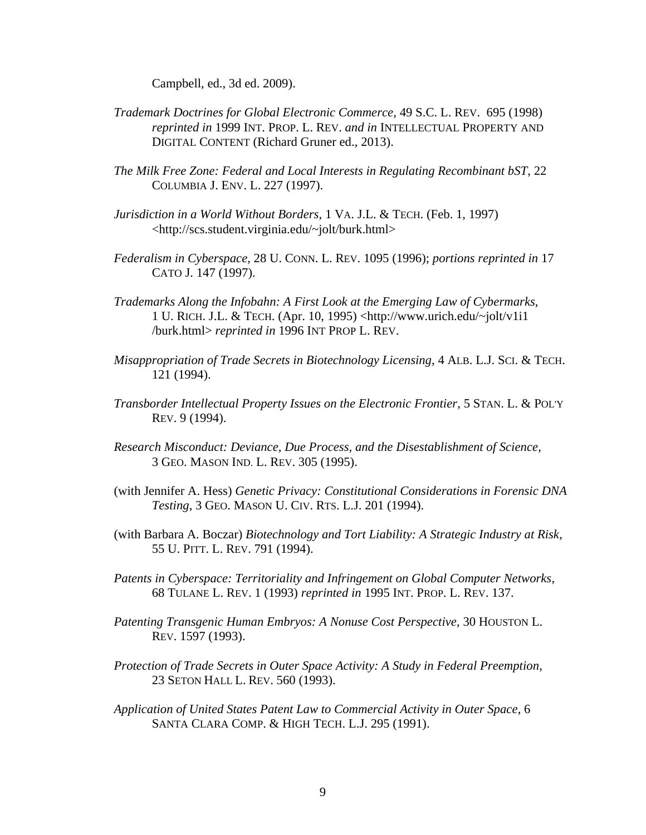Campbell, ed., 3d ed. 2009).

- *Trademark Doctrines for Global Electronic Commerce,* 49 S.C. L. REV. 695 (1998) *reprinted in* 1999 INT. PROP. L. REV. *and in* INTELLECTUAL PROPERTY AND DIGITAL CONTENT (Richard Gruner ed., 2013).
- *The Milk Free Zone: Federal and Local Interests in Regulating Recombinant bST*, 22 COLUMBIA J. ENV. L. 227 (1997).
- *Jurisdiction in a World Without Borders*, 1 VA. J.L. & TECH. (Feb. 1, 1997) <http://scs.student.virginia.edu/~jolt/burk.html>
- *Federalism in Cyberspace*, 28 U. CONN. L. REV. 1095 (1996); *portions reprinted in* 17 CATO J. 147 (1997).
- *Trademarks Along the Infobahn: A First Look at the Emerging Law of Cybermarks*, 1 U. RICH. J.L. & TECH. (Apr. 10, 1995) <http://www.urich.edu/~jolt/v1i1 /burk.html> *reprinted in* 1996 INT PROP L. REV.
- *Misappropriation of Trade Secrets in Biotechnology Licensing*, 4 ALB. L.J. SCI. & TECH. 121 (1994).
- *Transborder Intellectual Property Issues on the Electronic Frontier*, 5 STAN. L. & POL'Y REV. 9 (1994).
- *Research Misconduct: Deviance, Due Process, and the Disestablishment of Science*, 3 GEO. MASON IND. L. REV. 305 (1995).
- (with Jennifer A. Hess) *Genetic Privacy: Constitutional Considerations in Forensic DNA Testing*, 3 GEO. MASON U. CIV. RTS. L.J. 201 (1994).
- (with Barbara A. Boczar) *Biotechnology and Tort Liability: A Strategic Industry at Risk*, 55 U. PITT. L. REV. 791 (1994).
- *Patents in Cyberspace: Territoriality and Infringement on Global Computer Networks*, 68 TULANE L. REV. 1 (1993) *reprinted in* 1995 INT. PROP. L. REV. 137.
- *Patenting Transgenic Human Embryos: A Nonuse Cost Perspective*, 30 HOUSTON L. REV. 1597 (1993).
- *Protection of Trade Secrets in Outer Space Activity: A Study in Federal Preemption*, 23 SETON HALL L. REV. 560 (1993).
- *Application of United States Patent Law to Commercial Activity in Outer Space*, 6 SANTA CLARA COMP. & HIGH TECH. L.J. 295 (1991).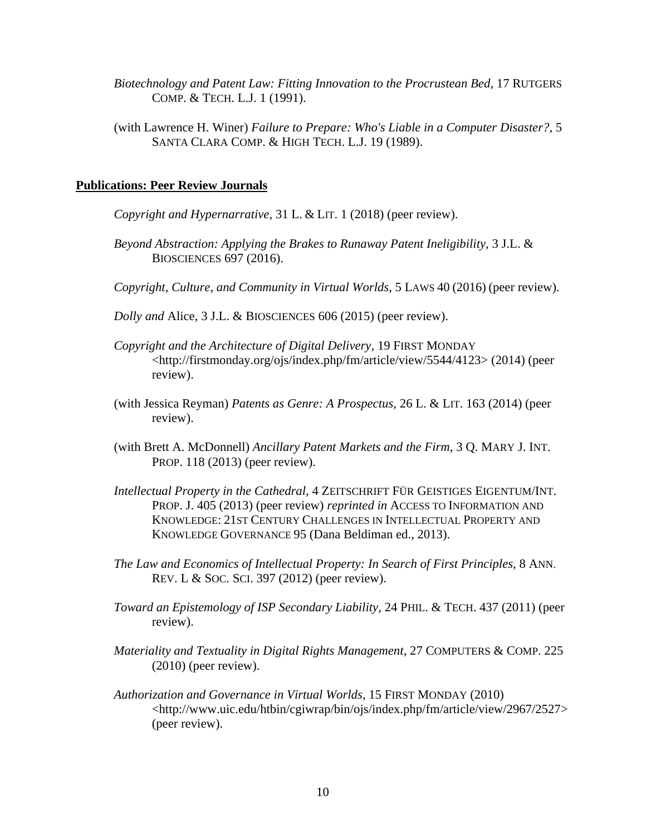- *Biotechnology and Patent Law: Fitting Innovation to the Procrustean Bed*, 17 RUTGERS COMP. & TECH. L.J. 1 (1991).
- (with Lawrence H. Winer) *Failure to Prepare: Who's Liable in a Computer Disaster?*, 5 SANTA CLARA COMP. & HIGH TECH. L.J. 19 (1989).

# **Publications: Peer Review Journals**

- *Copyright and Hypernarrative,* 31 L. & LIT. 1 (2018) (peer review).
- *Beyond Abstraction: Applying the Brakes to Runaway Patent Ineligibility*, 3 J.L. & BIOSCIENCES 697 (2016).
- *Copyright, Culture, and Community in Virtual Worlds*, 5 LAWS 40 (2016) (peer review).
- *Dolly and* Alice, 3 J.L. & BIOSCIENCES 606 (2015) (peer review).
- *Copyright and the Architecture of Digital Delivery*, 19 FIRST MONDAY <http://firstmonday.org/ojs/index.php/fm/article/view/5544/4123> (2014) (peer review).
- (with Jessica Reyman) *Patents as Genre: A Prospectus,* 26 L. & LIT. 163 (2014) (peer review).
- (with Brett A. McDonnell) *Ancillary Patent Markets and the Firm*, 3 Q. MARY J. INT. PROP. 118 (2013) (peer review).
- *Intellectual Property in the Cathedral,* 4 ZEITSCHRIFT FÜR GEISTIGES EIGENTUM/INT. PROP. J. 405 (2013) (peer review) *reprinted in* ACCESS TO INFORMATION AND KNOWLEDGE: 21ST CENTURY CHALLENGES IN INTELLECTUAL PROPERTY AND KNOWLEDGE GOVERNANCE 95 (Dana Beldiman ed., 2013).
- *The Law and Economics of Intellectual Property: In Search of First Principles,* 8 ANN. REV. L & SOC. SCI. 397 (2012) (peer review).
- *Toward an Epistemology of ISP Secondary Liability,* 24 PHIL. & TECH. 437 (2011) (peer review).
- *Materiality and Textuality in Digital Rights Management*, 27 COMPUTERS & COMP. 225 (2010) (peer review).
- *Authorization and Governance in Virtual Worlds*, 15 FIRST MONDAY (2010) <http://www.uic.edu/htbin/cgiwrap/bin/ojs/index.php/fm/article/view/2967/2527> (peer review).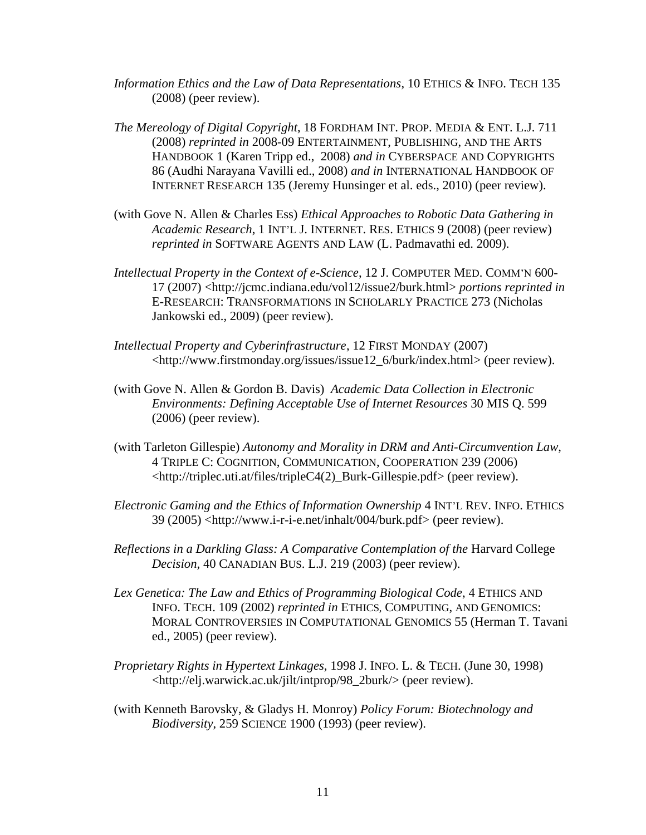- *Information Ethics and the Law of Data Representations*, 10 ETHICS & INFO. TECH 135 (2008) (peer review).
- *The Mereology of Digital Copyright*, 18 FORDHAM INT. PROP. MEDIA & ENT. L.J. 711 (2008) *reprinted in* 2008-09 ENTERTAINMENT, PUBLISHING, AND THE ARTS HANDBOOK 1 (Karen Tripp ed., 2008) *and in* CYBERSPACE AND COPYRIGHTS 86 (Audhi Narayana Vavilli ed., 2008) *and in* INTERNATIONAL HANDBOOK OF INTERNET RESEARCH 135 (Jeremy Hunsinger et al. eds., 2010) (peer review).
- (with Gove N. Allen & Charles Ess) *Ethical Approaches to Robotic Data Gathering in Academic Research*, 1 INT'L J. INTERNET. RES. ETHICS 9 (2008) (peer review) *reprinted in* SOFTWARE AGENTS AND LAW (L. Padmavathi ed. 2009).
- *Intellectual Property in the Context of e-Science*, 12 J. COMPUTER MED. COMM'N 600- 17 (2007) <http://jcmc.indiana.edu/vol12/issue2/burk.html> *portions reprinted in* E-RESEARCH: TRANSFORMATIONS IN SCHOLARLY PRACTICE 273 (Nicholas Jankowski ed., 2009) (peer review).
- *Intellectual Property and Cyberinfrastructure*, 12 FIRST MONDAY (2007) <http://www.firstmonday.org/issues/issue12\_6/burk/index.html> (peer review).
- (with Gove N. Allen & Gordon B. Davis) *Academic Data Collection in Electronic Environments: Defining Acceptable Use of Internet Resources* 30 MIS Q. 599 (2006) (peer review).
- (with Tarleton Gillespie) *Autonomy and Morality in DRM and Anti-Circumvention Law*, 4 TRIPLE C: COGNITION, COMMUNICATION, COOPERATION 239 (2006) <http://triplec.uti.at/files/tripleC4(2)\_Burk-Gillespie.pdf> (peer review).
- *Electronic Gaming and the Ethics of Information Ownership* 4 INT'L REV. INFO. ETHICS 39 (2005) <http://www.i-r-i-e.net/inhalt/004/burk.pdf> (peer review).
- *Reflections in a Darkling Glass: A Comparative Contemplation of the Harvard College Decision,* 40 CANADIAN BUS. L.J. 219 (2003) (peer review).
- *Lex Genetica: The Law and Ethics of Programming Biological Code*, 4 ETHICS AND INFO. TECH. 109 (2002) *reprinted in* ETHICS, COMPUTING, AND GENOMICS: MORAL CONTROVERSIES IN COMPUTATIONAL GENOMICS 55 (Herman T. Tavani ed., 2005) (peer review).
- *Proprietary Rights in Hypertext Linkages,* 1998 J. INFO. L. & TECH. (June 30, 1998) <http://elj.warwick.ac.uk/jilt/intprop/98\_2burk/> (peer review).
- (with Kenneth Barovsky, & Gladys H. Monroy) *Policy Forum: Biotechnology and Biodiversity*, 259 SCIENCE 1900 (1993) (peer review).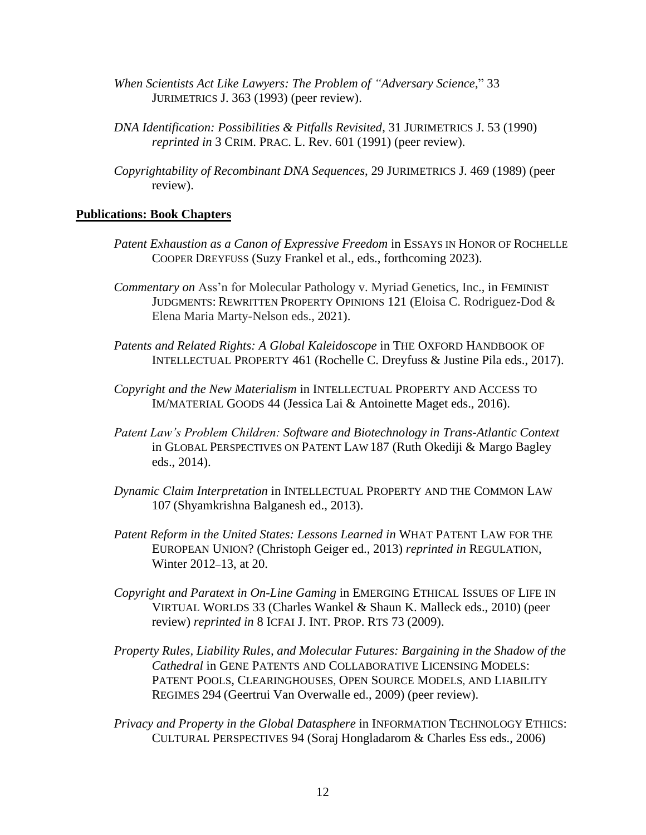- *When Scientists Act Like Lawyers: The Problem of "Adversary Science*," 33 JURIMETRICS J. 363 (1993) (peer review).
- *DNA Identification: Possibilities & Pitfalls Revisited*, 31 JURIMETRICS J. 53 (1990) *reprinted in* 3 CRIM. PRAC. L. Rev. 601 (1991) (peer review).
- *Copyrightability of Recombinant DNA Sequences*, 29 JURIMETRICS J. 469 (1989) (peer review).

### **Publications: Book Chapters**

- *Patent Exhaustion as a Canon of Expressive Freedom* in ESSAYS IN HONOR OF ROCHELLE COOPER DREYFUSS (Suzy Frankel et al., eds., forthcoming 2023).
- *Commentary on* Ass'n for Molecular Pathology v. Myriad Genetics, Inc., in FEMINIST JUDGMENTS: REWRITTEN PROPERTY OPINIONS 121 (Eloisa C. Rodriguez-Dod & Elena Maria Marty-Nelson eds., 2021).
- *Patents and Related Rights: A Global Kaleidoscope* in THE OXFORD HANDBOOK OF INTELLECTUAL PROPERTY 461 (Rochelle C. Dreyfuss & Justine Pila eds., 2017).
- *Copyright and the New Materialism* in INTELLECTUAL PROPERTY AND ACCESS TO IM/MATERIAL GOODS 44 (Jessica Lai & Antoinette Maget eds., 2016).
- *Patent Law's Problem Children: Software and Biotechnology in Trans-Atlantic Context* in GLOBAL PERSPECTIVES ON PATENT LAW 187 (Ruth Okediji & Margo Bagley eds., 2014).
- *Dynamic Claim Interpretation* in INTELLECTUAL PROPERTY AND THE COMMON LAW 107 (Shyamkrishna Balganesh ed., 2013).
- *Patent Reform in the United States: Lessons Learned in* WHAT PATENT LAW FOR THE EUROPEAN UNION? (Christoph Geiger ed., 2013) *reprinted in* REGULATION, Winter 2012–13, at 20.
- *Copyright and Paratext in On-Line Gaming* in EMERGING ETHICAL ISSUES OF LIFE IN VIRTUAL WORLDS 33 (Charles Wankel & Shaun K. Malleck eds., 2010) (peer review) *reprinted in* 8 ICFAI J. INT. PROP. RTS 73 (2009).
- *Property Rules, Liability Rules, and Molecular Futures: Bargaining in the Shadow of the Cathedral* in GENE PATENTS AND COLLABORATIVE LICENSING MODELS: PATENT POOLS, CLEARINGHOUSES, OPEN SOURCE MODELS, AND LIABILITY REGIMES 294 (Geertrui Van Overwalle ed., 2009) (peer review).
- *Privacy and Property in the Global Datasphere* in INFORMATION TECHNOLOGY ETHICS: CULTURAL PERSPECTIVES 94 (Soraj Hongladarom & Charles Ess eds., 2006)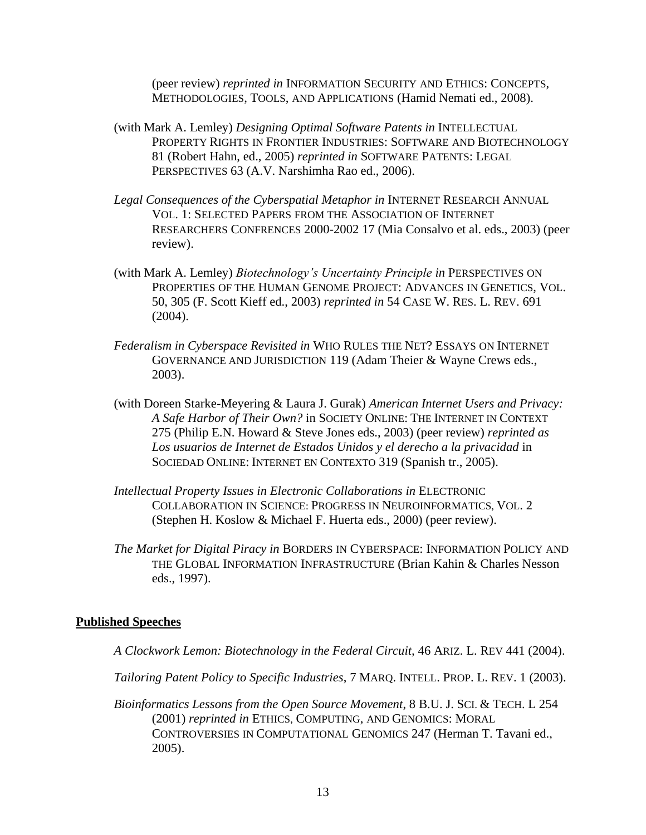(peer review) *reprinted in* INFORMATION SECURITY AND ETHICS: CONCEPTS, METHODOLOGIES, TOOLS, AND APPLICATIONS (Hamid Nemati ed., 2008).

- (with Mark A. Lemley) *Designing Optimal Software Patents in* INTELLECTUAL PROPERTY RIGHTS IN FRONTIER INDUSTRIES: SOFTWARE AND BIOTECHNOLOGY 81 (Robert Hahn, ed., 2005) *reprinted in* SOFTWARE PATENTS: LEGAL PERSPECTIVES 63 (A.V. Narshimha Rao ed., 2006).
- *Legal Consequences of the Cyberspatial Metaphor in* INTERNET RESEARCH ANNUAL VOL. 1: SELECTED PAPERS FROM THE ASSOCIATION OF INTERNET RESEARCHERS CONFRENCES 2000-2002 17 (Mia Consalvo et al. eds., 2003) (peer review).
- (with Mark A. Lemley) *Biotechnology's Uncertainty Principle in* PERSPECTIVES ON PROPERTIES OF THE HUMAN GENOME PROJECT: ADVANCES IN GENETICS, VOL. 50, 305 (F. Scott Kieff ed., 2003) *reprinted in* 54 CASE W. RES. L. REV. 691 (2004).
- *Federalism in Cyberspace Revisited in* WHO RULES THE NET? ESSAYS ON INTERNET GOVERNANCE AND JURISDICTION 119 (Adam Theier & Wayne Crews eds., 2003).
- (with Doreen Starke-Meyering & Laura J. Gurak) *American Internet Users and Privacy: A Safe Harbor of Their Own?* in SOCIETY ONLINE: THE INTERNET IN CONTEXT 275 (Philip E.N. Howard & Steve Jones eds., 2003) (peer review) *reprinted as* Los usuarios de Internet de Estados Unidos y el derecho a la privacidad in SOCIEDAD ONLINE: INTERNET EN CONTEXTO 319 (Spanish tr., 2005).
- *Intellectual Property Issues in Electronic Collaborations in* ELECTRONIC COLLABORATION IN SCIENCE: PROGRESS IN NEUROINFORMATICS, VOL. 2 (Stephen H. Koslow & Michael F. Huerta eds., 2000) (peer review).
- *The Market for Digital Piracy in* BORDERS IN CYBERSPACE: INFORMATION POLICY AND THE GLOBAL INFORMATION INFRASTRUCTURE (Brian Kahin & Charles Nesson eds., 1997).

# **Published Speeches**

- *A Clockwork Lemon: Biotechnology in the Federal Circuit,* 46 ARIZ. L. REV 441 (2004).
- *Tailoring Patent Policy to Specific Industries*, 7 MARQ. INTELL. PROP. L. REV. 1 (2003).
- *Bioinformatics Lessons from the Open Source Movement*, 8 B.U. J. SCI. & TECH. L 254 (2001) *reprinted in* ETHICS, COMPUTING, AND GENOMICS: MORAL CONTROVERSIES IN COMPUTATIONAL GENOMICS 247 (Herman T. Tavani ed., 2005).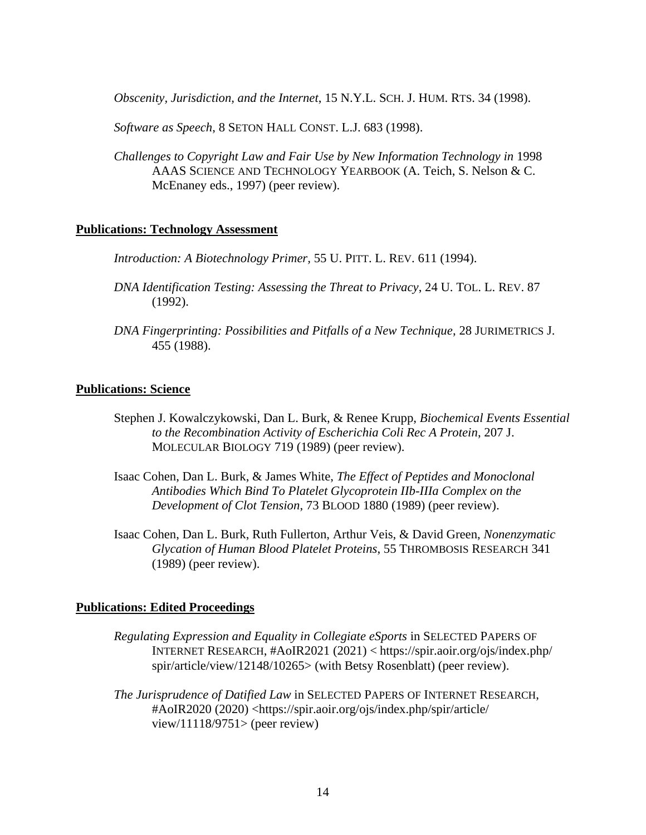*Obscenity, Jurisdiction, and the Internet*, 15 N.Y.L. SCH. J. HUM. RTS. 34 (1998).

*Software as Speech*, 8 SETON HALL CONST. L.J. 683 (1998).

*Challenges to Copyright Law and Fair Use by New Information Technology in* 1998 AAAS SCIENCE AND TECHNOLOGY YEARBOOK (A. Teich, S. Nelson & C. McEnaney eds., 1997) (peer review).

# **Publications: Technology Assessment**

*Introduction: A Biotechnology Primer,* 55 U. PITT. L. REV. 611 (1994).

- *DNA Identification Testing: Assessing the Threat to Privacy*, 24 U. TOL. L. REV. 87 (1992).
- *DNA Fingerprinting: Possibilities and Pitfalls of a New Technique*, 28 JURIMETRICS J. 455 (1988).

### **Publications: Science**

- Stephen J. Kowalczykowski, Dan L. Burk, & Renee Krupp, *Biochemical Events Essential to the Recombination Activity of Escherichia Coli Rec A Protein*, 207 J. MOLECULAR BIOLOGY 719 (1989) (peer review).
- Isaac Cohen, Dan L. Burk, & James White, *The Effect of Peptides and Monoclonal Antibodies Which Bind To Platelet Glycoprotein IIb-IIIa Complex on the Development of Clot Tension*, 73 BLOOD 1880 (1989) (peer review).
- Isaac Cohen, Dan L. Burk, Ruth Fullerton, Arthur Veis, & David Green, *Nonenzymatic Glycation of Human Blood Platelet Proteins*, 55 THROMBOSIS RESEARCH 341 (1989) (peer review).

#### **Publications: Edited Proceedings**

- *Regulating Expression and Equality in Collegiate eSports* in SELECTED PAPERS OF INTERNET RESEARCH, #AoIR2021 (2021) < https://spir.aoir.org/ojs/index.php/ spir/article/view/12148/10265> (with Betsy Rosenblatt) (peer review).
- *The Jurisprudence of Datified Law* in SELECTED PAPERS OF INTERNET RESEARCH, #AoIR2020 (2020) <https://spir.aoir.org/ojs/index.php/spir/article/ view/11118/9751> (peer review)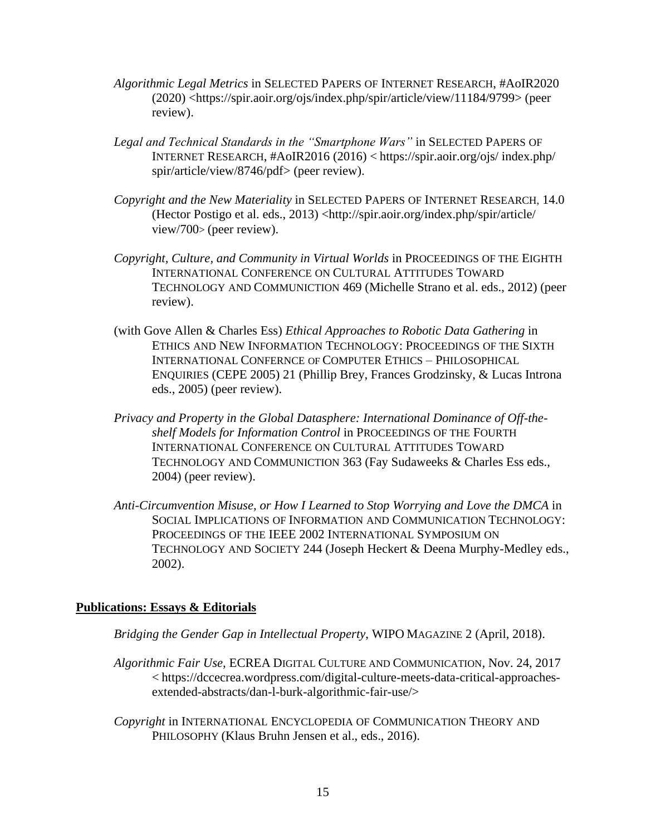- *Algorithmic Legal Metrics* in SELECTED PAPERS OF INTERNET RESEARCH, #AoIR2020 (2020) <https://spir.aoir.org/ojs/index.php/spir/article/view/11184/9799> (peer review).
- *Legal and Technical Standards in the "Smartphone Wars"* in SELECTED PAPERS OF INTERNET RESEARCH, #AoIR2016 (2016) < https://spir.aoir.org/ojs/ index.php/ spir/article/view/8746/pdf> (peer review).
- *Copyright and the New Materiality* in SELECTED PAPERS OF INTERNET RESEARCH, 14.0 (Hector Postigo et al. eds., 2013) <http://spir.aoir.org/index.php/spir/article/ view/700> (peer review).
- *Copyright, Culture, and Community in Virtual Worlds* in PROCEEDINGS OF THE EIGHTH INTERNATIONAL CONFERENCE ON CULTURAL ATTITUDES TOWARD TECHNOLOGY AND COMMUNICTION 469 (Michelle Strano et al. eds., 2012) (peer review).
- (with Gove Allen & Charles Ess) *Ethical Approaches to Robotic Data Gathering* in ETHICS AND NEW INFORMATION TECHNOLOGY: PROCEEDINGS OF THE SIXTH INTERNATIONAL CONFERNCE OF COMPUTER ETHICS – PHILOSOPHICAL ENQUIRIES (CEPE 2005) 21 (Phillip Brey, Frances Grodzinsky, & Lucas Introna eds., 2005) (peer review).
- *Privacy and Property in the Global Datasphere: International Dominance of Off-theshelf Models for Information Control* in PROCEEDINGS OF THE FOURTH INTERNATIONAL CONFERENCE ON CULTURAL ATTITUDES TOWARD TECHNOLOGY AND COMMUNICTION 363 (Fay Sudaweeks & Charles Ess eds., 2004) (peer review).
- *Anti-Circumvention Misuse, or How I Learned to Stop Worrying and Love the DMCA* in SOCIAL IMPLICATIONS OF INFORMATION AND COMMUNICATION TECHNOLOGY: PROCEEDINGS OF THE IEEE 2002 INTERNATIONAL SYMPOSIUM ON TECHNOLOGY AND SOCIETY 244 (Joseph Heckert & Deena Murphy-Medley eds., 2002).

# **Publications: Essays & Editorials**

*Bridging the Gender Gap in Intellectual Property*, WIPO MAGAZINE 2 (April, 2018).

- *Algorithmic Fair Use,* ECREA DIGITAL CULTURE AND COMMUNICATION*,* Nov. 24, 2017 < https://dccecrea.wordpress.com/digital-culture-meets-data-critical-approachesextended-abstracts/dan-l-burk-algorithmic-fair-use/>
- *Copyright* in INTERNATIONAL ENCYCLOPEDIA OF COMMUNICATION THEORY AND PHILOSOPHY (Klaus Bruhn Jensen et al., eds., 2016).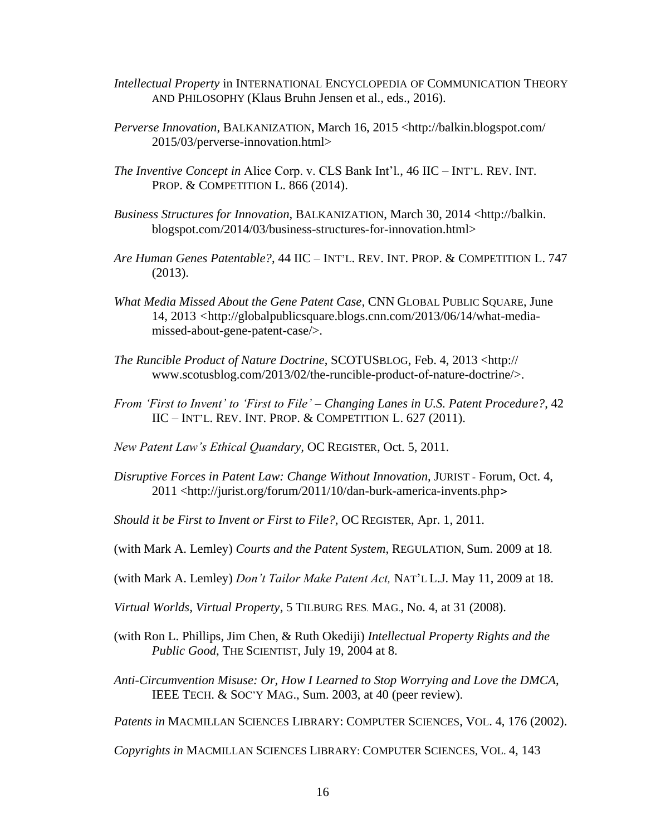- *Intellectual Property* in INTERNATIONAL ENCYCLOPEDIA OF COMMUNICATION THEORY AND PHILOSOPHY (Klaus Bruhn Jensen et al., eds., 2016).
- *Perverse Innovation*, BALKANIZATION, March 16, 2015 <http://balkin.blogspot.com/ 2015/03/perverse-innovation.html>
- *The Inventive Concept in* Alice Corp. v. CLS Bank Int'l*.*, 46 IIC INT'L. REV. INT. PROP. & COMPETITION L. 866 (2014).
- *Business Structures for Innovation*, BALKANIZATION, March 30, 2014 <http://balkin. blogspot.com/2014/03/business-structures-for-innovation.html>
- *Are Human Genes Patentable?*, 44 IIC INT'L. REV. INT. PROP. & COMPETITION L. 747 (2013).
- *What Media Missed About the Gene Patent Case,* CNN GLOBAL PUBLIC SQUARE, June 14, 2013 *<*http://globalpublicsquare.blogs.cnn.com/2013/06/14/what-mediamissed-about-gene-patent-case/>.
- *The Runcible Product of Nature Doctrine*, SCOTUSBLOG, Feb. 4, 2013 <http:// www.scotusblog.com/2013/02/the-runcible-product-of-nature-doctrine/>.
- *From 'First to Invent' to 'First to File' – Changing Lanes in U.S. Patent Procedure?*, 42 IIC – INT'L. REV. INT. PROP. & COMPETITION L. 627 (2011).
- *New Patent Law's Ethical Quandary,* OC REGISTER, Oct. 5, 2011.
- *Disruptive Forces in Patent Law: Change Without Innovation, JURIST Forum, Oct. 4,* 2011 <http://jurist.org/forum/2011/10/dan-burk-america-invents.php>
- *Should it be First to Invent or First to File?*, OC REGISTER, Apr. 1, 2011.
- (with Mark A. Lemley) *Courts and the Patent System*, REGULATION, Sum. 2009 at 18.
- (with Mark A. Lemley) *Don't Tailor Make Patent Act,* NAT'L L.J. May 11, 2009 at 18.
- *Virtual Worlds, Virtual Property*, 5 TILBURG RES. MAG., No. 4, at 31 (2008).
- (with Ron L. Phillips, Jim Chen, & Ruth Okediji) *Intellectual Property Rights and the Public Good*, THE SCIENTIST, July 19, 2004 at 8.
- *Anti-Circumvention Misuse: Or, How I Learned to Stop Worrying and Love the DMCA*, IEEE TECH. & SOC'Y MAG., Sum. 2003, at 40 (peer review).

*Patents in* MACMILLAN SCIENCES LIBRARY: COMPUTER SCIENCES, VOL. 4, 176 (2002).

*Copyrights in* MACMILLAN SCIENCES LIBRARY: COMPUTER SCIENCES, VOL. 4, 143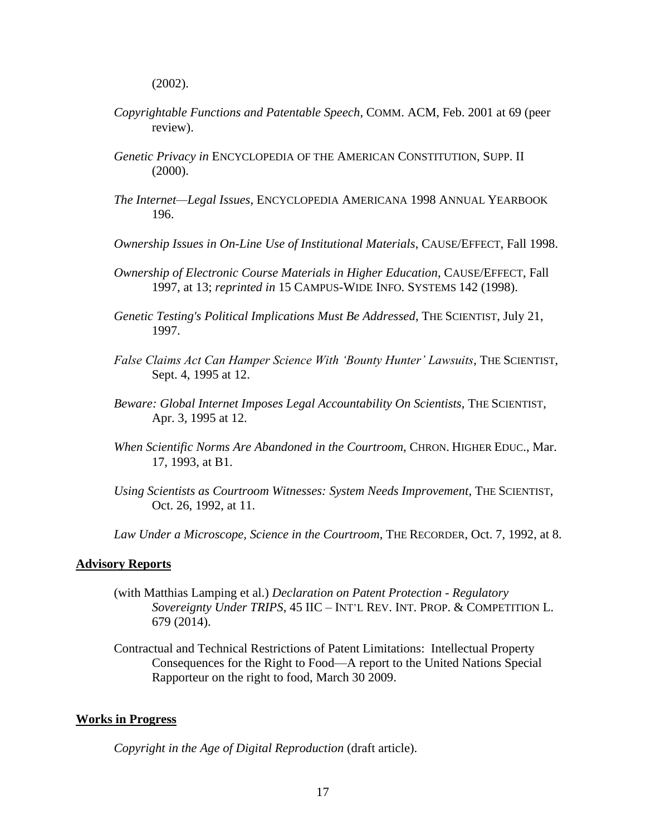(2002).

- *Copyrightable Functions and Patentable Speech*, COMM. ACM, Feb. 2001 at 69 (peer review).
- *Genetic Privacy in* ENCYCLOPEDIA OF THE AMERICAN CONSTITUTION, SUPP. II  $(2000)$ .
- *The Internet—Legal Issues*, ENCYCLOPEDIA AMERICANA 1998 ANNUAL YEARBOOK 196.
- *Ownership Issues in On-Line Use of Institutional Materials*, CAUSE/EFFECT, Fall 1998.
- *Ownership of Electronic Course Materials in Higher Education*, CAUSE/EFFECT, Fall 1997, at 13; *reprinted in* 15 CAMPUS-WIDE INFO. SYSTEMS 142 (1998).
- *Genetic Testing's Political Implications Must Be Addressed*, THE SCIENTIST, July 21, 1997.
- *False Claims Act Can Hamper Science With 'Bounty Hunter' Lawsuits*, THE SCIENTIST, Sept. 4, 1995 at 12.
- *Beware: Global Internet Imposes Legal Accountability On Scientists*, THE SCIENTIST, Apr. 3, 1995 at 12.
- *When Scientific Norms Are Abandoned in the Courtroom*, CHRON. HIGHER EDUC., Mar. 17, 1993, at B1.
- *Using Scientists as Courtroom Witnesses: System Needs Improvement*, THE SCIENTIST, Oct. 26, 1992, at 11.

*Law Under a Microscope, Science in the Courtroom*, THE RECORDER, Oct. 7, 1992, at 8.

# **Advisory Reports**

- (with Matthias Lamping et al.) *Declaration on Patent Protection - Regulatory Sovereignty Under TRIPS*, 45 IIC – INT'L REV. INT. PROP. & COMPETITION L. 679 (2014).
- Contractual and Technical Restrictions of Patent Limitations: Intellectual Property Consequences for the Right to Food—A report to the United Nations Special Rapporteur on the right to food, March 30 2009.

#### **Works in Progress**

*Copyright in the Age of Digital Reproduction* (draft article).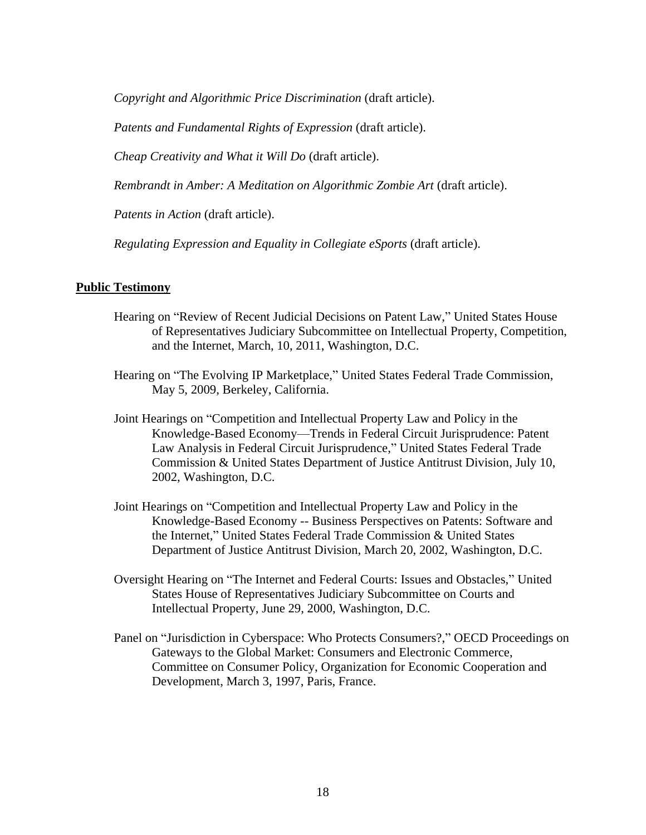*Copyright and Algorithmic Price Discrimination* (draft article).

*Patents and Fundamental Rights of Expression* (draft article).

*Cheap Creativity and What it Will Do* (draft article).

*Rembrandt in Amber: A Meditation on Algorithmic Zombie Art* (draft article).

*Patents in Action* (draft article).

*Regulating Expression and Equality in Collegiate eSports* (draft article).

# **Public Testimony**

- Hearing on "Review of Recent Judicial Decisions on Patent Law," United States House of Representatives Judiciary Subcommittee on Intellectual Property, Competition, and the Internet, March, 10, 2011, Washington, D.C.
- Hearing on "The Evolving IP Marketplace," United States Federal Trade Commission, May 5, 2009, Berkeley, California.
- Joint Hearings on "Competition and Intellectual Property Law and Policy in the Knowledge-Based Economy—Trends in Federal Circuit Jurisprudence: Patent Law Analysis in Federal Circuit Jurisprudence," United States Federal Trade Commission & United States Department of Justice Antitrust Division, July 10, 2002, Washington, D.C.
- Joint Hearings on "Competition and Intellectual Property Law and Policy in the Knowledge-Based Economy -- Business Perspectives on Patents: Software and the Internet," United States Federal Trade Commission & United States Department of Justice Antitrust Division, March 20, 2002, Washington, D.C.
- Oversight Hearing on "The Internet and Federal Courts: Issues and Obstacles," United States House of Representatives Judiciary Subcommittee on Courts and Intellectual Property, June 29, 2000, Washington, D.C.
- Panel on "Jurisdiction in Cyberspace: Who Protects Consumers?," OECD Proceedings on Gateways to the Global Market: Consumers and Electronic Commerce, Committee on Consumer Policy, Organization for Economic Cooperation and Development, March 3, 1997, Paris, France.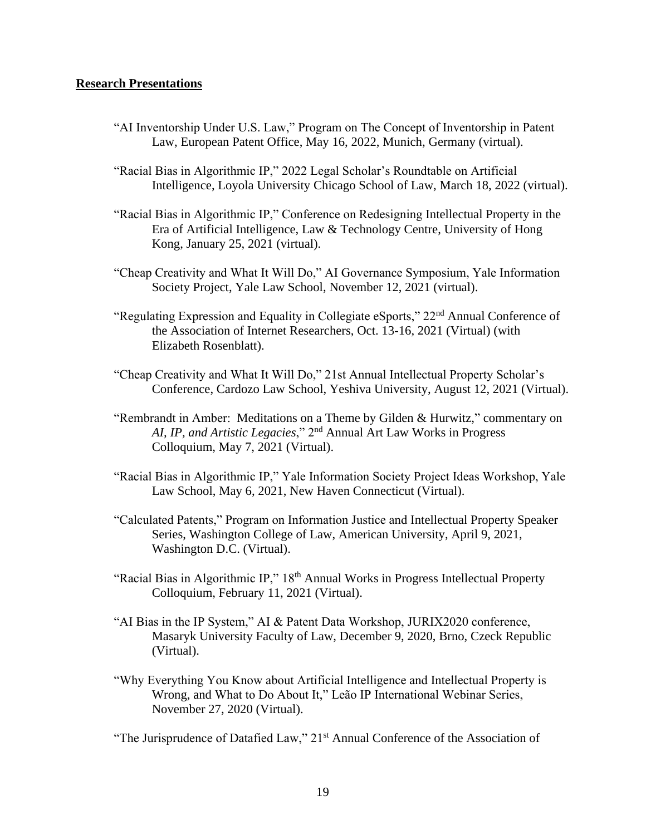# **Research Presentations**

- "AI Inventorship Under U.S. Law," Program on The Concept of Inventorship in Patent Law, European Patent Office, May 16, 2022, Munich, Germany (virtual).
- "Racial Bias in Algorithmic IP," 2022 Legal Scholar's Roundtable on Artificial Intelligence, Loyola University Chicago School of Law, March 18, 2022 (virtual).
- "Racial Bias in Algorithmic IP," Conference on Redesigning Intellectual Property in the Era of Artificial Intelligence, Law & Technology Centre, University of Hong Kong, January 25, 2021 (virtual).
- "Cheap Creativity and What It Will Do," AI Governance Symposium, Yale Information Society Project, Yale Law School, November 12, 2021 (virtual).
- "Regulating Expression and Equality in Collegiate eSports," 22<sup>nd</sup> Annual Conference of the Association of Internet Researchers, Oct. 13-16, 2021 (Virtual) (with Elizabeth Rosenblatt).
- "Cheap Creativity and What It Will Do," 21st Annual Intellectual Property Scholar's Conference, Cardozo Law School, Yeshiva University, August 12, 2021 (Virtual).
- "Rembrandt in Amber: Meditations on a Theme by Gilden & Hurwitz," commentary on *AI, IP, and Artistic Legacies*," 2nd Annual Art Law Works in Progress Colloquium, May 7, 2021 (Virtual).
- "Racial Bias in Algorithmic IP," Yale Information Society Project Ideas Workshop, Yale Law School, May 6, 2021, New Haven Connecticut (Virtual).
- "Calculated Patents," Program on Information Justice and Intellectual Property Speaker Series, Washington College of Law, American University, April 9, 2021, Washington D.C. (Virtual).
- "Racial Bias in Algorithmic IP," 18<sup>th</sup> Annual Works in Progress Intellectual Property Colloquium, February 11, 2021 (Virtual).
- "AI Bias in the IP System," AI & Patent Data Workshop, JURIX2020 conference, Masaryk University Faculty of Law, December 9, 2020, Brno, Czeck Republic (Virtual).
- "Why Everything You Know about Artificial Intelligence and Intellectual Property is Wrong, and What to Do About It," Leão IP International Webinar Series, November 27, 2020 (Virtual).

"The Jurisprudence of Datafied Law,"  $21<sup>st</sup>$  Annual Conference of the Association of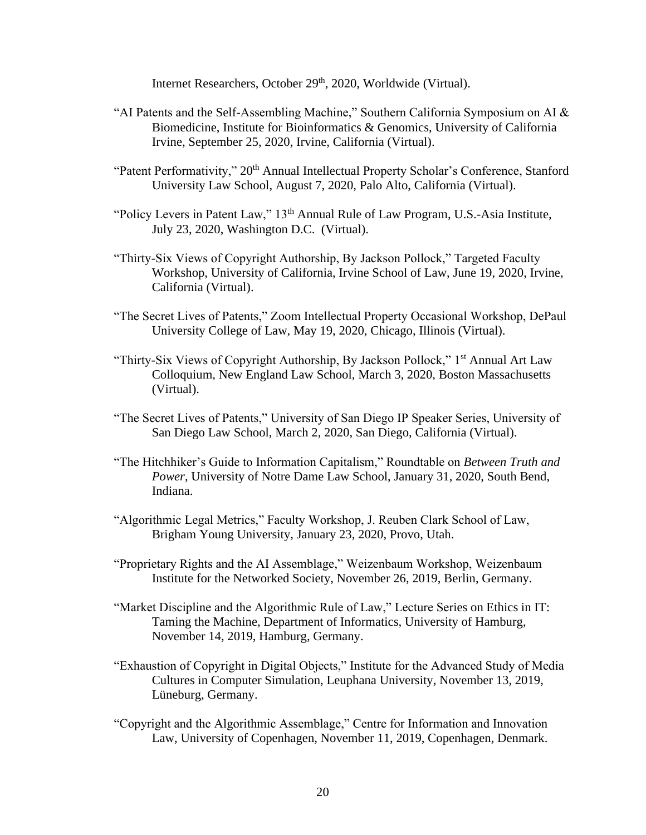Internet Researchers, October 29<sup>th</sup>, 2020, Worldwide (Virtual).

- "AI Patents and the Self-Assembling Machine," Southern California Symposium on AI & Biomedicine, Institute for Bioinformatics & Genomics, University of California Irvine, September 25, 2020, Irvine, California (Virtual).
- "Patent Performativity," 20<sup>th</sup> Annual Intellectual Property Scholar's Conference, Stanford University Law School, August 7, 2020, Palo Alto, California (Virtual).
- "Policy Levers in Patent Law," 13<sup>th</sup> Annual Rule of Law Program, U.S.-Asia Institute, July 23, 2020, Washington D.C. (Virtual).
- "Thirty-Six Views of Copyright Authorship, By Jackson Pollock," Targeted Faculty Workshop, University of California, Irvine School of Law, June 19, 2020, Irvine, California (Virtual).
- "The Secret Lives of Patents," Zoom Intellectual Property Occasional Workshop, DePaul University College of Law, May 19, 2020, Chicago, Illinois (Virtual).
- "Thirty-Six Views of Copyright Authorship, By Jackson Pollock," 1<sup>st</sup> Annual Art Law Colloquium, New England Law School, March 3, 2020, Boston Massachusetts (Virtual).
- "The Secret Lives of Patents," University of San Diego IP Speaker Series, University of San Diego Law School, March 2, 2020, San Diego, California (Virtual).
- "The Hitchhiker's Guide to Information Capitalism," Roundtable on *Between Truth and Power*, University of Notre Dame Law School, January 31, 2020, South Bend, Indiana.
- "Algorithmic Legal Metrics," Faculty Workshop, J. Reuben Clark School of Law, Brigham Young University, January 23, 2020, Provo, Utah.
- "Proprietary Rights and the AI Assemblage," Weizenbaum Workshop, Weizenbaum Institute for the Networked Society, November 26, 2019, Berlin, Germany.
- "Market Discipline and the Algorithmic Rule of Law," Lecture Series on Ethics in IT: Taming the Machine, Department of Informatics, University of Hamburg, November 14, 2019, Hamburg, Germany.
- "Exhaustion of Copyright in Digital Objects," Institute for the Advanced Study of Media Cultures in Computer Simulation, Leuphana University, November 13, 2019, Lüneburg, Germany.
- "Copyright and the Algorithmic Assemblage," Centre for Information and Innovation Law, University of Copenhagen, November 11, 2019, Copenhagen, Denmark.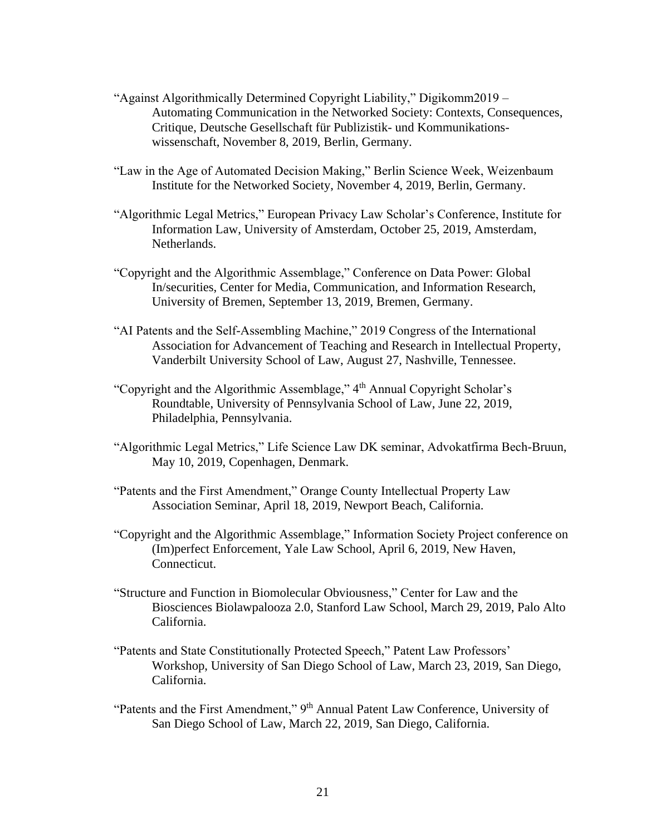- "Against Algorithmically Determined Copyright Liability," Digikomm2019 Automating Communication in the Networked Society: Contexts, Consequences, Critique, Deutsche Gesellschaft für Publizistik- und Kommunikationswissenschaft, November 8, 2019, Berlin, Germany.
- "Law in the Age of Automated Decision Making," Berlin Science Week, Weizenbaum Institute for the Networked Society, November 4, 2019, Berlin, Germany.
- "Algorithmic Legal Metrics," European Privacy Law Scholar's Conference, Institute for Information Law, University of Amsterdam, October 25, 2019, Amsterdam, Netherlands.
- "Copyright and the Algorithmic Assemblage," Conference on Data Power: Global In/securities, Center for Media, Communication, and Information Research, University of Bremen, September 13, 2019, Bremen, Germany.
- "AI Patents and the Self-Assembling Machine," 2019 Congress of the International Association for Advancement of Teaching and Research in Intellectual Property, Vanderbilt University School of Law, August 27, Nashville, Tennessee.
- "Copyright and the Algorithmic Assemblage," 4th Annual Copyright Scholar's Roundtable, University of Pennsylvania School of Law, June 22, 2019, Philadelphia, Pennsylvania.
- "Algorithmic Legal Metrics," Life Science Law DK seminar, Advokatfirma Bech-Bruun, May 10, 2019, Copenhagen, Denmark.
- "Patents and the First Amendment," Orange County Intellectual Property Law Association Seminar, April 18, 2019, Newport Beach, California.
- "Copyright and the Algorithmic Assemblage," Information Society Project conference on (Im)perfect Enforcement, Yale Law School, April 6, 2019, New Haven, Connecticut.
- "Structure and Function in Biomolecular Obviousness," Center for Law and the Biosciences Biolawpalooza 2.0, Stanford Law School, March 29, 2019, Palo Alto California.
- "Patents and State Constitutionally Protected Speech," Patent Law Professors' Workshop, University of San Diego School of Law, March 23, 2019, San Diego, California.
- "Patents and the First Amendment," 9<sup>th</sup> Annual Patent Law Conference, University of San Diego School of Law, March 22, 2019, San Diego, California.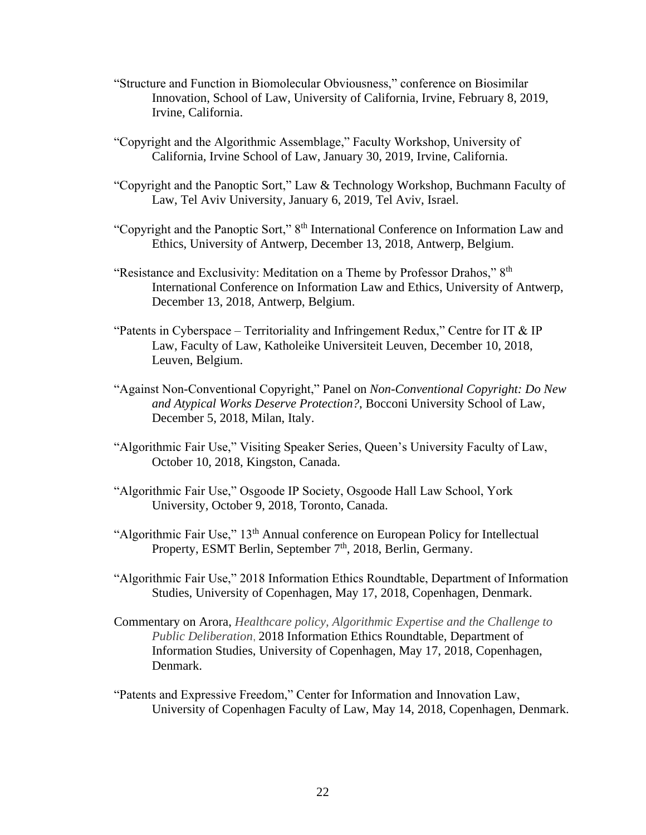- "Structure and Function in Biomolecular Obviousness," conference on Biosimilar Innovation, School of Law, University of California, Irvine, February 8, 2019, Irvine, California.
- "Copyright and the Algorithmic Assemblage," Faculty Workshop, University of California, Irvine School of Law, January 30, 2019, Irvine, California.
- "Copyright and the Panoptic Sort," Law & Technology Workshop, Buchmann Faculty of Law, Tel Aviv University, January 6, 2019, Tel Aviv, Israel.
- "Copyright and the Panoptic Sort," 8th International Conference on Information Law and Ethics, University of Antwerp, December 13, 2018, Antwerp, Belgium.
- "Resistance and Exclusivity: Meditation on a Theme by Professor Drahos," 8<sup>th</sup> International Conference on Information Law and Ethics, University of Antwerp, December 13, 2018, Antwerp, Belgium.
- "Patents in Cyberspace Territoriality and Infringement Redux," Centre for IT & IP Law, Faculty of Law, Katholeike Universiteit Leuven, December 10, 2018, Leuven, Belgium.
- "Against Non-Conventional Copyright," Panel on *Non-Conventional Copyright: Do New and Atypical Works Deserve Protection?*, Bocconi University School of Law, December 5, 2018, Milan, Italy.
- "Algorithmic Fair Use," Visiting Speaker Series, Queen's University Faculty of Law, October 10, 2018, Kingston, Canada.
- "Algorithmic Fair Use," Osgoode IP Society, Osgoode Hall Law School, York University, October 9, 2018, Toronto, Canada.
- "Algorithmic Fair Use," 13<sup>th</sup> Annual conference on European Policy for Intellectual Property, ESMT Berlin, September 7<sup>th</sup>, 2018, Berlin, Germany.
- "Algorithmic Fair Use," 2018 Information Ethics Roundtable, Department of Information Studies, University of Copenhagen, May 17, 2018, Copenhagen, Denmark.
- Commentary on Arora, *Healthcare policy, Algorithmic Expertise and the Challenge to Public Deliberation*, 2018 Information Ethics Roundtable, Department of Information Studies, University of Copenhagen, May 17, 2018, Copenhagen, Denmark.
- "Patents and Expressive Freedom," Center for Information and Innovation Law, University of Copenhagen Faculty of Law, May 14, 2018, Copenhagen, Denmark.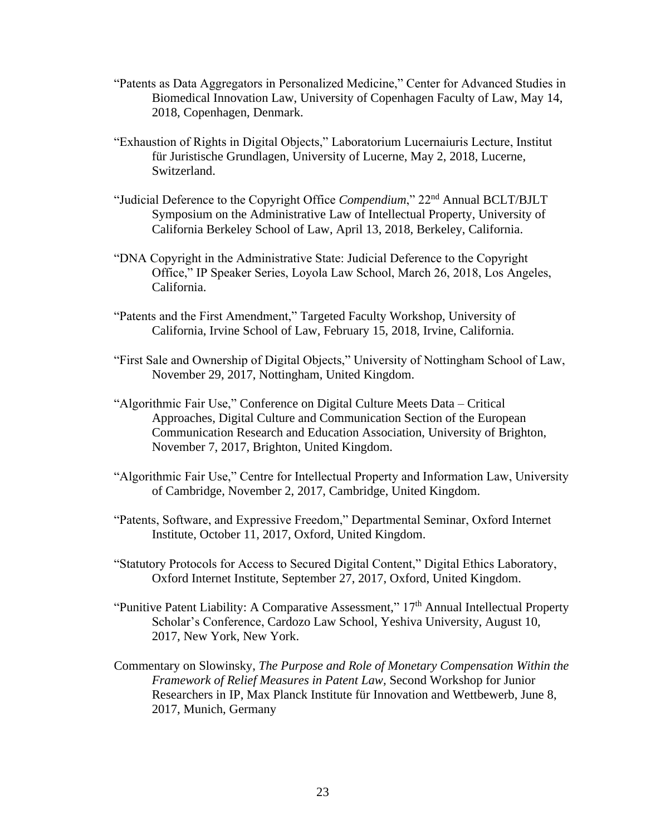- "Patents as Data Aggregators in Personalized Medicine," Center for Advanced Studies in Biomedical Innovation Law, University of Copenhagen Faculty of Law, May 14, 2018, Copenhagen, Denmark.
- "Exhaustion of Rights in Digital Objects," Laboratorium Lucernaiuris Lecture, Institut für Juristische Grundlagen, University of Lucerne, May 2, 2018, Lucerne, Switzerland.
- "Judicial Deference to the Copyright Office *Compendium*," 22nd Annual BCLT/BJLT Symposium on the Administrative Law of Intellectual Property, University of California Berkeley School of Law, April 13, 2018, Berkeley, California.
- "DNA Copyright in the Administrative State: Judicial Deference to the Copyright Office," IP Speaker Series, Loyola Law School, March 26, 2018, Los Angeles, California.
- "Patents and the First Amendment," Targeted Faculty Workshop, University of California, Irvine School of Law, February 15, 2018, Irvine, California.
- "First Sale and Ownership of Digital Objects," University of Nottingham School of Law, November 29, 2017, Nottingham, United Kingdom.
- "Algorithmic Fair Use," Conference on Digital Culture Meets Data Critical Approaches, Digital Culture and Communication Section of the European Communication Research and Education Association, University of Brighton, November 7, 2017, Brighton, United Kingdom.
- "Algorithmic Fair Use," Centre for Intellectual Property and Information Law, University of Cambridge, November 2, 2017, Cambridge, United Kingdom.
- "Patents, Software, and Expressive Freedom," Departmental Seminar, Oxford Internet Institute, October 11, 2017, Oxford, United Kingdom.
- "Statutory Protocols for Access to Secured Digital Content," Digital Ethics Laboratory, Oxford Internet Institute, September 27, 2017, Oxford, United Kingdom.
- "Punitive Patent Liability: A Comparative Assessment,"  $17<sup>th</sup>$  Annual Intellectual Property Scholar's Conference, Cardozo Law School, Yeshiva University, August 10, 2017, New York, New York.
- Commentary on Slowinsky, *The Purpose and Role of Monetary Compensation Within the Framework of Relief Measures in Patent Law,* Second Workshop for Junior Researchers in IP, Max Planck Institute für Innovation and Wettbewerb, June 8, 2017, Munich, Germany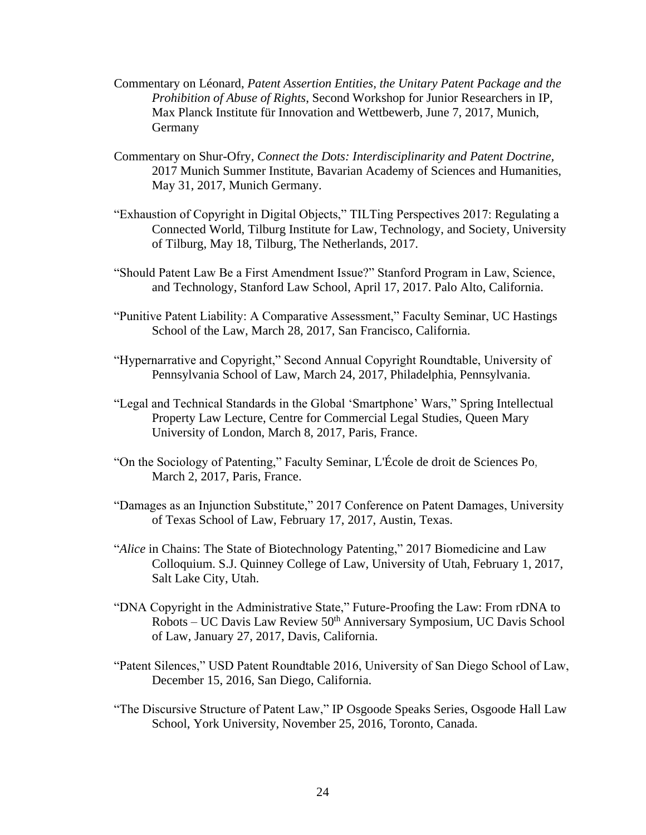- Commentary on Léonard, *Patent Assertion Entities, the Unitary Patent Package and the Prohibition of Abuse of Rights*, Second Workshop for Junior Researchers in IP, Max Planck Institute für Innovation and Wettbewerb, June 7, 2017, Munich, **Germany**
- Commentary on Shur-Ofry, *Connect the Dots: Interdisciplinarity and Patent Doctrine,* 2017 Munich Summer Institute, Bavarian Academy of Sciences and Humanities, May 31, 2017, Munich Germany.
- "Exhaustion of Copyright in Digital Objects," TILTing Perspectives 2017: Regulating a Connected World, Tilburg Institute for Law, Technology, and Society, University of Tilburg, May 18, Tilburg, The Netherlands, 2017.
- "Should Patent Law Be a First Amendment Issue?" Stanford Program in Law, Science, and Technology, Stanford Law School, April 17, 2017. Palo Alto, California.
- "Punitive Patent Liability: A Comparative Assessment," Faculty Seminar, UC Hastings School of the Law, March 28, 2017, San Francisco, California.
- "Hypernarrative and Copyright," Second Annual Copyright Roundtable, University of Pennsylvania School of Law, March 24, 2017, Philadelphia, Pennsylvania.
- "Legal and Technical Standards in the Global 'Smartphone' Wars," Spring Intellectual Property Law Lecture, Centre for Commercial Legal Studies, Queen Mary University of London, March 8, 2017, Paris, France.
- "On the Sociology of Patenting," Faculty Seminar, L'École de droit de Sciences Po, March 2, 2017, Paris, France.
- "Damages as an Injunction Substitute," 2017 Conference on Patent Damages, University of Texas School of Law, February 17, 2017, Austin, Texas.
- "*Alice* in Chains: The State of Biotechnology Patenting," 2017 Biomedicine and Law Colloquium. S.J. Quinney College of Law, University of Utah, February 1, 2017, Salt Lake City, Utah.
- "DNA Copyright in the Administrative State," Future-Proofing the Law: From rDNA to Robots – UC Davis Law Review 50<sup>th</sup> Anniversary Symposium, UC Davis School of Law, January 27, 2017, Davis, California.
- "Patent Silences," USD Patent Roundtable 2016, University of San Diego School of Law, December 15, 2016, San Diego, California.
- "The Discursive Structure of Patent Law," IP Osgoode Speaks Series, Osgoode Hall Law School, York University, November 25, 2016, Toronto, Canada.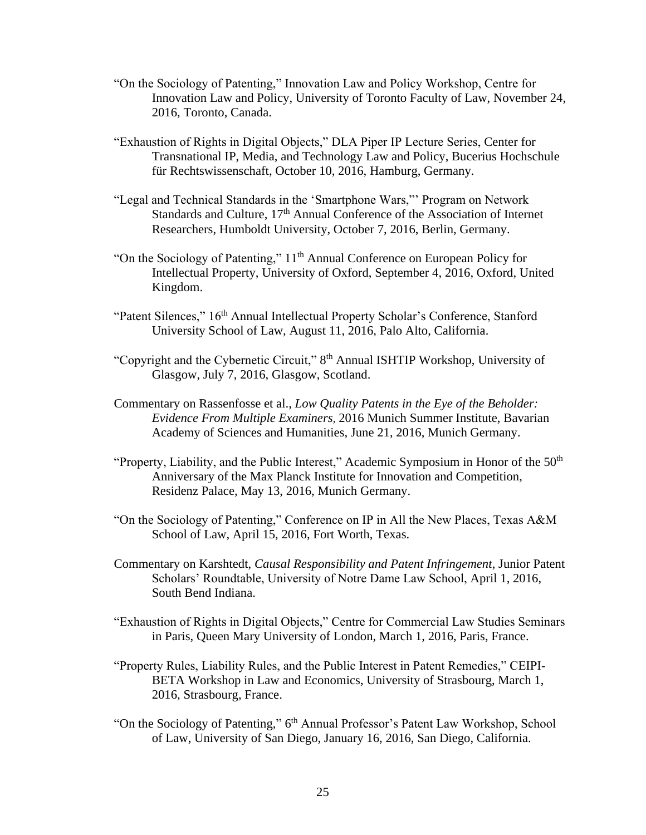- "On the Sociology of Patenting," Innovation Law and Policy Workshop, Centre for Innovation Law and Policy, University of Toronto Faculty of Law, November 24, 2016, Toronto, Canada.
- "Exhaustion of Rights in Digital Objects," DLA Piper IP Lecture Series, Center for Transnational IP, Media, and Technology Law and Policy, Bucerius Hochschule für Rechtswissenschaft, October 10, 2016, Hamburg, Germany.
- "Legal and Technical Standards in the 'Smartphone Wars,"' Program on Network Standards and Culture, 17<sup>th</sup> Annual Conference of the Association of Internet Researchers, Humboldt University, October 7, 2016, Berlin, Germany.
- "On the Sociology of Patenting," 11th Annual Conference on European Policy for Intellectual Property, University of Oxford, September 4, 2016, Oxford, United Kingdom.
- "Patent Silences," 16<sup>th</sup> Annual Intellectual Property Scholar's Conference, Stanford University School of Law, August 11, 2016, Palo Alto, California.
- "Copyright and the Cybernetic Circuit," 8<sup>th</sup> Annual ISHTIP Workshop, University of Glasgow, July 7, 2016, Glasgow, Scotland.
- Commentary on Rassenfosse et al., *Low Quality Patents in the Eye of the Beholder: Evidence From Multiple Examiners,* 2016 Munich Summer Institute, Bavarian Academy of Sciences and Humanities, June 21, 2016, Munich Germany.
- "Property, Liability, and the Public Interest," Academic Symposium in Honor of the 50<sup>th</sup> Anniversary of the Max Planck Institute for Innovation and Competition, Residenz Palace, May 13, 2016, Munich Germany.
- "On the Sociology of Patenting," Conference on IP in All the New Places, Texas A&M School of Law, April 15, 2016, Fort Worth, Texas.
- Commentary on Karshtedt, *Causal Responsibility and Patent Infringement*, Junior Patent Scholars' Roundtable, University of Notre Dame Law School, April 1, 2016, South Bend Indiana.
- "Exhaustion of Rights in Digital Objects," Centre for Commercial Law Studies Seminars in Paris, Queen Mary University of London, March 1, 2016, Paris, France.
- "Property Rules, Liability Rules, and the Public Interest in Patent Remedies," CEIPI-BETA Workshop in Law and Economics, University of Strasbourg, March 1, 2016, Strasbourg, France.
- "On the Sociology of Patenting," 6<sup>th</sup> Annual Professor's Patent Law Workshop, School of Law, University of San Diego, January 16, 2016, San Diego, California.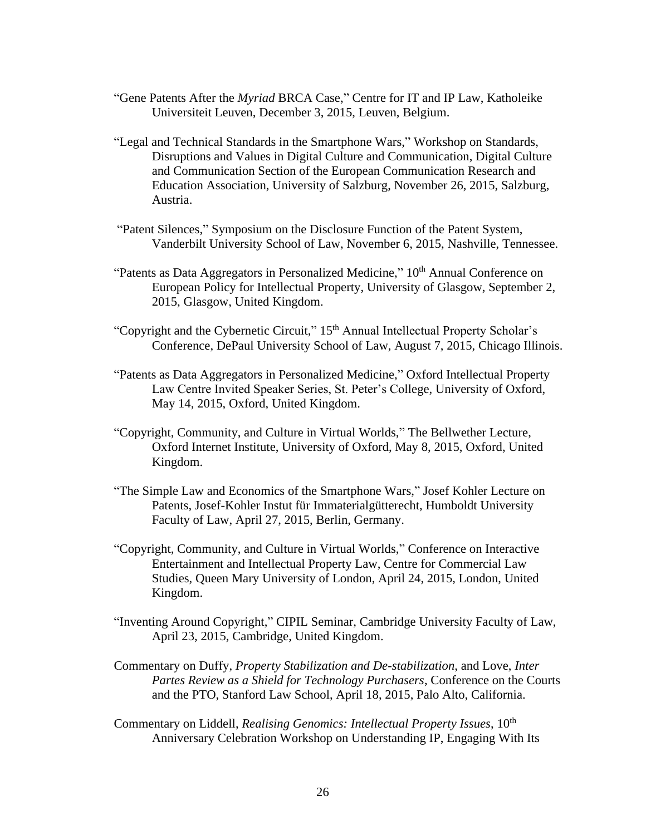- "Gene Patents After the *Myriad* BRCA Case," Centre for IT and IP Law, Katholeike Universiteit Leuven, December 3, 2015, Leuven, Belgium.
- "Legal and Technical Standards in the Smartphone Wars," Workshop on Standards, Disruptions and Values in Digital Culture and Communication, Digital Culture and Communication Section of the European Communication Research and Education Association, University of Salzburg, November 26, 2015, Salzburg, Austria.
- "Patent Silences," Symposium on the Disclosure Function of the Patent System, Vanderbilt University School of Law, November 6, 2015, Nashville, Tennessee.
- "Patents as Data Aggregators in Personalized Medicine,"  $10<sup>th</sup>$  Annual Conference on European Policy for Intellectual Property, University of Glasgow, September 2, 2015, Glasgow, United Kingdom.
- "Copyright and the Cybernetic Circuit," 15<sup>th</sup> Annual Intellectual Property Scholar's Conference, DePaul University School of Law, August 7, 2015, Chicago Illinois.
- "Patents as Data Aggregators in Personalized Medicine," Oxford Intellectual Property Law Centre Invited Speaker Series, St. Peter's College, University of Oxford, May 14, 2015, Oxford, United Kingdom.
- "Copyright, Community, and Culture in Virtual Worlds," The Bellwether Lecture, Oxford Internet Institute, University of Oxford, May 8, 2015, Oxford, United Kingdom.
- "The Simple Law and Economics of the Smartphone Wars," Josef Kohler Lecture on Patents, Josef-Kohler Instut für Immaterialgütterecht, Humboldt University Faculty of Law, April 27, 2015, Berlin, Germany.
- "Copyright, Community, and Culture in Virtual Worlds," Conference on Interactive Entertainment and Intellectual Property Law, Centre for Commercial Law Studies, Queen Mary University of London, April 24, 2015, London, United Kingdom.
- "Inventing Around Copyright," CIPIL Seminar, Cambridge University Faculty of Law, April 23, 2015, Cambridge, United Kingdom.
- Commentary on Duffy, *Property Stabilization and De-stabilization*, and Love, *Inter Partes Review as a Shield for Technology Purchasers*, Conference on the Courts and the PTO, Stanford Law School, April 18, 2015, Palo Alto, California.
- Commentary on Liddell, *Realising Genomics: Intellectual Property Issues*, 10<sup>th</sup> Anniversary Celebration Workshop on Understanding IP, Engaging With Its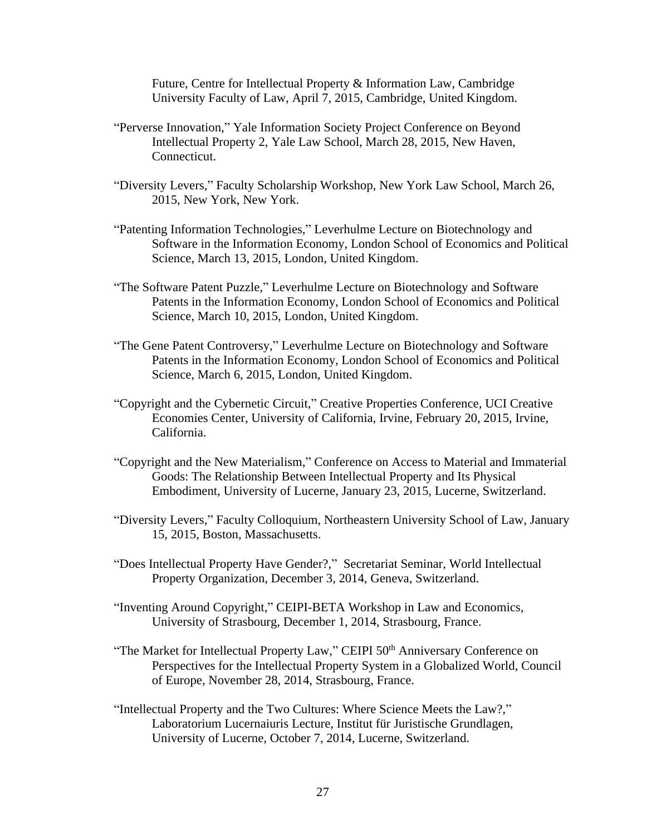Future, Centre for Intellectual Property & Information Law, Cambridge University Faculty of Law, April 7, 2015, Cambridge, United Kingdom.

- "Perverse Innovation," Yale Information Society Project Conference on Beyond Intellectual Property 2, Yale Law School, March 28, 2015, New Haven, Connecticut.
- "Diversity Levers," Faculty Scholarship Workshop, New York Law School, March 26, 2015, New York, New York.
- "Patenting Information Technologies," Leverhulme Lecture on Biotechnology and Software in the Information Economy, London School of Economics and Political Science, March 13, 2015, London, United Kingdom.
- "The Software Patent Puzzle," Leverhulme Lecture on Biotechnology and Software Patents in the Information Economy, London School of Economics and Political Science, March 10, 2015, London, United Kingdom.
- "The Gene Patent Controversy," Leverhulme Lecture on Biotechnology and Software Patents in the Information Economy, London School of Economics and Political Science, March 6, 2015, London, United Kingdom.
- "Copyright and the Cybernetic Circuit," Creative Properties Conference, UCI Creative Economies Center, University of California, Irvine, February 20, 2015, Irvine, California.
- "Copyright and the New Materialism," Conference on Access to Material and Immaterial Goods: The Relationship Between Intellectual Property and Its Physical Embodiment, University of Lucerne, January 23, 2015, Lucerne, Switzerland.
- "Diversity Levers," Faculty Colloquium, Northeastern University School of Law, January 15, 2015, Boston, Massachusetts.
- "Does Intellectual Property Have Gender?," Secretariat Seminar, World Intellectual Property Organization, December 3, 2014, Geneva, Switzerland.
- "Inventing Around Copyright," CEIPI-BETA Workshop in Law and Economics, University of Strasbourg, December 1, 2014, Strasbourg, France.
- "The Market for Intellectual Property Law," CEIPI 50<sup>th</sup> Anniversary Conference on Perspectives for the Intellectual Property System in a Globalized World, Council of Europe, November 28, 2014, Strasbourg, France.
- "Intellectual Property and the Two Cultures: Where Science Meets the Law?," Laboratorium Lucernaiuris Lecture, Institut für Juristische Grundlagen, University of Lucerne, October 7, 2014, Lucerne, Switzerland.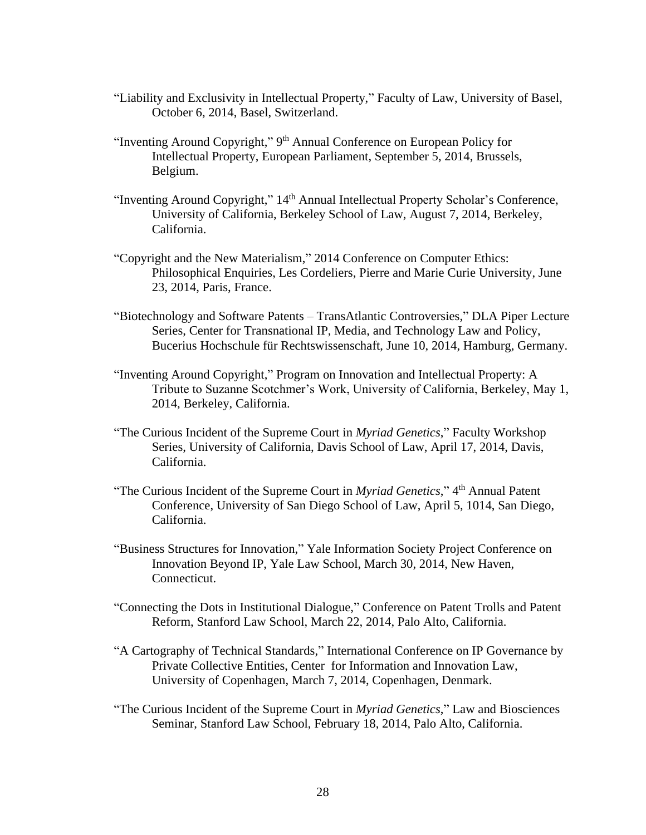- "Liability and Exclusivity in Intellectual Property," Faculty of Law, University of Basel, October 6, 2014, Basel, Switzerland.
- "Inventing Around Copyright," 9<sup>th</sup> Annual Conference on European Policy for Intellectual Property, European Parliament, September 5, 2014, Brussels, Belgium.
- "Inventing Around Copyright," 14<sup>th</sup> Annual Intellectual Property Scholar's Conference, University of California, Berkeley School of Law, August 7, 2014, Berkeley, California.
- "Copyright and the New Materialism," 2014 Conference on Computer Ethics: Philosophical Enquiries, Les Cordeliers, Pierre and Marie Curie University, June 23, 2014, Paris, France.
- "Biotechnology and Software Patents TransAtlantic Controversies," DLA Piper Lecture Series, Center for Transnational IP, Media, and Technology Law and Policy, Bucerius Hochschule für Rechtswissenschaft, June 10, 2014, Hamburg, Germany.
- "Inventing Around Copyright," Program on Innovation and Intellectual Property: A Tribute to Suzanne Scotchmer's Work, University of California, Berkeley, May 1, 2014, Berkeley, California.
- "The Curious Incident of the Supreme Court in *Myriad Genetics*," Faculty Workshop Series, University of California, Davis School of Law, April 17, 2014, Davis, California.
- "The Curious Incident of the Supreme Court in *Myriad Genetics*," 4<sup>th</sup> Annual Patent Conference, University of San Diego School of Law, April 5, 1014, San Diego, California.
- "Business Structures for Innovation," Yale Information Society Project Conference on Innovation Beyond IP, Yale Law School, March 30, 2014, New Haven, Connecticut.
- "Connecting the Dots in Institutional Dialogue," Conference on Patent Trolls and Patent Reform, Stanford Law School, March 22, 2014, Palo Alto, California.
- "A Cartography of Technical Standards," International Conference on IP Governance by Private Collective Entities, Center for Information and Innovation Law, University of Copenhagen, March 7, 2014, Copenhagen, Denmark.
- "The Curious Incident of the Supreme Court in *Myriad Genetics*," Law and Biosciences Seminar, Stanford Law School, February 18, 2014, Palo Alto, California.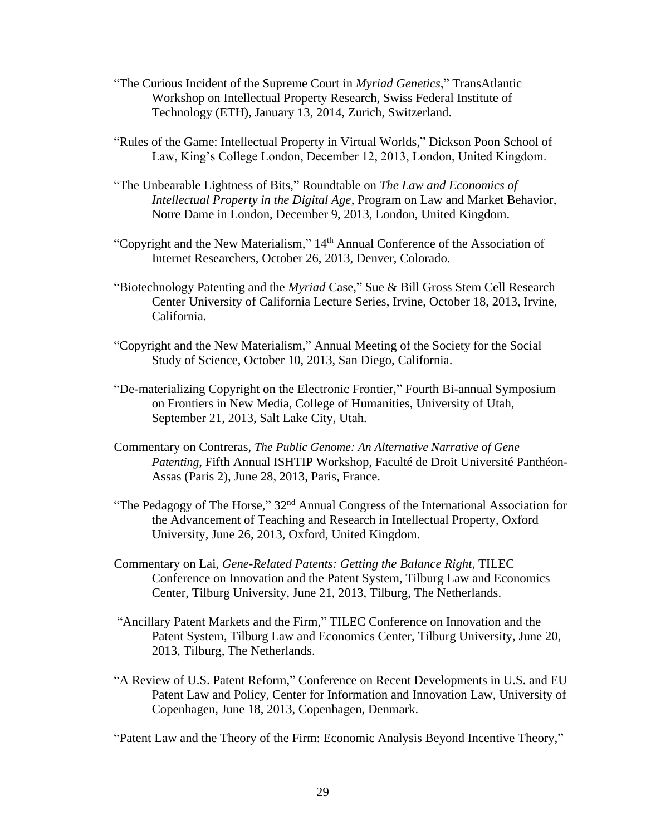- "The Curious Incident of the Supreme Court in *Myriad Genetics*," TransAtlantic Workshop on Intellectual Property Research, Swiss Federal Institute of Technology (ETH), January 13, 2014, Zurich, Switzerland.
- "Rules of the Game: Intellectual Property in Virtual Worlds," Dickson Poon School of Law, King's College London, December 12, 2013, London, United Kingdom.
- "The Unbearable Lightness of Bits," Roundtable on *The Law and Economics of Intellectual Property in the Digital Age*, Program on Law and Market Behavior, Notre Dame in London, December 9, 2013, London, United Kingdom.
- "Copyright and the New Materialism,"  $14<sup>th</sup>$  Annual Conference of the Association of Internet Researchers, October 26, 2013, Denver, Colorado.
- "Biotechnology Patenting and the *Myriad* Case," Sue & Bill Gross Stem Cell Research Center University of California Lecture Series, Irvine, October 18, 2013, Irvine, California.
- "Copyright and the New Materialism," Annual Meeting of the Society for the Social Study of Science, October 10, 2013, San Diego, California.
- "De-materializing Copyright on the Electronic Frontier," Fourth Bi-annual Symposium on Frontiers in New Media, College of Humanities, University of Utah, September 21, 2013, Salt Lake City, Utah.
- Commentary on Contreras, *The Public Genome: An Alternative Narrative of Gene Patenting*, Fifth Annual ISHTIP Workshop, Faculté de Droit Université Panthéon-Assas (Paris 2), June 28, 2013, Paris, France.
- "The Pedagogy of The Horse," 32<sup>nd</sup> Annual Congress of the International Association for the Advancement of Teaching and Research in Intellectual Property, Oxford University, June 26, 2013, Oxford, United Kingdom.
- Commentary on Lai, *Gene-Related Patents: Getting the Balance Right*, TILEC Conference on Innovation and the Patent System, Tilburg Law and Economics Center, Tilburg University, June 21, 2013, Tilburg, The Netherlands.
- "Ancillary Patent Markets and the Firm," TILEC Conference on Innovation and the Patent System, Tilburg Law and Economics Center, Tilburg University, June 20, 2013, Tilburg, The Netherlands.
- "A Review of U.S. Patent Reform," Conference on Recent Developments in U.S. and EU Patent Law and Policy, Center for Information and Innovation Law, University of Copenhagen, June 18, 2013, Copenhagen, Denmark.

"Patent Law and the Theory of the Firm: Economic Analysis Beyond Incentive Theory,"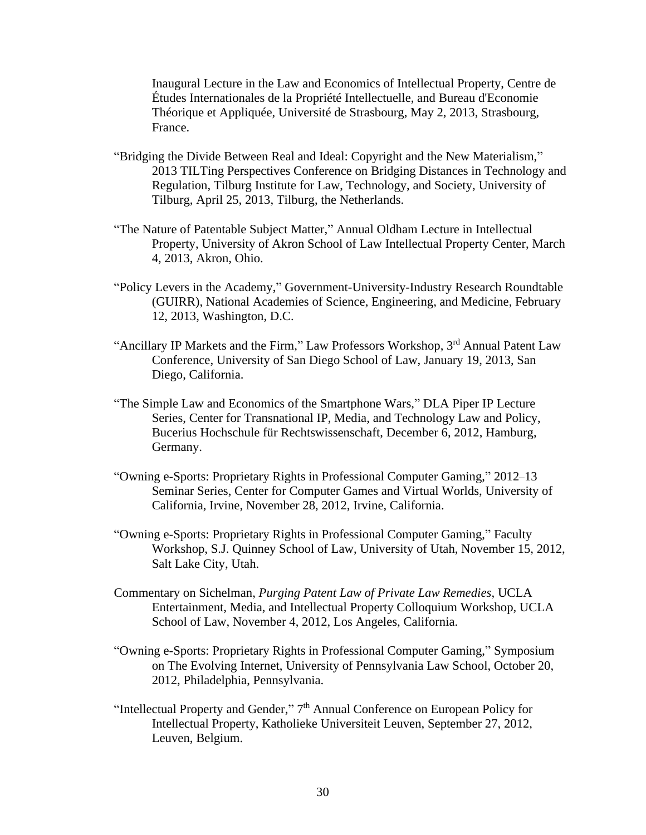Inaugural Lecture in the Law and Economics of Intellectual Property, Centre de Études Internationales de la Propriété Intellectuelle, and [Bureau d'Economie](http://www.beta-umr7522.fr/)  [Théorique et Appliquée,](http://www.beta-umr7522.fr/) Université de Strasbourg, May 2, 2013, Strasbourg, France.

- "Bridging the Divide Between Real and Ideal: Copyright and the New Materialism," 2013 TILTing Perspectives Conference on Bridging Distances in Technology and Regulation, Tilburg Institute for Law, Technology, and Society, University of Tilburg, April 25, 2013, Tilburg, the Netherlands.
- "The Nature of Patentable Subject Matter," Annual Oldham Lecture in Intellectual Property, University of Akron School of Law Intellectual Property Center, March 4, 2013, Akron, Ohio.
- "Policy Levers in the Academy," Government-University-Industry Research Roundtable (GUIRR), National Academies of Science, Engineering, and Medicine, February 12, 2013, Washington, D.C.
- "Ancillary IP Markets and the Firm," Law Professors Workshop, 3<sup>rd</sup> Annual Patent Law Conference, University of San Diego School of Law, January 19, 2013, San Diego, California.
- "The Simple Law and Economics of the Smartphone Wars," DLA Piper IP Lecture Series, Center for Transnational IP, Media, and Technology Law and Policy, Bucerius Hochschule für Rechtswissenschaft, December 6, 2012, Hamburg, Germany.
- "Owning e-Sports: Proprietary Rights in Professional Computer Gaming," 2012–13 Seminar Series, Center for Computer Games and Virtual Worlds, University of California, Irvine, November 28, 2012, Irvine, California.
- "Owning e-Sports: Proprietary Rights in Professional Computer Gaming," Faculty Workshop, S.J. Quinney School of Law, University of Utah, November 15, 2012, Salt Lake City, Utah.
- Commentary on Sichelman, *Purging Patent Law of Private Law Remedies*, UCLA Entertainment, Media, and Intellectual Property Colloquium Workshop, UCLA School of Law, November 4, 2012, Los Angeles, California.
- "Owning e-Sports: Proprietary Rights in Professional Computer Gaming," Symposium on The Evolving Internet, University of Pennsylvania Law School, October 20, 2012, Philadelphia, Pennsylvania.
- "Intellectual Property and Gender," 7<sup>th</sup> Annual Conference on European Policy for Intellectual Property, Katholieke Universiteit Leuven, September 27, 2012, Leuven, Belgium.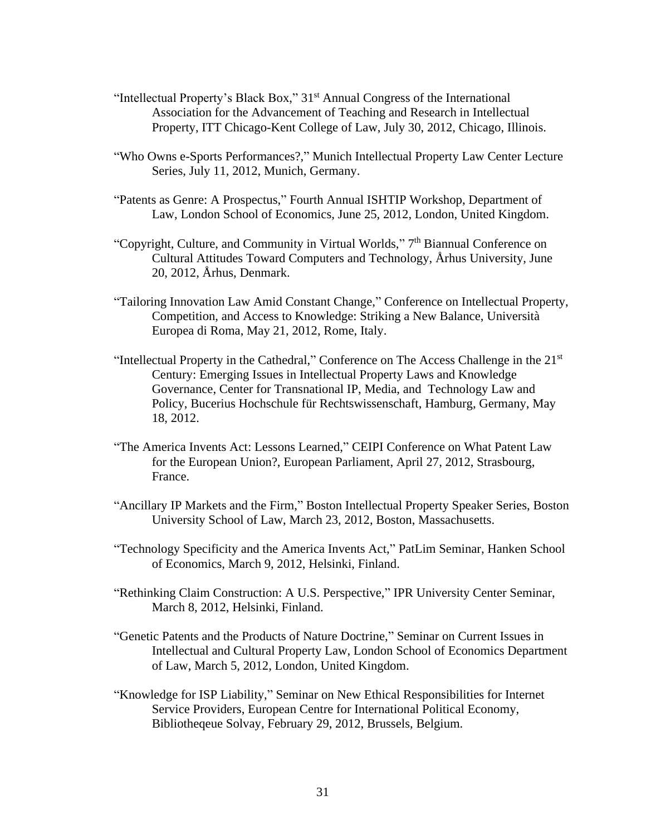- "Intellectual Property's Black Box," 31<sup>st</sup> Annual Congress of the International Association for the Advancement of Teaching and Research in Intellectual Property, ITT Chicago-Kent College of Law, July 30, 2012, Chicago, Illinois.
- "Who Owns e-Sports Performances?," Munich Intellectual Property Law Center Lecture Series, July 11, 2012, Munich, Germany.
- "Patents as Genre: A Prospectus," Fourth Annual ISHTIP Workshop, Department of Law, London School of Economics, June 25, 2012, London, United Kingdom.
- "Copyright, Culture, and Community in Virtual Worlds," 7<sup>th</sup> Biannual Conference on Cultural Attitudes Toward Computers and Technology, Århus University, June 20, 2012, Århus, Denmark.
- "Tailoring Innovation Law Amid Constant Change," Conference on Intellectual Property, Competition, and Access to Knowledge: Striking a New Balance, Università Europea di Roma, May 21, 2012, Rome, Italy.
- "Intellectual Property in the Cathedral," Conference on The Access Challenge in the 21st Century: Emerging Issues in Intellectual Property Laws and Knowledge Governance, Center for Transnational IP, Media, and Technology Law and Policy, Bucerius Hochschule für Rechtswissenschaft, Hamburg, Germany, May 18, 2012.
- "The America Invents Act: Lessons Learned," CEIPI Conference on What Patent Law for the European Union?, European Parliament, April 27, 2012, Strasbourg, France.
- "Ancillary IP Markets and the Firm," Boston Intellectual Property Speaker Series, Boston University School of Law, March 23, 2012, Boston, Massachusetts.
- "Technology Specificity and the America Invents Act," PatLim Seminar, Hanken School of Economics, March 9, 2012, Helsinki, Finland.
- "Rethinking Claim Construction: A U.S. Perspective," IPR University Center Seminar, March 8, 2012, Helsinki, Finland.
- "Genetic Patents and the Products of Nature Doctrine," Seminar on Current Issues in Intellectual and Cultural Property Law, London School of Economics Department of Law, March 5, 2012, London, United Kingdom.
- "Knowledge for ISP Liability," Seminar on New Ethical Responsibilities for Internet Service Providers, European Centre for International Political Economy, Bibliotheqeue Solvay, February 29, 2012, Brussels, Belgium.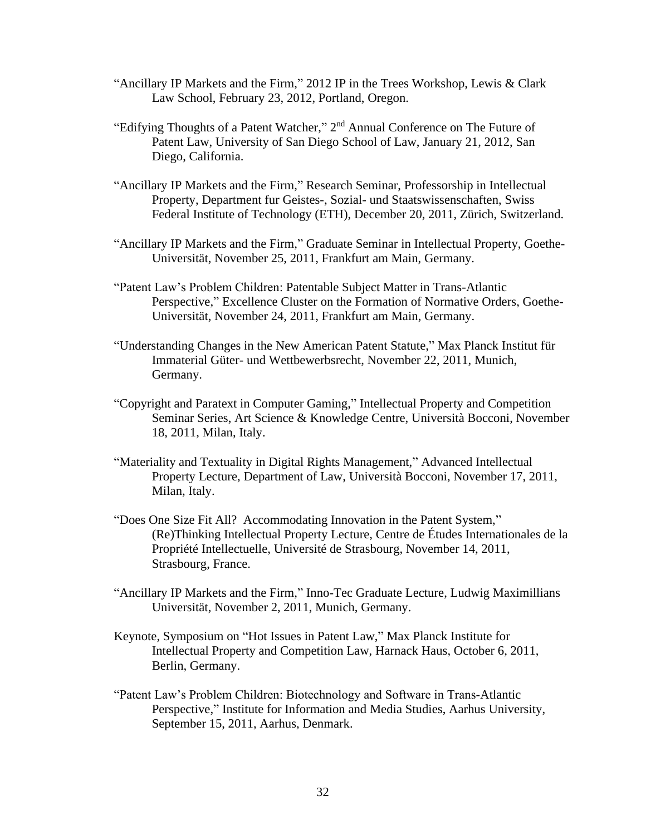- "Ancillary IP Markets and the Firm," 2012 IP in the Trees Workshop, Lewis & Clark Law School, February 23, 2012, Portland, Oregon.
- "Edifying Thoughts of a Patent Watcher," 2<sup>nd</sup> Annual Conference on The Future of Patent Law, University of San Diego School of Law, January 21, 2012, San Diego, California.
- "Ancillary IP Markets and the Firm," Research Seminar, Professorship in Intellectual Property, Department fur Geistes-, Sozial- und Staatswissenschaften, Swiss Federal Institute of Technology (ETH), December 20, 2011, Zürich, Switzerland.
- "Ancillary IP Markets and the Firm," Graduate Seminar in Intellectual Property, Goethe-Universität, November 25, 2011, Frankfurt am Main, Germany.
- "Patent Law's Problem Children: Patentable Subject Matter in Trans-Atlantic Perspective," Excellence Cluster on the Formation of Normative Orders, Goethe-Universität, November 24, 2011, Frankfurt am Main, Germany.
- "Understanding Changes in the New American Patent Statute," Max Planck Institut für Immaterial Güter- und Wettbewerbsrecht, November 22, 2011, Munich, Germany.
- "Copyright and Paratext in Computer Gaming," Intellectual Property and Competition Seminar Series, Art Science & Knowledge Centre, Università Bocconi, November 18, 2011, Milan, Italy.
- "Materiality and Textuality in Digital Rights Management," Advanced Intellectual Property Lecture, Department of Law, Università Bocconi, November 17, 2011, Milan, Italy.
- "Does One Size Fit All? Accommodating Innovation in the Patent System," (Re)Thinking Intellectual Property Lecture, Centre de Études Internationales de la Propriété Intellectuelle, Université de Strasbourg, November 14, 2011, Strasbourg, France.
- "Ancillary IP Markets and the Firm," Inno-Tec Graduate Lecture, Ludwig Maximillians Universität, November 2, 2011, Munich, Germany.
- Keynote, Symposium on "Hot Issues in Patent Law," Max Planck Institute for Intellectual Property and Competition Law, Harnack Haus, October 6, 2011, Berlin, Germany.
- "Patent Law's Problem Children: Biotechnology and Software in Trans-Atlantic Perspective," Institute for Information and Media Studies, Aarhus University, September 15, 2011, Aarhus, Denmark.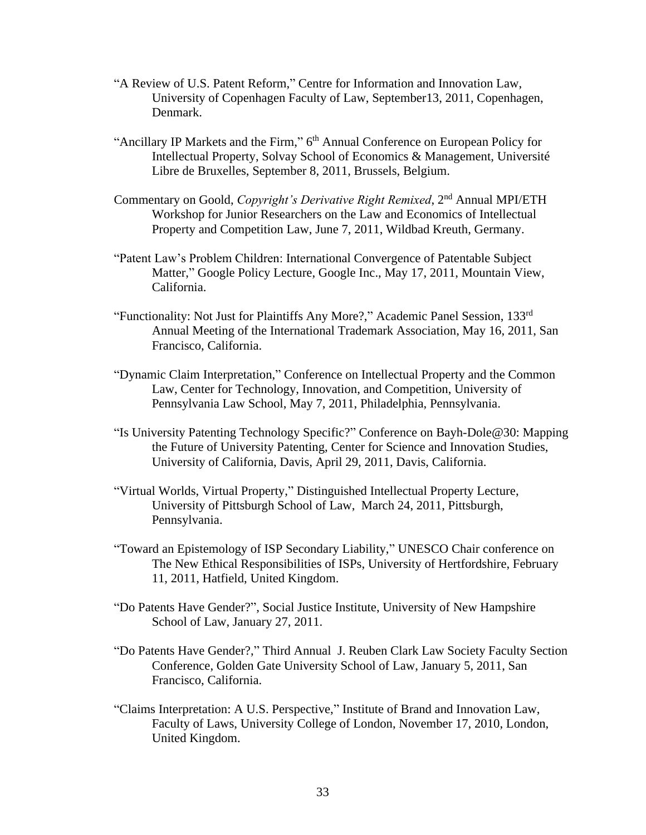- "A Review of U.S. Patent Reform," Centre for Information and Innovation Law, University of Copenhagen Faculty of Law, September13, 2011, Copenhagen, Denmark.
- "Ancillary IP Markets and the Firm," 6<sup>th</sup> Annual Conference on European Policy for Intellectual Property, Solvay School of Economics & Management, Université Libre de Bruxelles, September 8, 2011, Brussels, Belgium.
- Commentary on Goold, *Copyright's Derivative Right Remixed*, 2<sup>nd</sup> Annual MPI/ETH Workshop for Junior Researchers on the Law and Economics of Intellectual Property and Competition Law, June 7, 2011, Wildbad Kreuth, Germany.
- "Patent Law's Problem Children: International Convergence of Patentable Subject Matter," Google Policy Lecture, Google Inc., May 17, 2011, Mountain View, California.
- "Functionality: Not Just for Plaintiffs Any More?," Academic Panel Session, 133rd Annual Meeting of the International Trademark Association, May 16, 2011, San Francisco, California.
- "Dynamic Claim Interpretation," Conference on Intellectual Property and the Common Law, Center for Technology, Innovation, and Competition, University of Pennsylvania Law School, May 7, 2011, Philadelphia, Pennsylvania.
- "Is University Patenting Technology Specific?" Conference on Bayh-Dole@30: Mapping the Future of University Patenting, Center for Science and Innovation Studies, University of California, Davis, April 29, 2011, Davis, California.
- "Virtual Worlds, Virtual Property," Distinguished Intellectual Property Lecture, University of Pittsburgh School of Law, March 24, 2011, Pittsburgh, Pennsylvania.
- "Toward an Epistemology of ISP Secondary Liability," UNESCO Chair conference on The New Ethical Responsibilities of ISPs, University of Hertfordshire, February 11, 2011, Hatfield, United Kingdom.
- "Do Patents Have Gender?", Social Justice Institute, University of New Hampshire School of Law, January 27, 2011.
- "Do Patents Have Gender?," Third Annual J. Reuben Clark Law Society Faculty Section Conference, Golden Gate University School of Law, January 5, 2011, San Francisco, California.
- "Claims Interpretation: A U.S. Perspective," Institute of Brand and Innovation Law, Faculty of Laws, University College of London, November 17, 2010, London, United Kingdom.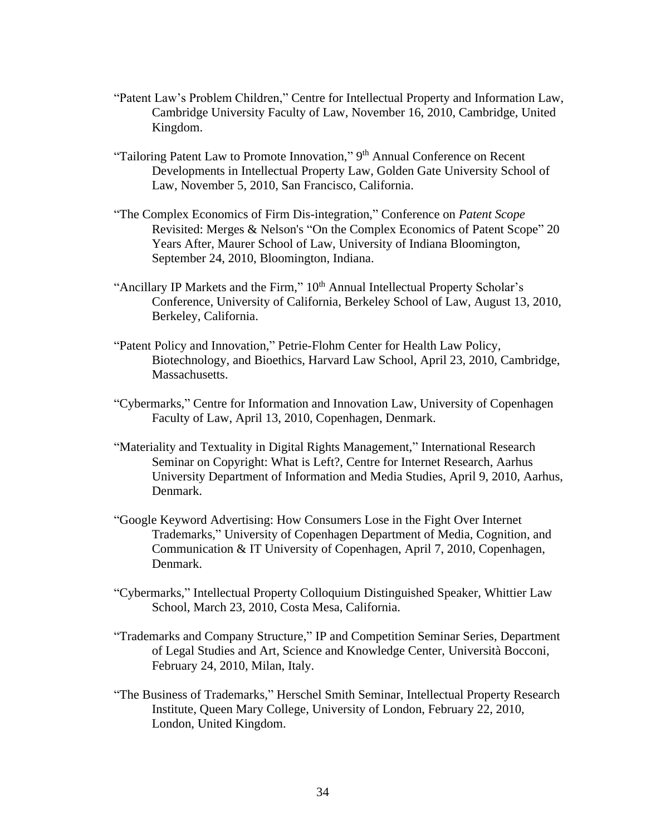- "Patent Law's Problem Children," Centre for Intellectual Property and Information Law, Cambridge University Faculty of Law, November 16, 2010, Cambridge, United Kingdom.
- "Tailoring Patent Law to Promote Innovation," 9<sup>th</sup> Annual Conference on Recent Developments in Intellectual Property Law, Golden Gate University School of Law, November 5, 2010, San Francisco, California.
- "The Complex Economics of Firm Dis-integration," Conference on *Patent Scope* Revisited: Merges & Nelson's "On the Complex Economics of Patent Scope" 20 Years After, Maurer School of Law, University of Indiana Bloomington, September 24, 2010, Bloomington, Indiana.
- "Ancillary IP Markets and the Firm," 10<sup>th</sup> Annual Intellectual Property Scholar's Conference, University of California, Berkeley School of Law, August 13, 2010, Berkeley, California.
- "Patent Policy and Innovation," Petrie-Flohm Center for Health Law Policy, Biotechnology, and Bioethics, Harvard Law School, April 23, 2010, Cambridge, Massachusetts.
- "Cybermarks," Centre for Information and Innovation Law, University of Copenhagen Faculty of Law, April 13, 2010, Copenhagen, Denmark.
- "Materiality and Textuality in Digital Rights Management," International Research Seminar on Copyright: What is Left?, Centre for Internet Research, Aarhus University Department of Information and Media Studies, April 9, 2010, Aarhus, Denmark.
- "Google Keyword Advertising: How Consumers Lose in the Fight Over Internet Trademarks," University of Copenhagen Department of Media, Cognition, and Communication & IT University of Copenhagen, April 7, 2010, Copenhagen, Denmark.
- "Cybermarks," Intellectual Property Colloquium Distinguished Speaker, Whittier Law School, March 23, 2010, Costa Mesa, California.
- "Trademarks and Company Structure," IP and Competition Seminar Series, Department of Legal Studies and Art, Science and Knowledge Center, Università Bocconi, February 24, 2010, Milan, Italy.
- "The Business of Trademarks," Herschel Smith Seminar, Intellectual Property Research Institute, Queen Mary College, University of London, February 22, 2010, London, United Kingdom.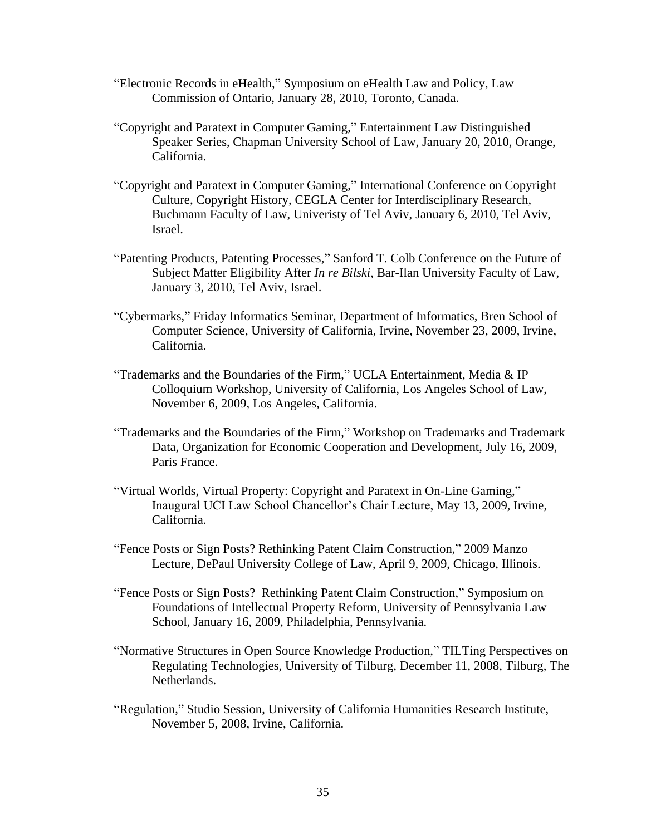- "Electronic Records in eHealth," Symposium on eHealth Law and Policy, Law Commission of Ontario, January 28, 2010, Toronto, Canada.
- "Copyright and Paratext in Computer Gaming," Entertainment Law Distinguished Speaker Series, Chapman University School of Law, January 20, 2010, Orange, California.
- "Copyright and Paratext in Computer Gaming," International Conference on Copyright Culture, Copyright History, CEGLA Center for Interdisciplinary Research, Buchmann Faculty of Law, Univeristy of Tel Aviv, January 6, 2010, Tel Aviv, Israel.
- "Patenting Products, Patenting Processes," Sanford T. Colb Conference on the Future of Subject Matter Eligibility After *In re Bilski*, Bar-Ilan University Faculty of Law, January 3, 2010, Tel Aviv, Israel.
- "Cybermarks," Friday Informatics Seminar, Department of Informatics, Bren School of Computer Science, University of California, Irvine, November 23, 2009, Irvine, California.
- "Trademarks and the Boundaries of the Firm," UCLA Entertainment, Media & IP Colloquium Workshop, University of California, Los Angeles School of Law, November 6, 2009, Los Angeles, California.
- "Trademarks and the Boundaries of the Firm," Workshop on Trademarks and Trademark Data, Organization for Economic Cooperation and Development, July 16, 2009, Paris France.
- "Virtual Worlds, Virtual Property: Copyright and Paratext in On-Line Gaming," Inaugural UCI Law School Chancellor's Chair Lecture, May 13, 2009, Irvine, California.
- "Fence Posts or Sign Posts? Rethinking Patent Claim Construction," 2009 Manzo Lecture, DePaul University College of Law, April 9, 2009, Chicago, Illinois.
- "Fence Posts or Sign Posts? Rethinking Patent Claim Construction," Symposium on Foundations of Intellectual Property Reform, University of Pennsylvania Law School, January 16, 2009, Philadelphia, Pennsylvania.
- "Normative Structures in Open Source Knowledge Production," TILTing Perspectives on Regulating Technologies, University of Tilburg, December 11, 2008, Tilburg, The Netherlands.
- "Regulation," Studio Session, University of California Humanities Research Institute, November 5, 2008, Irvine, California.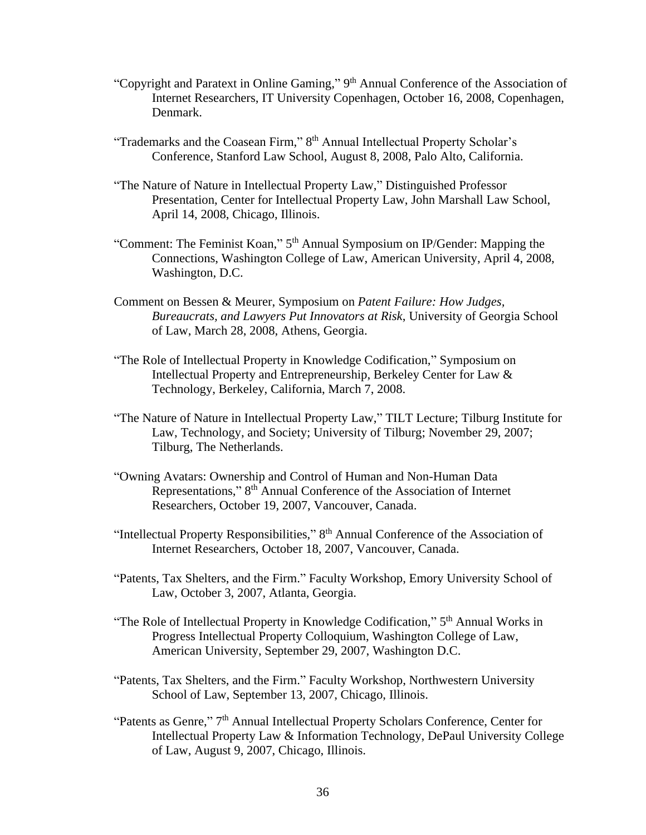- "Copyright and Paratext in Online Gaming," 9<sup>th</sup> Annual Conference of the Association of Internet Researchers, IT University Copenhagen, October 16, 2008, Copenhagen, Denmark.
- "Trademarks and the Coasean Firm," 8<sup>th</sup> Annual Intellectual Property Scholar's Conference, Stanford Law School, August 8, 2008, Palo Alto, California.
- "The Nature of Nature in Intellectual Property Law," Distinguished Professor Presentation, Center for Intellectual Property Law, John Marshall Law School, April 14, 2008, Chicago, Illinois.
- "Comment: The Feminist Koan," 5<sup>th</sup> Annual Symposium on IP/Gender: Mapping the Connections, Washington College of Law, American University, April 4, 2008, Washington, D.C.
- Comment on Bessen & Meurer, Symposium on *Patent Failure: How Judges, Bureaucrats, and Lawyers Put Innovators at Risk*, University of Georgia School of Law, March 28, 2008, Athens, Georgia.
- "The Role of Intellectual Property in Knowledge Codification," Symposium on Intellectual Property and Entrepreneurship, Berkeley Center for Law & Technology, Berkeley, California, March 7, 2008.
- "The Nature of Nature in Intellectual Property Law," TILT Lecture; Tilburg Institute for Law, Technology, and Society; University of Tilburg; November 29, 2007; Tilburg, The Netherlands.
- "Owning Avatars: Ownership and Control of Human and Non-Human Data Representations," 8<sup>th</sup> Annual Conference of the Association of Internet Researchers, October 19, 2007, Vancouver, Canada.
- "Intellectual Property Responsibilities," 8<sup>th</sup> Annual Conference of the Association of Internet Researchers, October 18, 2007, Vancouver, Canada.
- "Patents, Tax Shelters, and the Firm." Faculty Workshop, Emory University School of Law, October 3, 2007, Atlanta, Georgia.
- "The Role of Intellectual Property in Knowledge Codification," 5<sup>th</sup> Annual Works in Progress Intellectual Property Colloquium, Washington College of Law, American University, September 29, 2007, Washington D.C.
- "Patents, Tax Shelters, and the Firm." Faculty Workshop, Northwestern University School of Law, September 13, 2007, Chicago, Illinois.
- "Patents as Genre," 7<sup>th</sup> Annual Intellectual Property Scholars Conference, Center for Intellectual Property Law & Information Technology, DePaul University College of Law, August 9, 2007, Chicago, Illinois.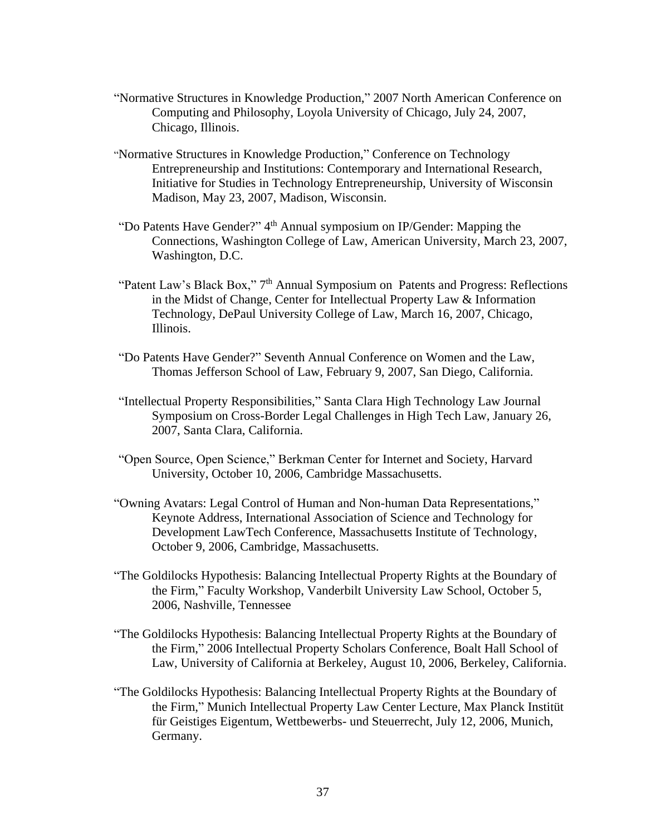- "Normative Structures in Knowledge Production," 2007 North American Conference on Computing and Philosophy, Loyola University of Chicago, July 24, 2007, Chicago, Illinois.
- "Normative Structures in Knowledge Production," Conference on Technology Entrepreneurship and Institutions: Contemporary and International Research, Initiative for Studies in Technology Entrepreneurship, University of Wisconsin Madison, May 23, 2007, Madison, Wisconsin.
- "Do Patents Have Gender?" 4<sup>th</sup> Annual symposium on IP/Gender: Mapping the Connections, Washington College of Law, American University, March 23, 2007, Washington, D.C.
- "Patent Law's Black Box," 7<sup>th</sup> Annual Symposium on Patents and Progress: Reflections in the Midst of Change, Center for Intellectual Property Law & Information Technology, DePaul University College of Law, March 16, 2007, Chicago, Illinois.
- "Do Patents Have Gender?" Seventh Annual Conference on Women and the Law, Thomas Jefferson School of Law, February 9, 2007, San Diego, California.
- "Intellectual Property Responsibilities," Santa Clara High Technology Law Journal Symposium on Cross-Border Legal Challenges in High Tech Law, January 26, 2007, Santa Clara, California.
- "Open Source, Open Science," Berkman Center for Internet and Society, Harvard University, October 10, 2006, Cambridge Massachusetts.
- "Owning Avatars: Legal Control of Human and Non-human Data Representations," Keynote Address, International Association of Science and Technology for Development LawTech Conference, Massachusetts Institute of Technology, October 9, 2006, Cambridge, Massachusetts.
- "The Goldilocks Hypothesis: Balancing Intellectual Property Rights at the Boundary of the Firm," Faculty Workshop, Vanderbilt University Law School, October 5, 2006, Nashville, Tennessee
- "The Goldilocks Hypothesis: Balancing Intellectual Property Rights at the Boundary of the Firm," 2006 Intellectual Property Scholars Conference, Boalt Hall School of Law, University of California at Berkeley, August 10, 2006, Berkeley, California.
- "The Goldilocks Hypothesis: Balancing Intellectual Property Rights at the Boundary of the Firm," Munich Intellectual Property Law Center Lecture, Max Planck Institüt für Geistiges Eigentum, Wettbewerbs- und Steuerrecht, July 12, 2006, Munich, Germany.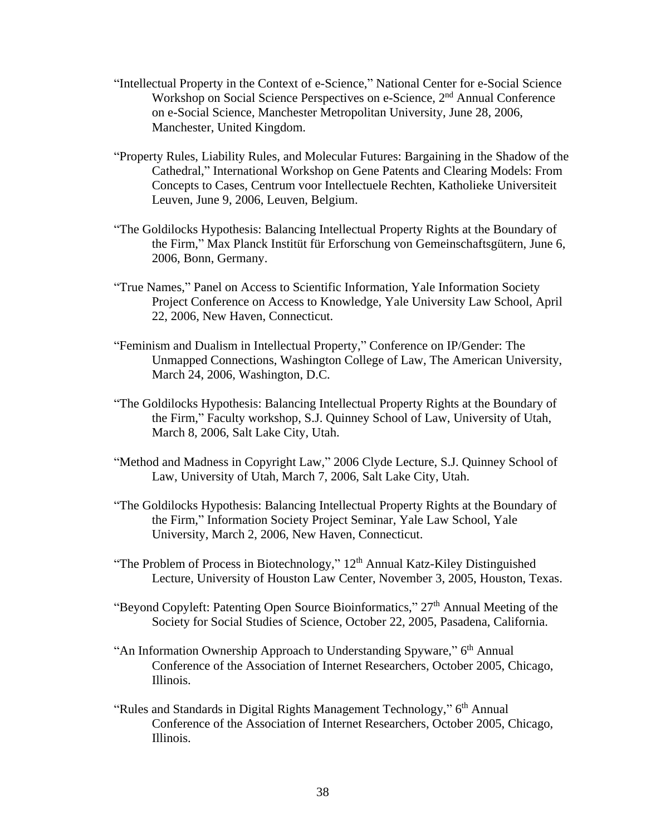- "Intellectual Property in the Context of e-Science," National Center for e-Social Science Workshop on Social Science Perspectives on e-Science, 2<sup>nd</sup> Annual Conference on e-Social Science, Manchester Metropolitan University, June 28, 2006, Manchester, United Kingdom.
- "Property Rules, Liability Rules, and Molecular Futures: Bargaining in the Shadow of the Cathedral," International Workshop on Gene Patents and Clearing Models: From Concepts to Cases, Centrum voor Intellectuele Rechten, Katholieke Universiteit Leuven, June 9, 2006, Leuven, Belgium.
- "The Goldilocks Hypothesis: Balancing Intellectual Property Rights at the Boundary of the Firm," Max Planck Institüt für Erforschung von Gemeinschaftsgütern, June 6, 2006, Bonn, Germany.
- "True Names," Panel on Access to Scientific Information, Yale Information Society Project Conference on Access to Knowledge, Yale University Law School, April 22, 2006, New Haven, Connecticut.
- "Feminism and Dualism in Intellectual Property," Conference on IP/Gender: The Unmapped Connections, Washington College of Law, The American University, March 24, 2006, Washington, D.C.
- "The Goldilocks Hypothesis: Balancing Intellectual Property Rights at the Boundary of the Firm," Faculty workshop, S.J. Quinney School of Law, University of Utah, March 8, 2006, Salt Lake City, Utah.
- "Method and Madness in Copyright Law," 2006 Clyde Lecture, S.J. Quinney School of Law, University of Utah, March 7, 2006, Salt Lake City, Utah.
- "The Goldilocks Hypothesis: Balancing Intellectual Property Rights at the Boundary of the Firm," Information Society Project Seminar, Yale Law School, Yale University, March 2, 2006, New Haven, Connecticut.
- "The Problem of Process in Biotechnology,"  $12<sup>th</sup>$  Annual Katz-Kiley Distinguished Lecture, University of Houston Law Center, November 3, 2005, Houston, Texas.
- "Beyond Copyleft: Patenting Open Source Bioinformatics,"  $27<sup>th</sup>$  Annual Meeting of the Society for Social Studies of Science, October 22, 2005, Pasadena, California.
- "An Information Ownership Approach to Understanding Spyware," 6<sup>th</sup> Annual Conference of the Association of Internet Researchers, October 2005, Chicago, Illinois.
- "Rules and Standards in Digital Rights Management Technology," 6<sup>th</sup> Annual Conference of the Association of Internet Researchers, October 2005, Chicago, Illinois.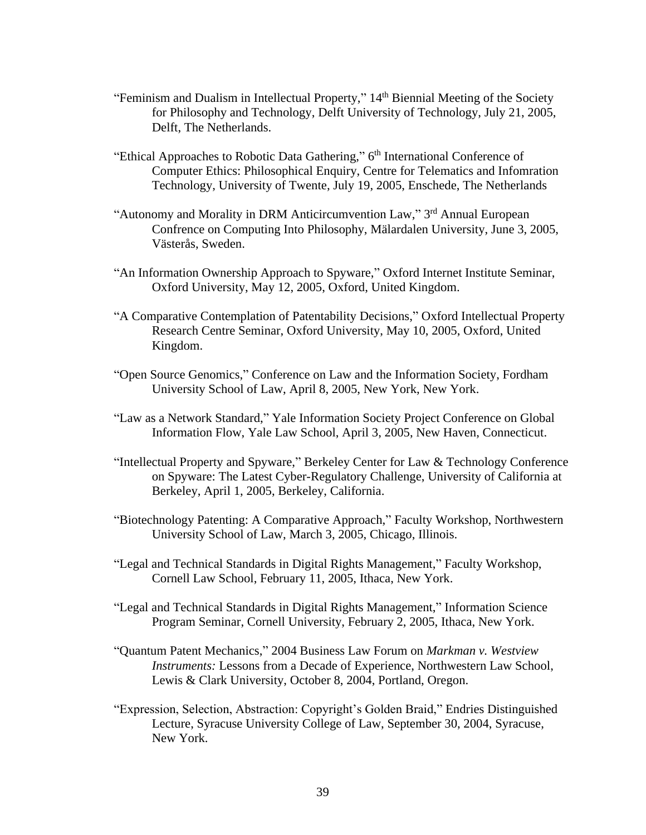- "Feminism and Dualism in Intellectual Property," 14<sup>th</sup> Biennial Meeting of the Society for Philosophy and Technology, Delft University of Technology, July 21, 2005, Delft, The Netherlands.
- "Ethical Approaches to Robotic Data Gathering," 6<sup>th</sup> International Conference of Computer Ethics: Philosophical Enquiry, Centre for Telematics and Infomration Technology, University of Twente, July 19, 2005, Enschede, The Netherlands
- "Autonomy and Morality in DRM Anticircumvention Law," 3rd Annual European Confrence on Computing Into Philosophy, Mälardalen University, June 3, 2005, Västerås, Sweden.
- "An Information Ownership Approach to Spyware," Oxford Internet Institute Seminar, Oxford University, May 12, 2005, Oxford, United Kingdom.
- "A Comparative Contemplation of Patentability Decisions," Oxford Intellectual Property Research Centre Seminar, Oxford University, May 10, 2005, Oxford, United Kingdom.
- "Open Source Genomics," Conference on Law and the Information Society, Fordham University School of Law, April 8, 2005, New York, New York.
- "Law as a Network Standard," Yale Information Society Project Conference on Global Information Flow, Yale Law School, April 3, 2005, New Haven, Connecticut.
- "Intellectual Property and Spyware," Berkeley Center for Law & Technology Conference on Spyware: The Latest Cyber-Regulatory Challenge, University of California at Berkeley, April 1, 2005, Berkeley, California.
- "Biotechnology Patenting: A Comparative Approach," Faculty Workshop, Northwestern University School of Law, March 3, 2005, Chicago, Illinois.
- "Legal and Technical Standards in Digital Rights Management," Faculty Workshop, Cornell Law School, February 11, 2005, Ithaca, New York.
- "Legal and Technical Standards in Digital Rights Management," Information Science Program Seminar, Cornell University, February 2, 2005, Ithaca, New York.
- "Quantum Patent Mechanics," 2004 Business Law Forum on *Markman v. Westview Instruments:* Lessons from a Decade of Experience, Northwestern Law School, Lewis & Clark University, October 8, 2004, Portland, Oregon.
- "Expression, Selection, Abstraction: Copyright's Golden Braid," Endries Distinguished Lecture, Syracuse University College of Law, September 30, 2004, Syracuse, New York.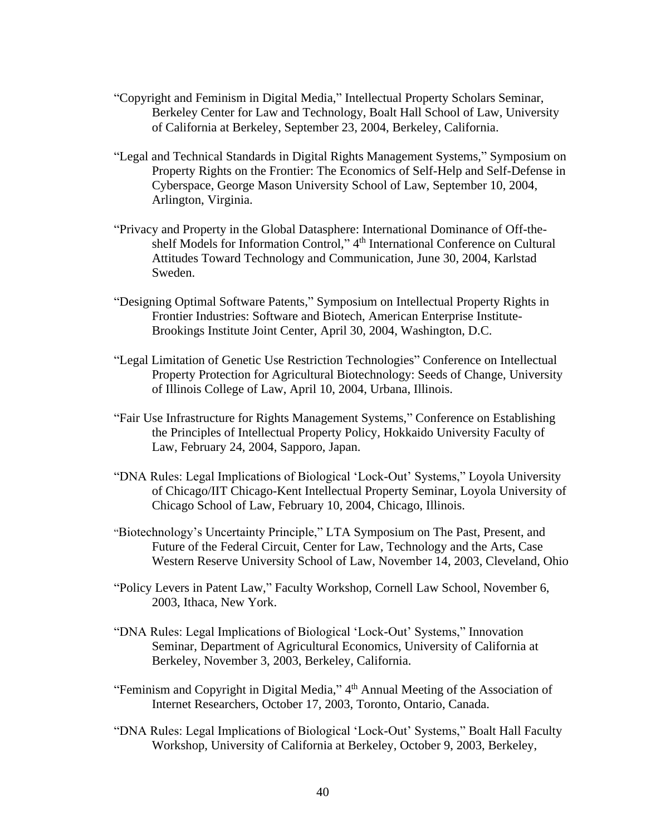- "Copyright and Feminism in Digital Media," Intellectual Property Scholars Seminar, Berkeley Center for Law and Technology, Boalt Hall School of Law, University of California at Berkeley, September 23, 2004, Berkeley, California.
- "Legal and Technical Standards in Digital Rights Management Systems," Symposium on Property Rights on the Frontier: The Economics of Self-Help and Self-Defense in Cyberspace, George Mason University School of Law, September 10, 2004, Arlington, Virginia.
- "Privacy and Property in the Global Datasphere: International Dominance of Off-theshelf Models for Information Control," 4<sup>th</sup> International Conference on Cultural Attitudes Toward Technology and Communication, June 30, 2004, Karlstad Sweden.
- "Designing Optimal Software Patents," Symposium on Intellectual Property Rights in Frontier Industries: Software and Biotech, American Enterprise Institute-Brookings Institute Joint Center, April 30, 2004, Washington, D.C.
- "Legal Limitation of Genetic Use Restriction Technologies" Conference on Intellectual Property Protection for Agricultural Biotechnology: Seeds of Change, University of Illinois College of Law, April 10, 2004, Urbana, Illinois.
- "Fair Use Infrastructure for Rights Management Systems," Conference on Establishing the Principles of Intellectual Property Policy, Hokkaido University Faculty of Law, February 24, 2004, Sapporo, Japan.
- "DNA Rules: Legal Implications of Biological 'Lock-Out' Systems," Loyola University of Chicago/IIT Chicago-Kent Intellectual Property Seminar, Loyola University of Chicago School of Law, February 10, 2004, Chicago, Illinois.
- "Biotechnology's Uncertainty Principle," LTA Symposium on The Past, Present, and Future of the Federal Circuit, Center for Law, Technology and the Arts, Case Western Reserve University School of Law, November 14, 2003, Cleveland, Ohio
- "Policy Levers in Patent Law," Faculty Workshop, Cornell Law School, November 6, 2003, Ithaca, New York.
- "DNA Rules: Legal Implications of Biological 'Lock-Out' Systems," Innovation Seminar, Department of Agricultural Economics, University of California at Berkeley, November 3, 2003, Berkeley, California.
- "Feminism and Copyright in Digital Media," 4<sup>th</sup> Annual Meeting of the Association of Internet Researchers, October 17, 2003, Toronto, Ontario, Canada.
- "DNA Rules: Legal Implications of Biological 'Lock-Out' Systems," Boalt Hall Faculty Workshop, University of California at Berkeley, October 9, 2003, Berkeley,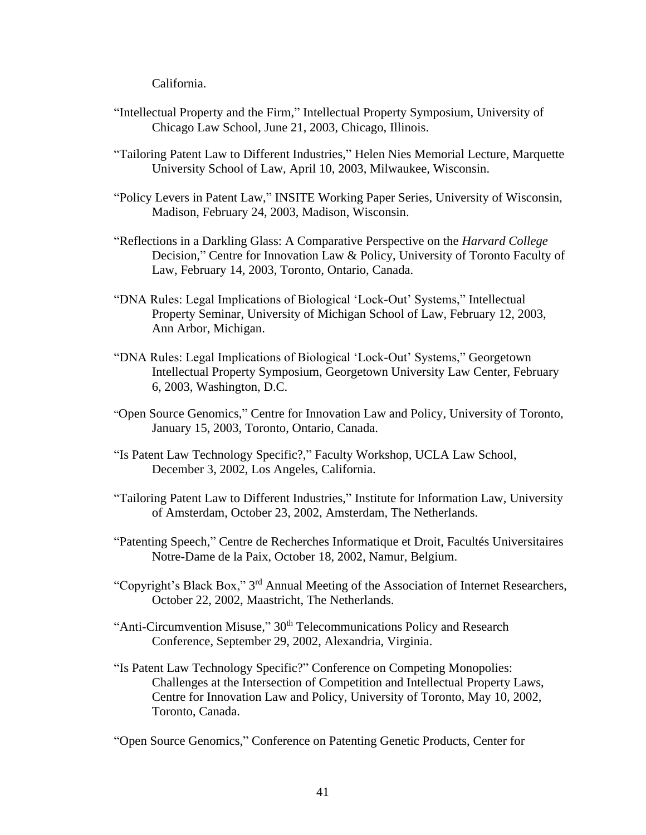California.

- "Intellectual Property and the Firm," Intellectual Property Symposium, University of Chicago Law School, June 21, 2003, Chicago, Illinois.
- "Tailoring Patent Law to Different Industries," Helen Nies Memorial Lecture, Marquette University School of Law, April 10, 2003, Milwaukee, Wisconsin.
- "Policy Levers in Patent Law," INSITE Working Paper Series, University of Wisconsin, Madison, February 24, 2003, Madison, Wisconsin.
- "Reflections in a Darkling Glass: A Comparative Perspective on the *Harvard College* Decision," Centre for Innovation Law & Policy, University of Toronto Faculty of Law, February 14, 2003, Toronto, Ontario, Canada.
- "DNA Rules: Legal Implications of Biological 'Lock-Out' Systems," Intellectual Property Seminar, University of Michigan School of Law, February 12, 2003, Ann Arbor, Michigan.
- "DNA Rules: Legal Implications of Biological 'Lock-Out' Systems," Georgetown Intellectual Property Symposium, Georgetown University Law Center, February 6, 2003, Washington, D.C.
- "Open Source Genomics," Centre for Innovation Law and Policy, University of Toronto, January 15, 2003, Toronto, Ontario, Canada.
- "Is Patent Law Technology Specific?," Faculty Workshop, UCLA Law School, December 3, 2002, Los Angeles, California.
- "Tailoring Patent Law to Different Industries," Institute for Information Law, University of Amsterdam, October 23, 2002, Amsterdam, The Netherlands.
- "Patenting Speech," Centre de Recherches Informatique et Droit, Facultés Universitaires Notre-Dame de la Paix, October 18, 2002, Namur, Belgium.
- "Copyright's Black Box," 3<sup>rd</sup> Annual Meeting of the Association of Internet Researchers, October 22, 2002, Maastricht, The Netherlands.
- "Anti-Circumvention Misuse," 30<sup>th</sup> Telecommunications Policy and Research Conference, September 29, 2002, Alexandria, Virginia.
- "Is Patent Law Technology Specific?" Conference on Competing Monopolies: Challenges at the Intersection of Competition and Intellectual Property Laws, Centre for Innovation Law and Policy, University of Toronto, May 10, 2002, Toronto, Canada.

"Open Source Genomics," Conference on Patenting Genetic Products, Center for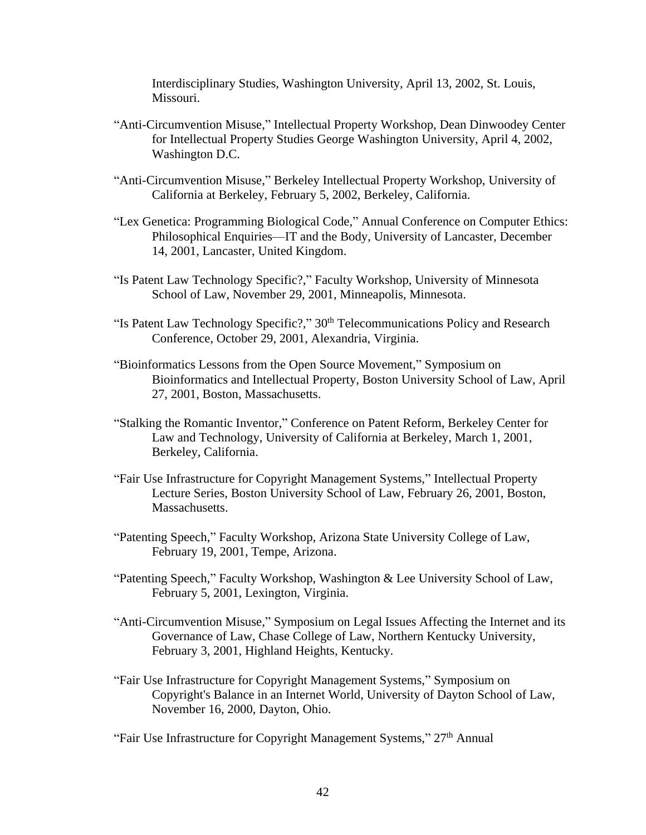Interdisciplinary Studies, Washington University, April 13, 2002, St. Louis, Missouri.

- "Anti-Circumvention Misuse," Intellectual Property Workshop, Dean Dinwoodey Center for Intellectual Property Studies George Washington University, April 4, 2002, Washington D.C.
- "Anti-Circumvention Misuse," Berkeley Intellectual Property Workshop, University of California at Berkeley, February 5, 2002, Berkeley, California.
- "Lex Genetica: Programming Biological Code," Annual Conference on Computer Ethics: Philosophical Enquiries—IT and the Body, University of Lancaster, December 14, 2001, Lancaster, United Kingdom.
- "Is Patent Law Technology Specific?," Faculty Workshop, University of Minnesota School of Law, November 29, 2001, Minneapolis, Minnesota.
- "Is Patent Law Technology Specific?,"  $30<sup>th</sup>$  Telecommunications Policy and Research Conference, October 29, 2001, Alexandria, Virginia.
- "Bioinformatics Lessons from the Open Source Movement," Symposium on Bioinformatics and Intellectual Property, Boston University School of Law, April 27, 2001, Boston, Massachusetts.
- "Stalking the Romantic Inventor," Conference on Patent Reform, Berkeley Center for Law and Technology, University of California at Berkeley, March 1, 2001, Berkeley, California.
- "Fair Use Infrastructure for Copyright Management Systems," Intellectual Property Lecture Series, Boston University School of Law, February 26, 2001, Boston, Massachusetts.
- "Patenting Speech," Faculty Workshop, Arizona State University College of Law, February 19, 2001, Tempe, Arizona.
- "Patenting Speech," Faculty Workshop, Washington & Lee University School of Law, February 5, 2001, Lexington, Virginia.
- "Anti-Circumvention Misuse," Symposium on Legal Issues Affecting the Internet and its Governance of Law, Chase College of Law, Northern Kentucky University, February 3, 2001, Highland Heights, Kentucky.
- "Fair Use Infrastructure for Copyright Management Systems," Symposium on Copyright's Balance in an Internet World, University of Dayton School of Law, November 16, 2000, Dayton, Ohio.

"Fair Use Infrastructure for Copyright Management Systems," 27<sup>th</sup> Annual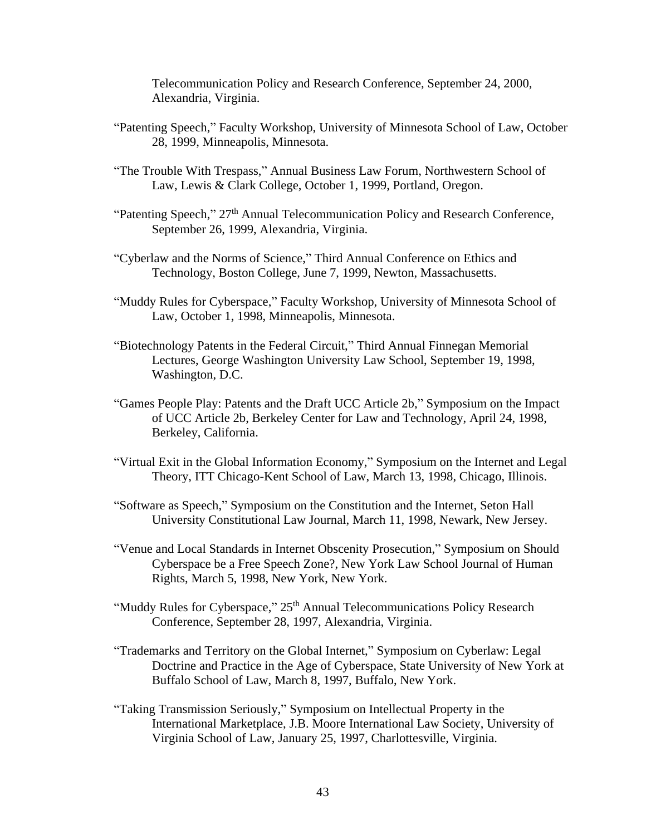Telecommunication Policy and Research Conference, September 24, 2000, Alexandria, Virginia.

- "Patenting Speech," Faculty Workshop, University of Minnesota School of Law, October 28, 1999, Minneapolis, Minnesota.
- "The Trouble With Trespass," Annual Business Law Forum, Northwestern School of Law, Lewis & Clark College, October 1, 1999, Portland, Oregon.
- "Patenting Speech," 27<sup>th</sup> Annual Telecommunication Policy and Research Conference, September 26, 1999, Alexandria, Virginia.
- "Cyberlaw and the Norms of Science," Third Annual Conference on Ethics and Technology, Boston College, June 7, 1999, Newton, Massachusetts.
- "Muddy Rules for Cyberspace," Faculty Workshop, University of Minnesota School of Law, October 1, 1998, Minneapolis, Minnesota.
- "Biotechnology Patents in the Federal Circuit," Third Annual Finnegan Memorial Lectures, George Washington University Law School, September 19, 1998, Washington, D.C.
- "Games People Play: Patents and the Draft UCC Article 2b," Symposium on the Impact of UCC Article 2b, Berkeley Center for Law and Technology, April 24, 1998, Berkeley, California.
- "Virtual Exit in the Global Information Economy," Symposium on the Internet and Legal Theory, ITT Chicago-Kent School of Law, March 13, 1998, Chicago, Illinois.
- "Software as Speech," Symposium on the Constitution and the Internet, Seton Hall University Constitutional Law Journal, March 11, 1998, Newark, New Jersey.
- "Venue and Local Standards in Internet Obscenity Prosecution," Symposium on Should Cyberspace be a Free Speech Zone?, New York Law School Journal of Human Rights, March 5, 1998, New York, New York.
- "Muddy Rules for Cyberspace," 25<sup>th</sup> Annual Telecommunications Policy Research Conference, September 28, 1997, Alexandria, Virginia.
- "Trademarks and Territory on the Global Internet," Symposium on Cyberlaw: Legal Doctrine and Practice in the Age of Cyberspace, State University of New York at Buffalo School of Law, March 8, 1997, Buffalo, New York.
- "Taking Transmission Seriously," Symposium on Intellectual Property in the International Marketplace, J.B. Moore International Law Society, University of Virginia School of Law, January 25, 1997, Charlottesville, Virginia.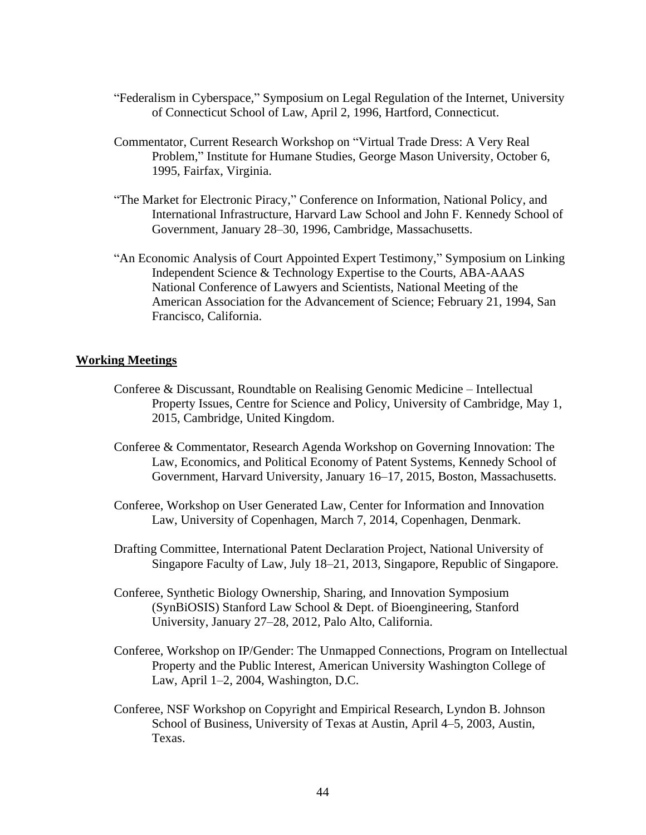- "Federalism in Cyberspace," Symposium on Legal Regulation of the Internet, University of Connecticut School of Law, April 2, 1996, Hartford, Connecticut.
- Commentator, Current Research Workshop on "Virtual Trade Dress: A Very Real Problem," Institute for Humane Studies, George Mason University, October 6, 1995, Fairfax, Virginia.
- "The Market for Electronic Piracy," Conference on Information, National Policy, and International Infrastructure, Harvard Law School and John F. Kennedy School of Government, January 28–30, 1996, Cambridge, Massachusetts.
- "An Economic Analysis of Court Appointed Expert Testimony," Symposium on Linking Independent Science & Technology Expertise to the Courts, ABA-AAAS National Conference of Lawyers and Scientists, National Meeting of the American Association for the Advancement of Science; February 21, 1994, San Francisco, California.

# **Working Meetings**

- Conferee & Discussant, Roundtable on Realising Genomic Medicine Intellectual Property Issues, Centre for Science and Policy, University of Cambridge, May 1, 2015, Cambridge, United Kingdom.
- Conferee & Commentator, Research Agenda Workshop on Governing Innovation: The Law, Economics, and Political Economy of Patent Systems, Kennedy School of Government, Harvard University, January 16–17, 2015, Boston, Massachusetts.
- Conferee, Workshop on User Generated Law, Center for Information and Innovation Law, University of Copenhagen, March 7, 2014, Copenhagen, Denmark.
- Drafting Committee, International Patent Declaration Project, National University of Singapore Faculty of Law, July 18–21, 2013, Singapore, Republic of Singapore.
- Conferee, Synthetic Biology Ownership, Sharing, and Innovation Symposium (SynBiOSIS) Stanford Law School & Dept. of Bioengineering, Stanford University, January 27–28, 2012, Palo Alto, California.
- Conferee, Workshop on IP/Gender: The Unmapped Connections, Program on Intellectual Property and the Public Interest, American University Washington College of Law, April 1–2, 2004, Washington, D.C.
- Conferee, NSF Workshop on Copyright and Empirical Research, Lyndon B. Johnson School of Business, University of Texas at Austin, April 4–5, 2003, Austin, Texas.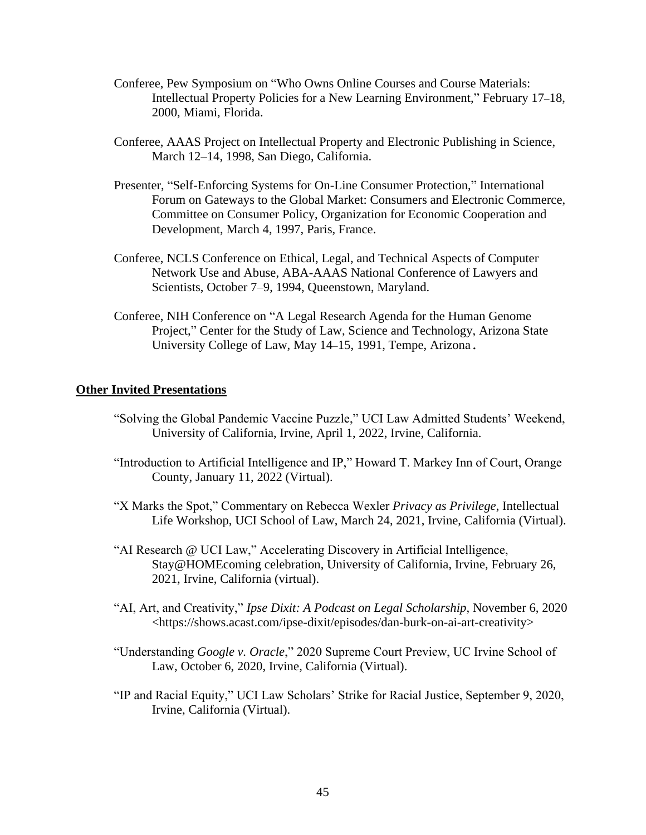- Conferee, Pew Symposium on "Who Owns Online Courses and Course Materials: Intellectual Property Policies for a New Learning Environment," February 17–18, 2000, Miami, Florida.
- Conferee, AAAS Project on Intellectual Property and Electronic Publishing in Science, March 12–14, 1998, San Diego, California.
- Presenter, "Self-Enforcing Systems for On-Line Consumer Protection," International Forum on Gateways to the Global Market: Consumers and Electronic Commerce, Committee on Consumer Policy, Organization for Economic Cooperation and Development, March 4, 1997, Paris, France.
- Conferee, NCLS Conference on Ethical, Legal, and Technical Aspects of Computer Network Use and Abuse, ABA-AAAS National Conference of Lawyers and Scientists, October 7–9, 1994, Queenstown, Maryland.
- Conferee, NIH Conference on "A Legal Research Agenda for the Human Genome Project," Center for the Study of Law, Science and Technology, Arizona State University College of Law, May 14–15, 1991, Tempe, Arizona.

#### **Other Invited Presentations**

- "Solving the Global Pandemic Vaccine Puzzle," UCI Law Admitted Students' Weekend, University of California, Irvine, April 1, 2022, Irvine, California.
- "Introduction to Artificial Intelligence and IP," Howard T. Markey Inn of Court, Orange County, January 11, 2022 (Virtual).
- "X Marks the Spot," Commentary on Rebecca Wexler *Privacy as Privilege*, Intellectual Life Workshop, UCI School of Law, March 24, 2021, Irvine, California (Virtual).
- "AI Research @ UCI Law," Accelerating Discovery in Artificial Intelligence, Stay@HOMEcoming celebration, University of California, Irvine, February 26, 2021, Irvine, California (virtual).
- "AI, Art, and Creativity," *Ipse Dixit: A Podcast on Legal Scholarship*, November 6, 2020 <https://shows.acast.com/ipse-dixit/episodes/dan-burk-on-ai-art-creativity>
- "Understanding *Google v. Oracle*," 2020 Supreme Court Preview, UC Irvine School of Law, October 6, 2020, Irvine, California (Virtual).
- "IP and Racial Equity," UCI Law Scholars' Strike for Racial Justice, September 9, 2020, Irvine, California (Virtual).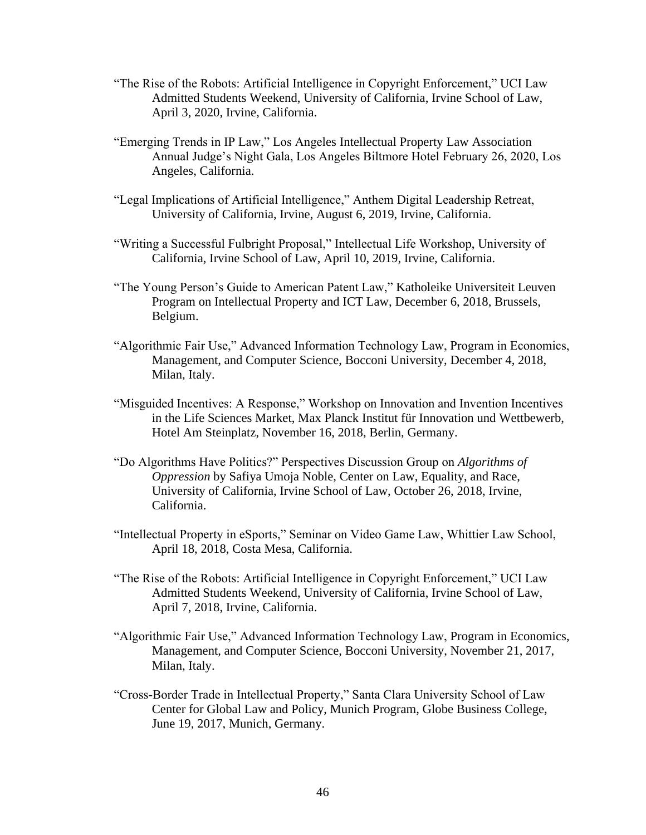- "The Rise of the Robots: Artificial Intelligence in Copyright Enforcement," UCI Law Admitted Students Weekend, University of California, Irvine School of Law, April 3, 2020, Irvine, California.
- "Emerging Trends in IP Law," Los Angeles Intellectual Property Law Association Annual Judge's Night Gala, Los Angeles Biltmore Hotel February 26, 2020, Los Angeles, California.
- "Legal Implications of Artificial Intelligence," Anthem Digital Leadership Retreat, University of California, Irvine, August 6, 2019, Irvine, California.
- "Writing a Successful Fulbright Proposal," Intellectual Life Workshop, University of California, Irvine School of Law, April 10, 2019, Irvine, California.
- "The Young Person's Guide to American Patent Law," Katholeike Universiteit Leuven Program on Intellectual Property and ICT Law, December 6, 2018, Brussels, Belgium.
- "Algorithmic Fair Use," Advanced Information Technology Law, Program in Economics, Management, and Computer Science, Bocconi University, December 4, 2018, Milan, Italy.
- "Misguided Incentives: A Response," Workshop on Innovation and Invention Incentives in the Life Sciences Market, Max Planck Institut für Innovation und Wettbewerb, Hotel Am Steinplatz, November 16, 2018, Berlin, Germany.
- "Do Algorithms Have Politics?" Perspectives Discussion Group on *Algorithms of Oppression* by Safiya Umoja Noble, Center on Law, Equality, and Race, University of California, Irvine School of Law, October 26, 2018, Irvine, California.
- "Intellectual Property in eSports," Seminar on Video Game Law, Whittier Law School, April 18, 2018, Costa Mesa, California.
- "The Rise of the Robots: Artificial Intelligence in Copyright Enforcement," UCI Law Admitted Students Weekend, University of California, Irvine School of Law, April 7, 2018, Irvine, California.
- "Algorithmic Fair Use," Advanced Information Technology Law, Program in Economics, Management, and Computer Science, Bocconi University, November 21, 2017, Milan, Italy.
- "Cross-Border Trade in Intellectual Property," Santa Clara University School of Law Center for Global Law and Policy, Munich Program, Globe Business College, June 19, 2017, Munich, Germany.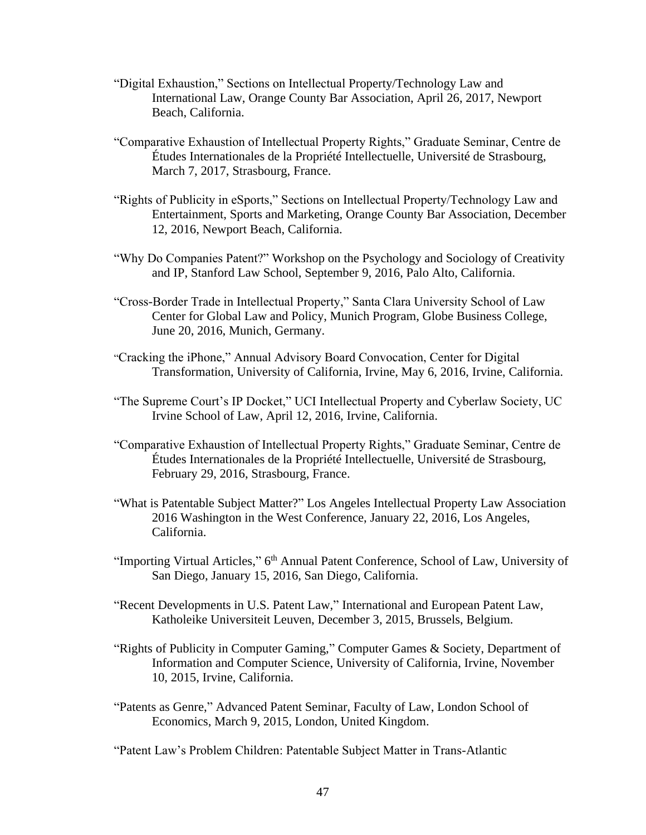- "Digital Exhaustion," Sections on Intellectual Property/Technology Law and International Law, Orange County Bar Association, April 26, 2017, Newport Beach, California.
- "Comparative Exhaustion of Intellectual Property Rights," Graduate Seminar, Centre de Études Internationales de la Propriété Intellectuelle, Université de Strasbourg, March 7, 2017, Strasbourg, France.
- "Rights of Publicity in eSports," Sections on Intellectual Property/Technology Law and Entertainment, Sports and Marketing, Orange County Bar Association, December 12, 2016, Newport Beach, California.
- "Why Do Companies Patent?" Workshop on the Psychology and Sociology of Creativity and IP, Stanford Law School, September 9, 2016, Palo Alto, California.
- "Cross-Border Trade in Intellectual Property," Santa Clara University School of Law Center for Global Law and Policy, Munich Program, Globe Business College, June 20, 2016, Munich, Germany.
- "Cracking the iPhone," Annual Advisory Board Convocation, Center for Digital Transformation, University of California, Irvine, May 6, 2016, Irvine, California.
- "The Supreme Court's IP Docket," UCI Intellectual Property and Cyberlaw Society, UC Irvine School of Law, April 12, 2016, Irvine, California.
- "Comparative Exhaustion of Intellectual Property Rights," Graduate Seminar, Centre de Études Internationales de la Propriété Intellectuelle, Université de Strasbourg, February 29, 2016, Strasbourg, France.
- "What is Patentable Subject Matter?" Los Angeles Intellectual Property Law Association 2016 Washington in the West Conference, January 22, 2016, Los Angeles, California.
- "Importing Virtual Articles," 6<sup>th</sup> Annual Patent Conference, School of Law, University of San Diego, January 15, 2016, San Diego, California.
- "Recent Developments in U.S. Patent Law," International and European Patent Law, Katholeike Universiteit Leuven, December 3, 2015, Brussels, Belgium.
- "Rights of Publicity in Computer Gaming," Computer Games & Society, Department of Information and Computer Science, University of California, Irvine, November 10, 2015, Irvine, California.
- "Patents as Genre," Advanced Patent Seminar, Faculty of Law, London School of Economics, March 9, 2015, London, United Kingdom.

"Patent Law's Problem Children: Patentable Subject Matter in Trans-Atlantic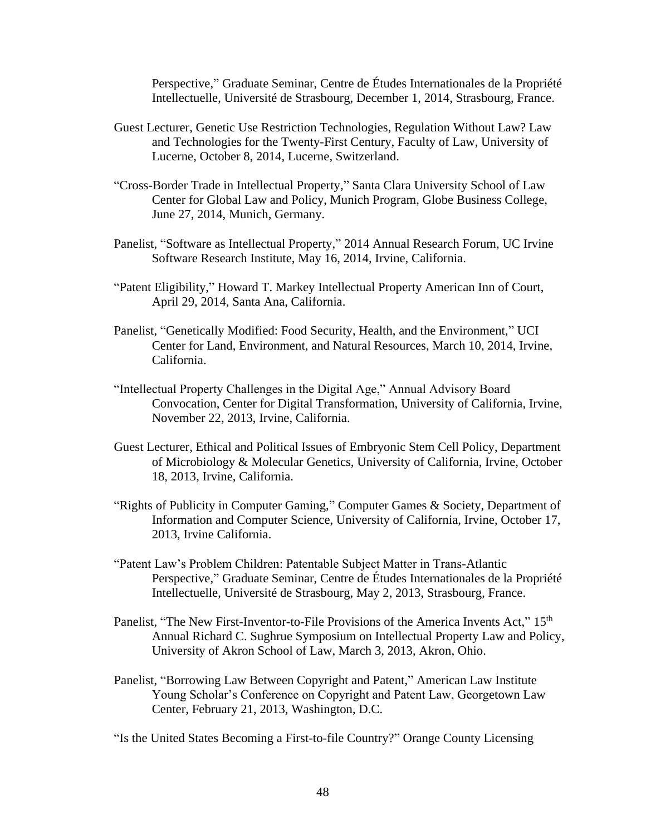Perspective," Graduate Seminar, Centre de Études Internationales de la Propriété Intellectuelle, Université de Strasbourg, December 1, 2014, Strasbourg, France.

- Guest Lecturer, Genetic Use Restriction Technologies, Regulation Without Law? Law and Technologies for the Twenty-First Century, Faculty of Law, University of Lucerne, October 8, 2014, Lucerne, Switzerland.
- "Cross-Border Trade in Intellectual Property," Santa Clara University School of Law Center for Global Law and Policy, Munich Program, Globe Business College, June 27, 2014, Munich, Germany.
- Panelist, "Software as Intellectual Property," 2014 Annual Research Forum, UC Irvine Software Research Institute, May 16, 2014, Irvine, California.
- "Patent Eligibility," Howard T. Markey Intellectual Property American Inn of Court, April 29, 2014, Santa Ana, California.
- Panelist, "Genetically Modified: Food Security, Health, and the Environment," UCI Center for Land, Environment, and Natural Resources, March 10, 2014, Irvine, California.
- "Intellectual Property Challenges in the Digital Age," Annual Advisory Board Convocation, Center for Digital Transformation, University of California, Irvine, November 22, 2013, Irvine, California.
- Guest Lecturer, Ethical and Political Issues of Embryonic Stem Cell Policy, Department of Microbiology & Molecular Genetics, University of California, Irvine, October 18, 2013, Irvine, California.
- "Rights of Publicity in Computer Gaming," Computer Games & Society, Department of Information and Computer Science, University of California, Irvine, October 17, 2013, Irvine California.
- "Patent Law's Problem Children: Patentable Subject Matter in Trans-Atlantic Perspective," Graduate Seminar, Centre de Études Internationales de la Propriété Intellectuelle, Université de Strasbourg, May 2, 2013, Strasbourg, France.
- Panelist, "The New First-Inventor-to-File Provisions of the America Invents Act," 15<sup>th</sup> Annual Richard C. Sughrue Symposium on Intellectual Property Law and Policy, University of Akron School of Law, March 3, 2013, Akron, Ohio.
- Panelist, "Borrowing Law Between Copyright and Patent," American Law Institute Young Scholar's Conference on Copyright and Patent Law, Georgetown Law Center, February 21, 2013, Washington, D.C.

"Is the United States Becoming a First-to-file Country?" Orange County Licensing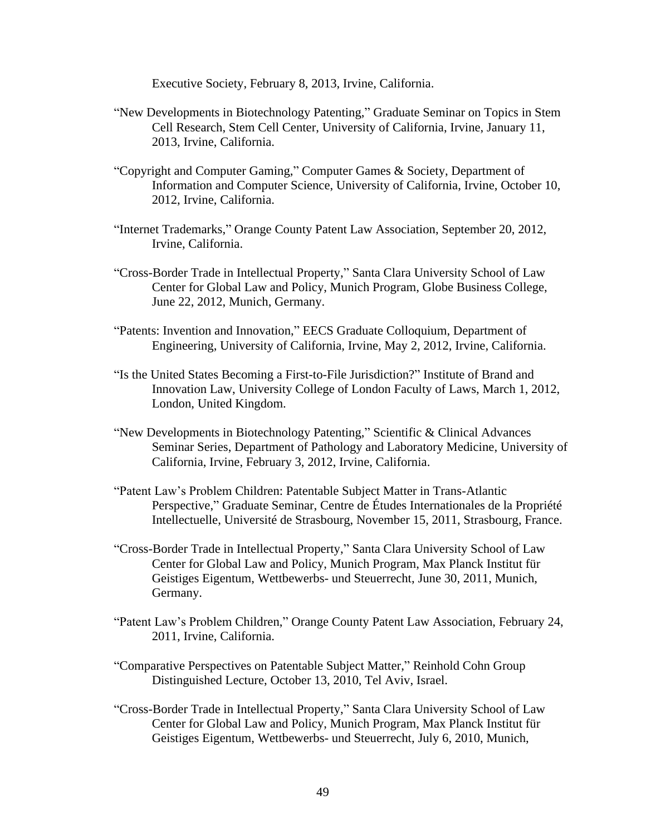Executive Society, February 8, 2013, Irvine, California.

- "New Developments in Biotechnology Patenting," Graduate Seminar on Topics in Stem Cell Research, Stem Cell Center, University of California, Irvine, January 11, 2013, Irvine, California.
- "Copyright and Computer Gaming," Computer Games & Society, Department of Information and Computer Science, University of California, Irvine, October 10, 2012, Irvine, California.
- "Internet Trademarks," Orange County Patent Law Association, September 20, 2012, Irvine, California.
- "Cross-Border Trade in Intellectual Property," Santa Clara University School of Law Center for Global Law and Policy, Munich Program, Globe Business College, June 22, 2012, Munich, Germany.
- "Patents: Invention and Innovation," EECS Graduate Colloquium, Department of Engineering, University of California, Irvine, May 2, 2012, Irvine, California.
- "Is the United States Becoming a First-to-File Jurisdiction?" Institute of Brand and Innovation Law, University College of London Faculty of Laws, March 1, 2012, London, United Kingdom.
- "New Developments in Biotechnology Patenting," Scientific & Clinical Advances Seminar Series, Department of Pathology and Laboratory Medicine, University of California, Irvine, February 3, 2012, Irvine, California.
- "Patent Law's Problem Children: Patentable Subject Matter in Trans-Atlantic Perspective," Graduate Seminar, Centre de Études Internationales de la Propriété Intellectuelle, Université de Strasbourg, November 15, 2011, Strasbourg, France.
- "Cross-Border Trade in Intellectual Property," Santa Clara University School of Law Center for Global Law and Policy, Munich Program, Max Planck Institut für Geistiges Eigentum, Wettbewerbs- und Steuerrecht, June 30, 2011, Munich, Germany.
- "Patent Law's Problem Children," Orange County Patent Law Association, February 24, 2011, Irvine, California.
- "Comparative Perspectives on Patentable Subject Matter," Reinhold Cohn Group Distinguished Lecture, October 13, 2010, Tel Aviv, Israel.
- "Cross-Border Trade in Intellectual Property," Santa Clara University School of Law Center for Global Law and Policy, Munich Program, Max Planck Institut für Geistiges Eigentum, Wettbewerbs- und Steuerrecht, July 6, 2010, Munich,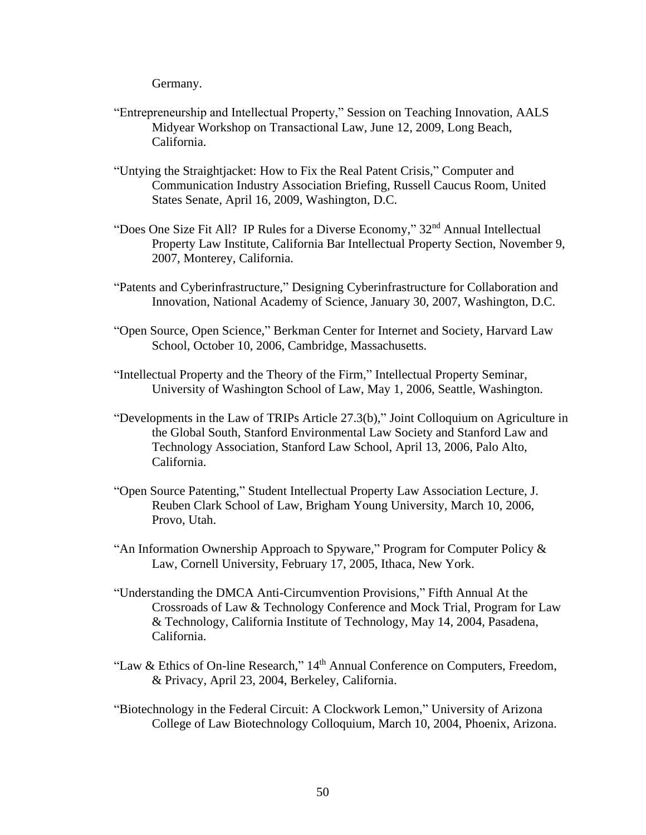Germany.

- "Entrepreneurship and Intellectual Property," Session on Teaching Innovation, AALS Midyear Workshop on Transactional Law, June 12, 2009, Long Beach, California.
- "Untying the Straightjacket: How to Fix the Real Patent Crisis," Computer and Communication Industry Association Briefing, Russell Caucus Room, United States Senate, April 16, 2009, Washington, D.C.
- "Does One Size Fit All? IP Rules for a Diverse Economy," 32<sup>nd</sup> Annual Intellectual Property Law Institute, California Bar Intellectual Property Section, November 9, 2007, Monterey, California.
- "Patents and Cyberinfrastructure," Designing Cyberinfrastructure for Collaboration and Innovation, National Academy of Science, January 30, 2007, Washington, D.C.
- "Open Source, Open Science," Berkman Center for Internet and Society, Harvard Law School, October 10, 2006, Cambridge, Massachusetts.
- "Intellectual Property and the Theory of the Firm," Intellectual Property Seminar, University of Washington School of Law, May 1, 2006, Seattle, Washington.
- "Developments in the Law of TRIPs Article 27.3(b)," Joint Colloquium on Agriculture in the Global South, Stanford Environmental Law Society and Stanford Law and Technology Association, Stanford Law School, April 13, 2006, Palo Alto, California.
- "Open Source Patenting," Student Intellectual Property Law Association Lecture, J. Reuben Clark School of Law, Brigham Young University, March 10, 2006, Provo, Utah.
- "An Information Ownership Approach to Spyware," Program for Computer Policy & Law, Cornell University, February 17, 2005, Ithaca, New York.
- "Understanding the DMCA Anti-Circumvention Provisions," Fifth Annual At the Crossroads of Law & Technology Conference and Mock Trial, Program for Law & Technology, California Institute of Technology, May 14, 2004, Pasadena, California.
- "Law & Ethics of On-line Research," 14th Annual Conference on Computers, Freedom, & Privacy, April 23, 2004, Berkeley, California.
- "Biotechnology in the Federal Circuit: A Clockwork Lemon," University of Arizona College of Law Biotechnology Colloquium, March 10, 2004, Phoenix, Arizona.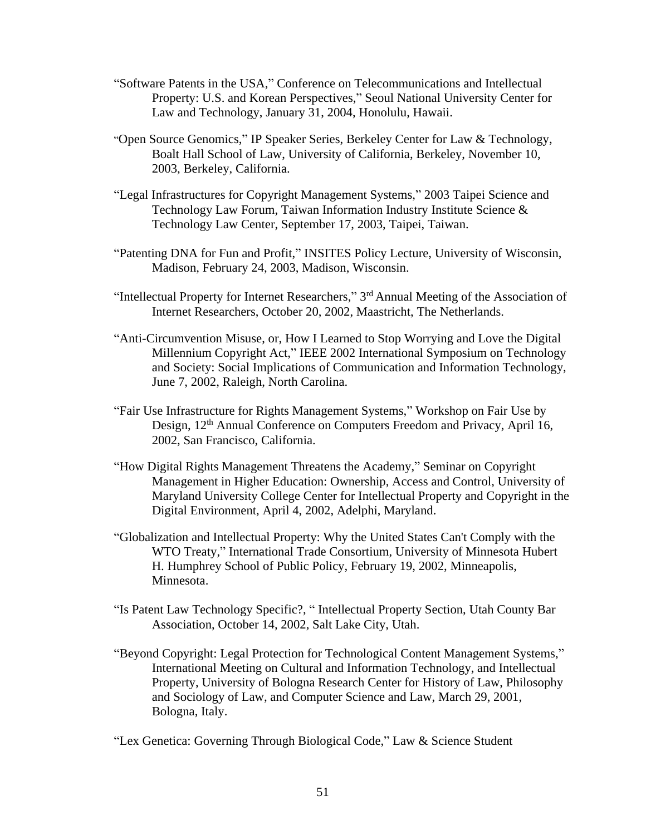- "Software Patents in the USA," Conference on Telecommunications and Intellectual Property: U.S. and Korean Perspectives," Seoul National University Center for Law and Technology, January 31, 2004, Honolulu, Hawaii.
- "Open Source Genomics," IP Speaker Series, Berkeley Center for Law & Technology, Boalt Hall School of Law, University of California, Berkeley, November 10, 2003, Berkeley, California.
- "Legal Infrastructures for Copyright Management Systems," 2003 Taipei Science and Technology Law Forum, Taiwan Information Industry Institute Science & Technology Law Center, September 17, 2003, Taipei, Taiwan.
- "Patenting DNA for Fun and Profit," INSITES Policy Lecture, University of Wisconsin, Madison, February 24, 2003, Madison, Wisconsin.
- "Intellectual Property for Internet Researchers," 3<sup>rd</sup> Annual Meeting of the Association of Internet Researchers, October 20, 2002, Maastricht, The Netherlands.
- "Anti-Circumvention Misuse, or, How I Learned to Stop Worrying and Love the Digital Millennium Copyright Act," IEEE 2002 International Symposium on Technology and Society: Social Implications of Communication and Information Technology, June 7, 2002, Raleigh, North Carolina.
- "Fair Use Infrastructure for Rights Management Systems," Workshop on Fair Use by Design, 12<sup>th</sup> Annual Conference on Computers Freedom and Privacy, April 16, 2002, San Francisco, California.
- "How Digital Rights Management Threatens the Academy," Seminar on Copyright Management in Higher Education: Ownership, Access and Control, University of Maryland University College Center for Intellectual Property and Copyright in the Digital Environment, April 4, 2002, Adelphi, Maryland.
- "Globalization and Intellectual Property: Why the United States Can't Comply with the WTO Treaty," International Trade Consortium, University of Minnesota Hubert H. Humphrey School of Public Policy, February 19, 2002, Minneapolis, Minnesota.
- "Is Patent Law Technology Specific?, " Intellectual Property Section, Utah County Bar Association, October 14, 2002, Salt Lake City, Utah.
- "Beyond Copyright: Legal Protection for Technological Content Management Systems," International Meeting on Cultural and Information Technology, and Intellectual Property, University of Bologna Research Center for History of Law, Philosophy and Sociology of Law, and Computer Science and Law, March 29, 2001, Bologna, Italy.

"Lex Genetica: Governing Through Biological Code," Law & Science Student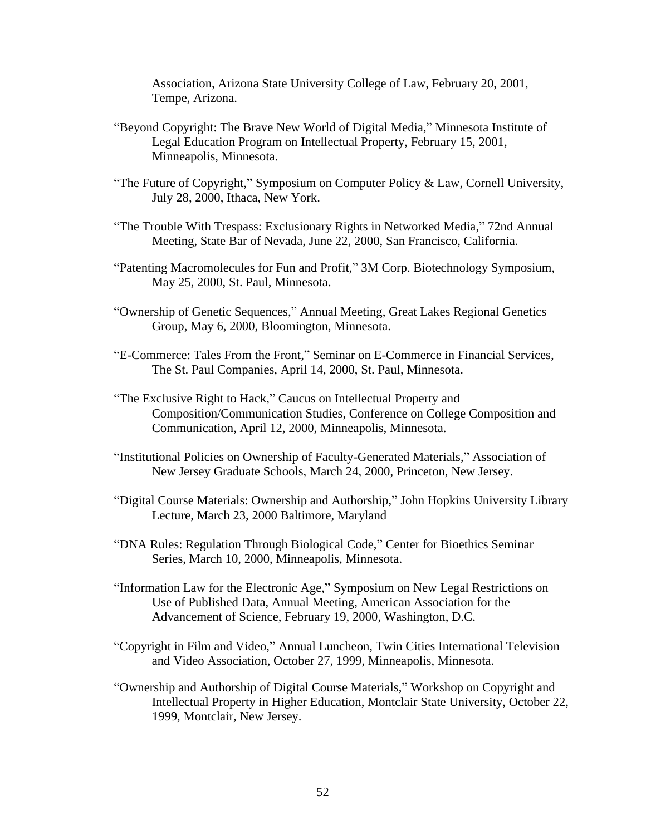Association, Arizona State University College of Law, February 20, 2001, Tempe, Arizona.

- "Beyond Copyright: The Brave New World of Digital Media," Minnesota Institute of Legal Education Program on Intellectual Property, February 15, 2001, Minneapolis, Minnesota.
- "The Future of Copyright," Symposium on Computer Policy & Law, Cornell University, July 28, 2000, Ithaca, New York.
- "The Trouble With Trespass: Exclusionary Rights in Networked Media," 72nd Annual Meeting, State Bar of Nevada, June 22, 2000, San Francisco, California.
- "Patenting Macromolecules for Fun and Profit," 3M Corp. Biotechnology Symposium, May 25, 2000, St. Paul, Minnesota.
- "Ownership of Genetic Sequences," Annual Meeting, Great Lakes Regional Genetics Group, May 6, 2000, Bloomington, Minnesota.
- "E-Commerce: Tales From the Front," Seminar on E-Commerce in Financial Services, The St. Paul Companies, April 14, 2000, St. Paul, Minnesota.
- "The Exclusive Right to Hack," Caucus on Intellectual Property and Composition/Communication Studies, Conference on College Composition and Communication, April 12, 2000, Minneapolis, Minnesota.
- "Institutional Policies on Ownership of Faculty-Generated Materials," Association of New Jersey Graduate Schools, March 24, 2000, Princeton, New Jersey.
- "Digital Course Materials: Ownership and Authorship," John Hopkins University Library Lecture, March 23, 2000 Baltimore, Maryland
- "DNA Rules: Regulation Through Biological Code," Center for Bioethics Seminar Series, March 10, 2000, Minneapolis, Minnesota.
- "Information Law for the Electronic Age," Symposium on New Legal Restrictions on Use of Published Data, Annual Meeting, American Association for the Advancement of Science, February 19, 2000, Washington, D.C.
- "Copyright in Film and Video," Annual Luncheon, Twin Cities International Television and Video Association, October 27, 1999, Minneapolis, Minnesota.
- "Ownership and Authorship of Digital Course Materials," Workshop on Copyright and Intellectual Property in Higher Education, Montclair State University, October 22, 1999, Montclair, New Jersey.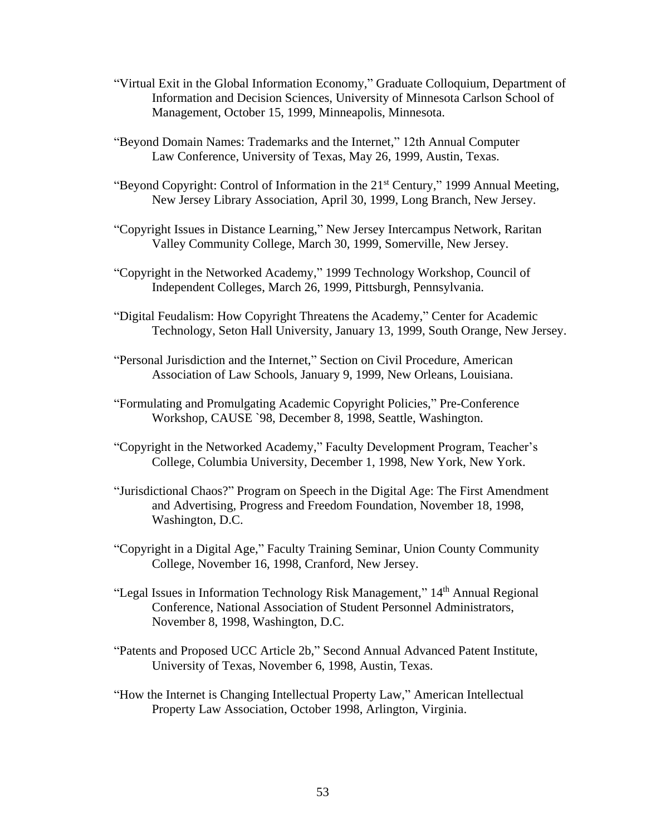- "Virtual Exit in the Global Information Economy," Graduate Colloquium, Department of Information and Decision Sciences, University of Minnesota Carlson School of Management, October 15, 1999, Minneapolis, Minnesota.
- "Beyond Domain Names: Trademarks and the Internet," 12th Annual Computer Law Conference, University of Texas, May 26, 1999, Austin, Texas.
- "Beyond Copyright: Control of Information in the 21<sup>st</sup> Century," 1999 Annual Meeting, New Jersey Library Association, April 30, 1999, Long Branch, New Jersey.
- "Copyright Issues in Distance Learning," New Jersey Intercampus Network, Raritan Valley Community College, March 30, 1999, Somerville, New Jersey.
- "Copyright in the Networked Academy," 1999 Technology Workshop, Council of Independent Colleges, March 26, 1999, Pittsburgh, Pennsylvania.
- "Digital Feudalism: How Copyright Threatens the Academy," Center for Academic Technology, Seton Hall University, January 13, 1999, South Orange, New Jersey.
- "Personal Jurisdiction and the Internet," Section on Civil Procedure, American Association of Law Schools, January 9, 1999, New Orleans, Louisiana.
- "Formulating and Promulgating Academic Copyright Policies," Pre-Conference Workshop, CAUSE `98, December 8, 1998, Seattle, Washington.
- "Copyright in the Networked Academy," Faculty Development Program, Teacher's College, Columbia University, December 1, 1998, New York, New York.
- "Jurisdictional Chaos?" Program on Speech in the Digital Age: The First Amendment and Advertising, Progress and Freedom Foundation, November 18, 1998, Washington, D.C.
- "Copyright in a Digital Age," Faculty Training Seminar, Union County Community College, November 16, 1998, Cranford, New Jersey.
- "Legal Issues in Information Technology Risk Management," 14th Annual Regional Conference, National Association of Student Personnel Administrators, November 8, 1998, Washington, D.C.
- "Patents and Proposed UCC Article 2b," Second Annual Advanced Patent Institute, University of Texas, November 6, 1998, Austin, Texas.
- "How the Internet is Changing Intellectual Property Law," American Intellectual Property Law Association, October 1998, Arlington, Virginia.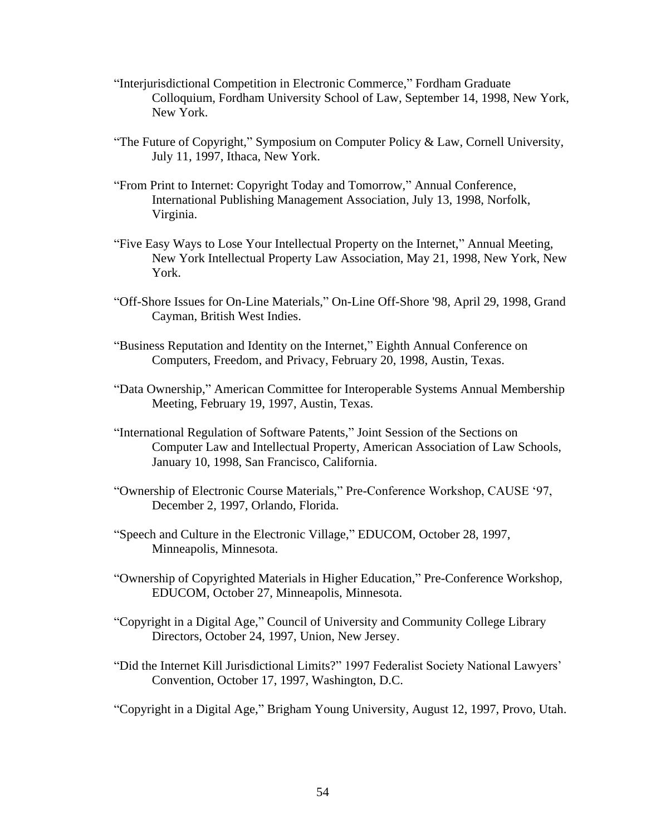- "Interjurisdictional Competition in Electronic Commerce," Fordham Graduate Colloquium, Fordham University School of Law, September 14, 1998, New York, New York.
- "The Future of Copyright," Symposium on Computer Policy & Law, Cornell University, July 11, 1997, Ithaca, New York.
- "From Print to Internet: Copyright Today and Tomorrow," Annual Conference, International Publishing Management Association, July 13, 1998, Norfolk, Virginia.
- "Five Easy Ways to Lose Your Intellectual Property on the Internet," Annual Meeting, New York Intellectual Property Law Association, May 21, 1998, New York, New York.
- "Off-Shore Issues for On-Line Materials," On-Line Off-Shore '98, April 29, 1998, Grand Cayman, British West Indies.
- "Business Reputation and Identity on the Internet," Eighth Annual Conference on Computers, Freedom, and Privacy, February 20, 1998, Austin, Texas.
- "Data Ownership," American Committee for Interoperable Systems Annual Membership Meeting, February 19, 1997, Austin, Texas.
- "International Regulation of Software Patents," Joint Session of the Sections on Computer Law and Intellectual Property, American Association of Law Schools, January 10, 1998, San Francisco, California.
- "Ownership of Electronic Course Materials," Pre-Conference Workshop, CAUSE '97, December 2, 1997, Orlando, Florida.
- "Speech and Culture in the Electronic Village," EDUCOM, October 28, 1997, Minneapolis, Minnesota.
- "Ownership of Copyrighted Materials in Higher Education," Pre-Conference Workshop, EDUCOM, October 27, Minneapolis, Minnesota.
- "Copyright in a Digital Age," Council of University and Community College Library Directors, October 24, 1997, Union, New Jersey.
- "Did the Internet Kill Jurisdictional Limits?" 1997 Federalist Society National Lawyers' Convention, October 17, 1997, Washington, D.C.

"Copyright in a Digital Age," Brigham Young University, August 12, 1997, Provo, Utah.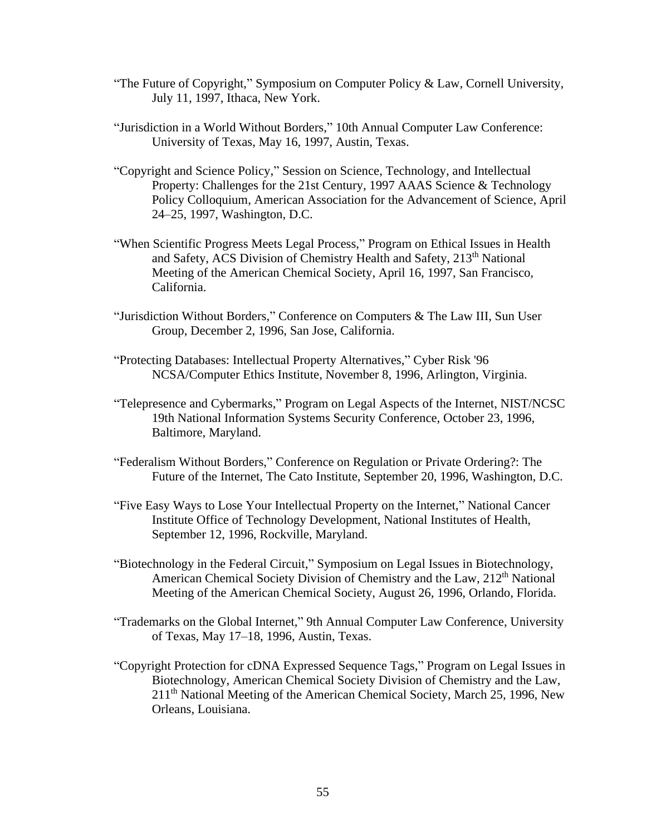- "The Future of Copyright," Symposium on Computer Policy & Law, Cornell University, July 11, 1997, Ithaca, New York.
- "Jurisdiction in a World Without Borders," 10th Annual Computer Law Conference: University of Texas, May 16, 1997, Austin, Texas.
- "Copyright and Science Policy," Session on Science, Technology, and Intellectual Property: Challenges for the 21st Century, 1997 AAAS Science & Technology Policy Colloquium, American Association for the Advancement of Science, April 24–25, 1997, Washington, D.C.
- "When Scientific Progress Meets Legal Process," Program on Ethical Issues in Health and Safety, ACS Division of Chemistry Health and Safety, 213<sup>th</sup> National Meeting of the American Chemical Society, April 16, 1997, San Francisco, California.
- "Jurisdiction Without Borders," Conference on Computers & The Law III, Sun User Group, December 2, 1996, San Jose, California.
- "Protecting Databases: Intellectual Property Alternatives," Cyber Risk '96 NCSA/Computer Ethics Institute, November 8, 1996, Arlington, Virginia.
- "Telepresence and Cybermarks," Program on Legal Aspects of the Internet, NIST/NCSC 19th National Information Systems Security Conference, October 23, 1996, Baltimore, Maryland.
- "Federalism Without Borders," Conference on Regulation or Private Ordering?: The Future of the Internet, The Cato Institute, September 20, 1996, Washington, D.C.
- "Five Easy Ways to Lose Your Intellectual Property on the Internet," National Cancer Institute Office of Technology Development, National Institutes of Health, September 12, 1996, Rockville, Maryland.
- "Biotechnology in the Federal Circuit," Symposium on Legal Issues in Biotechnology, American Chemical Society Division of Chemistry and the Law, 212<sup>th</sup> National Meeting of the American Chemical Society, August 26, 1996, Orlando, Florida.
- "Trademarks on the Global Internet," 9th Annual Computer Law Conference, University of Texas, May 17–18, 1996, Austin, Texas.
- "Copyright Protection for cDNA Expressed Sequence Tags," Program on Legal Issues in Biotechnology, American Chemical Society Division of Chemistry and the Law, 211th National Meeting of the American Chemical Society, March 25, 1996, New Orleans, Louisiana.